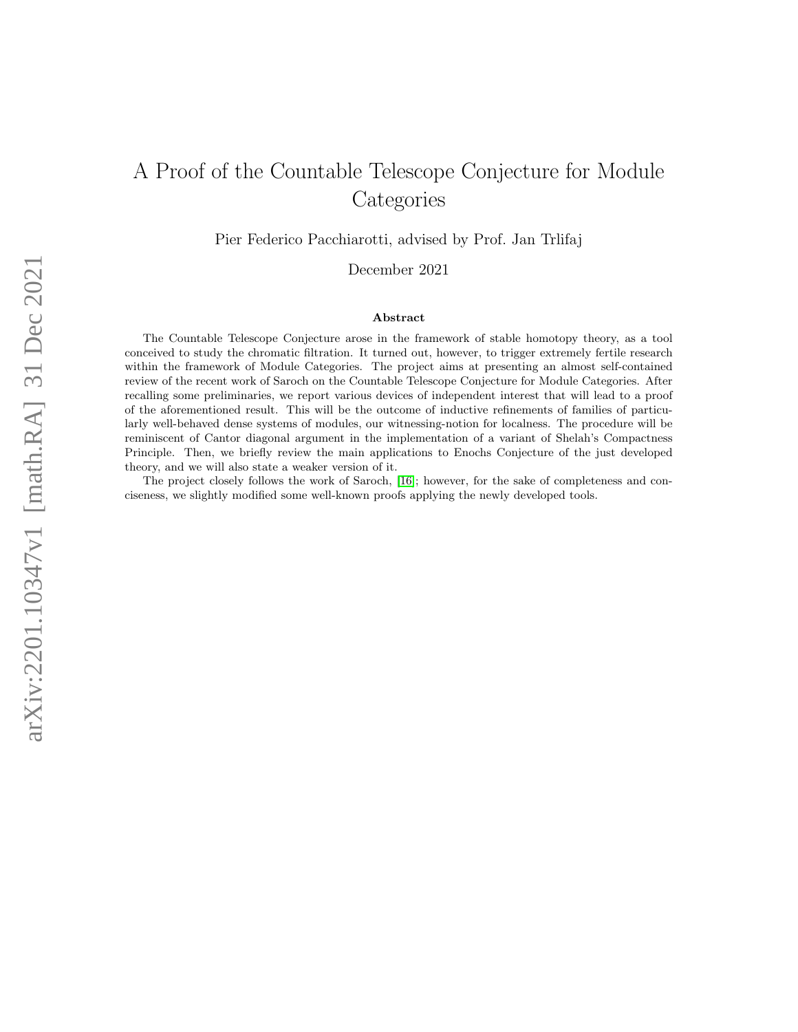# A Proof of the Countable Telescope Conjecture for Module **Categories**

Pier Federico Pacchiarotti, advised by Prof. Jan Trlifaj

December 2021

#### Abstract

The Countable Telescope Conjecture arose in the framework of stable homotopy theory, as a tool conceived to study the chromatic filtration. It turned out, however, to trigger extremely fertile research within the framework of Module Categories. The project aims at presenting an almost self-contained review of the recent work of Saroch on the Countable Telescope Conjecture for Module Categories. After recalling some preliminaries, we report various devices of independent interest that will lead to a proof of the aforementioned result. This will be the outcome of inductive refinements of families of particularly well-behaved dense systems of modules, our witnessing-notion for localness. The procedure will be reminiscent of Cantor diagonal argument in the implementation of a variant of Shelah's Compactness Principle. Then, we briefly review the main applications to Enochs Conjecture of the just developed theory, and we will also state a weaker version of it.

The project closely follows the work of Saroch, [\[16\]](#page-43-0); however, for the sake of completeness and conciseness, we slightly modified some well-known proofs applying the newly developed tools.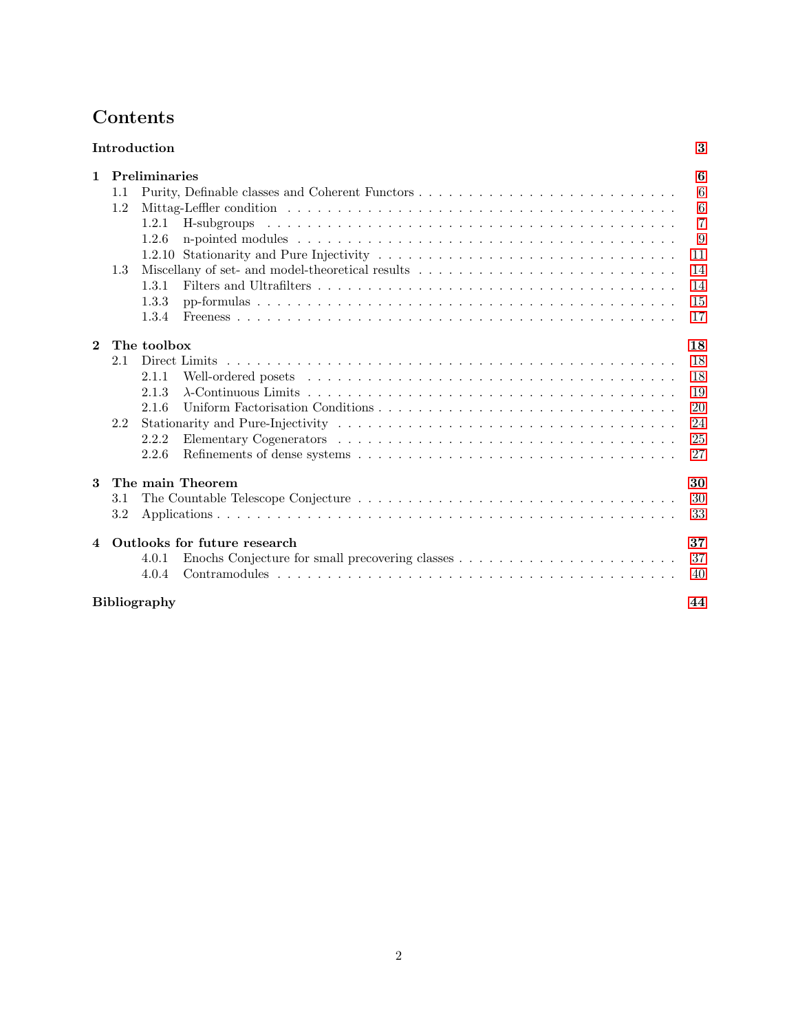# <span id="page-1-0"></span>Contents

| Introduction   |                              |                     |                  |                |  |  |  |
|----------------|------------------------------|---------------------|------------------|----------------|--|--|--|
| $\mathbf{1}$   |                              | Preliminaries       |                  | 6              |  |  |  |
|                | 1.1                          |                     |                  | 6              |  |  |  |
|                | 1.2                          |                     |                  | 6              |  |  |  |
|                |                              | 1.2.1               |                  | $\overline{7}$ |  |  |  |
|                |                              | 1.2.6               |                  | 9              |  |  |  |
|                |                              | 1.2.10              |                  | 11             |  |  |  |
|                | 1.3                          |                     |                  | 14             |  |  |  |
|                |                              | 1.3.1               |                  | 14             |  |  |  |
|                |                              | 1.3.3               |                  | 15             |  |  |  |
|                |                              | 1.3.4               |                  | 17             |  |  |  |
|                |                              |                     |                  |                |  |  |  |
| $\overline{2}$ |                              | The toolbox         |                  | 18             |  |  |  |
|                | 2.1                          |                     |                  | 18             |  |  |  |
|                |                              | 2.1.1               |                  | 18             |  |  |  |
|                |                              | 2.1.3               |                  | 19             |  |  |  |
|                |                              | 2.1.6               |                  | 20             |  |  |  |
|                | 2.2                          |                     |                  | 24             |  |  |  |
|                |                              | 2.2.2               |                  | 25             |  |  |  |
|                |                              | 2.2.6               |                  | 27             |  |  |  |
|                |                              |                     |                  |                |  |  |  |
| 3              |                              |                     | The main Theorem | 30             |  |  |  |
|                | 3.1                          |                     |                  | 30             |  |  |  |
|                | 3.2                          |                     |                  | 33             |  |  |  |
| $\overline{4}$ | Outlooks for future research |                     |                  |                |  |  |  |
|                |                              | 4.0.1               |                  | 37             |  |  |  |
|                |                              | 4.0.4               |                  | 40             |  |  |  |
|                |                              | <b>Bibliography</b> |                  | 44             |  |  |  |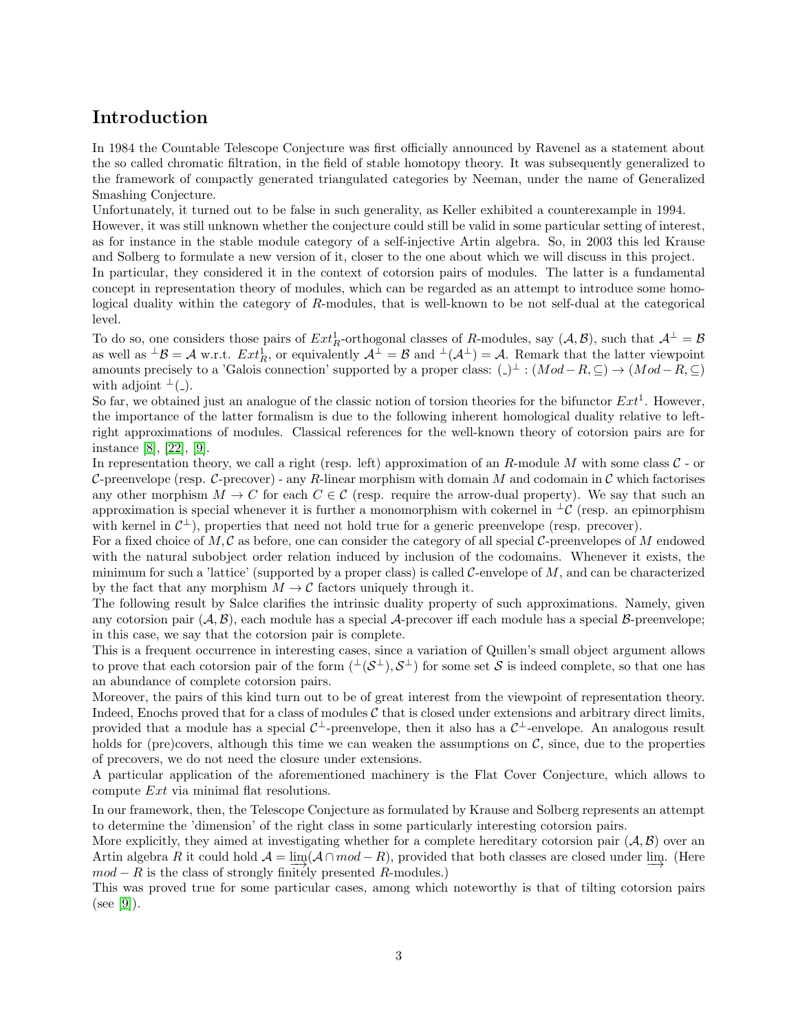# Introduction

In 1984 the Countable Telescope Conjecture was first officially announced by Ravenel as a statement about the so called chromatic filtration, in the field of stable homotopy theory. It was subsequently generalized to the framework of compactly generated triangulated categories by Neeman, under the name of Generalized Smashing Conjecture.

Unfortunately, it turned out to be false in such generality, as Keller exhibited a counterexample in 1994.

However, it was still unknown whether the conjecture could still be valid in some particular setting of interest, as for instance in the stable module category of a self-injective Artin algebra. So, in 2003 this led Krause and Solberg to formulate a new version of it, closer to the one about which we will discuss in this project.

In particular, they considered it in the context of cotorsion pairs of modules. The latter is a fundamental concept in representation theory of modules, which can be regarded as an attempt to introduce some homological duality within the category of R-modules, that is well-known to be not self-dual at the categorical level.

To do so, one considers those pairs of  $Ext_R^1$ -orthogonal classes of R-modules, say  $(A, B)$ , such that  $A^{\perp} = B$ as well as  $^{\perp}\mathcal{B} = \mathcal{A}$  w.r.t.  $Ext_R^1$ , or equivalently  $\mathcal{A}^{\perp} = \mathcal{B}$  and  $^{\perp}(\mathcal{A}^{\perp}) = \mathcal{A}$ . Remark that the latter viewpoint amounts precisely to a 'Galois connection' supported by a proper class:  $( ) \perp : (Mod - R, \subseteq ) \rightarrow (Mod - R, \subseteq )$ with adjoint  $\perp$ ( $\perp$ ).

So far, we obtained just an analogue of the classic notion of torsion theories for the bifunctor  $Ext<sup>1</sup>$ . However, the importance of the latter formalism is due to the following inherent homological duality relative to leftright approximations of modules. Classical references for the well-known theory of cotorsion pairs are for instance [\[8\]](#page-43-1), [\[22\]](#page-44-0), [\[9\]](#page-43-2).

In representation theory, we call a right (resp. left) approximation of an R-module M with some class  $C$  - or C-preenvelope (resp. C-precover) - any R-linear morphism with domain M and codomain in C which factorises any other morphism  $M \to C$  for each  $C \in \mathcal{C}$  (resp. require the arrow-dual property). We say that such an approximation is special whenever it is further a monomorphism with cokernel in  $\pm \mathcal{C}$  (resp. an epimorphism with kernel in  $\mathcal{C}^{\perp}$ ), properties that need not hold true for a generic preenvelope (resp. precover).

For a fixed choice of  $M, \mathcal{C}$  as before, one can consider the category of all special  $\mathcal{C}\text{-preenvelopes of }M$  endowed with the natural subobject order relation induced by inclusion of the codomains. Whenever it exists, the minimum for such a 'lattice' (supported by a proper class) is called C-envelope of M, and can be characterized by the fact that any morphism  $M \to \mathcal{C}$  factors uniquely through it.

The following result by Salce clarifies the intrinsic duality property of such approximations. Namely, given any cotorsion pair  $(\mathcal{A}, \mathcal{B})$ , each module has a special  $\mathcal{A}$ -precover iff each module has a special  $\mathcal{B}$ -preenvelope; in this case, we say that the cotorsion pair is complete.

This is a frequent occurrence in interesting cases, since a variation of Quillen's small object argument allows to prove that each cotorsion pair of the form  $({}^{\perp}(\mathcal{S}^{\perp}), \mathcal{S}^{\perp})$  for some set S is indeed complete, so that one has an abundance of complete cotorsion pairs.

Moreover, the pairs of this kind turn out to be of great interest from the viewpoint of representation theory. Indeed, Enochs proved that for a class of modules  $\mathcal C$  that is closed under extensions and arbitrary direct limits, provided that a module has a special  $\mathcal{C}^{\perp}$ -preenvelope, then it also has a  $\mathcal{C}^{\perp}$ -envelope. An analogous result holds for (pre)covers, although this time we can weaken the assumptions on  $\mathcal{C}$ , since, due to the properties of precovers, we do not need the closure under extensions.

A particular application of the aforementioned machinery is the Flat Cover Conjecture, which allows to compute Ext via minimal flat resolutions.

In our framework, then, the Telescope Conjecture as formulated by Krause and Solberg represents an attempt to determine the 'dimension' of the right class in some particularly interesting cotorsion pairs.

More explicitly, they aimed at investigating whether for a complete hereditary cotorsion pair  $(\mathcal{A}, \mathcal{B})$  over an Artin algebra R it could hold  $\mathcal{A} = \lim_{n \to \infty} (\mathcal{A} \cap mod - R)$ , provided that both classes are closed under  $\lim_{n \to \infty} \mathcal{A} \cap \mathcal{A}$ .  $mod - R$  is the class of strongly finitely presented R-modules.)

This was proved true for some particular cases, among which noteworthy is that of tilting cotorsion pairs  $(see [9]).$  $(see [9]).$  $(see [9]).$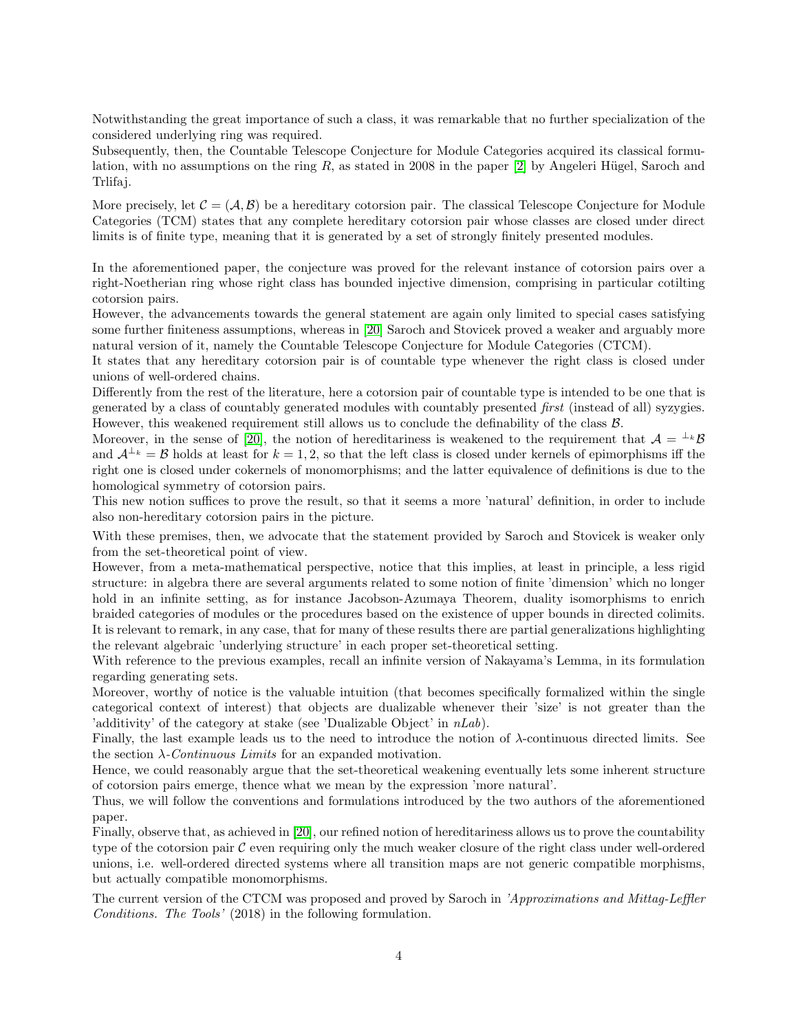Notwithstanding the great importance of such a class, it was remarkable that no further specialization of the considered underlying ring was required.

Subsequently, then, the Countable Telescope Conjecture for Module Categories acquired its classical formulation, with no assumptions on the ring  $R$ , as stated in 2008 in the paper [\[2\]](#page-43-3) by Angeleri Hügel, Saroch and Trlifaj.

More precisely, let  $\mathcal{C} = (\mathcal{A}, \mathcal{B})$  be a hereditary cotorsion pair. The classical Telescope Conjecture for Module Categories (TCM) states that any complete hereditary cotorsion pair whose classes are closed under direct limits is of finite type, meaning that it is generated by a set of strongly finitely presented modules.

In the aforementioned paper, the conjecture was proved for the relevant instance of cotorsion pairs over a right-Noetherian ring whose right class has bounded injective dimension, comprising in particular cotilting cotorsion pairs.

However, the advancements towards the general statement are again only limited to special cases satisfying some further finiteness assumptions, whereas in [\[20\]](#page-43-4) Saroch and Stovicek proved a weaker and arguably more natural version of it, namely the Countable Telescope Conjecture for Module Categories (CTCM).

It states that any hereditary cotorsion pair is of countable type whenever the right class is closed under unions of well-ordered chains.

Differently from the rest of the literature, here a cotorsion pair of countable type is intended to be one that is generated by a class of countably generated modules with countably presented first (instead of all) syzygies. However, this weakened requirement still allows us to conclude the definability of the class  $\mathcal{B}$ .

Moreover, in the sense of [\[20\]](#page-43-4), the notion of hereditariness is weakened to the requirement that  $\mathcal{A} = \perp k \mathcal{B}$ and  $\mathcal{A}^{\perp_k} = \mathcal{B}$  holds at least for  $k = 1, 2$ , so that the left class is closed under kernels of epimorphisms iff the right one is closed under cokernels of monomorphisms; and the latter equivalence of definitions is due to the homological symmetry of cotorsion pairs.

This new notion suffices to prove the result, so that it seems a more 'natural' definition, in order to include also non-hereditary cotorsion pairs in the picture.

With these premises, then, we advocate that the statement provided by Saroch and Stovicek is weaker only from the set-theoretical point of view.

However, from a meta-mathematical perspective, notice that this implies, at least in principle, a less rigid structure: in algebra there are several arguments related to some notion of finite 'dimension' which no longer hold in an infinite setting, as for instance Jacobson-Azumaya Theorem, duality isomorphisms to enrich braided categories of modules or the procedures based on the existence of upper bounds in directed colimits. It is relevant to remark, in any case, that for many of these results there are partial generalizations highlighting the relevant algebraic 'underlying structure' in each proper set-theoretical setting.

With reference to the previous examples, recall an infinite version of Nakayama's Lemma, in its formulation regarding generating sets.

Moreover, worthy of notice is the valuable intuition (that becomes specifically formalized within the single categorical context of interest) that objects are dualizable whenever their 'size' is not greater than the 'additivity' of the category at stake (see 'Dualizable Object' in  $nLab$ ).

Finally, the last example leads us to the need to introduce the notion of  $\lambda$ -continuous directed limits. See the section  $\lambda$ -*Continuous Limits* for an expanded motivation.

Hence, we could reasonably argue that the set-theoretical weakening eventually lets some inherent structure of cotorsion pairs emerge, thence what we mean by the expression 'more natural'.

Thus, we will follow the conventions and formulations introduced by the two authors of the aforementioned paper.

Finally, observe that, as achieved in [\[20\]](#page-43-4), our refined notion of hereditariness allows us to prove the countability type of the cotorsion pair  $\mathcal C$  even requiring only the much weaker closure of the right class under well-ordered unions, i.e. well-ordered directed systems where all transition maps are not generic compatible morphisms, but actually compatible monomorphisms.

The current version of the CTCM was proposed and proved by Saroch in 'Approximations and Mittag-Leffler Conditions. The Tools' (2018) in the following formulation.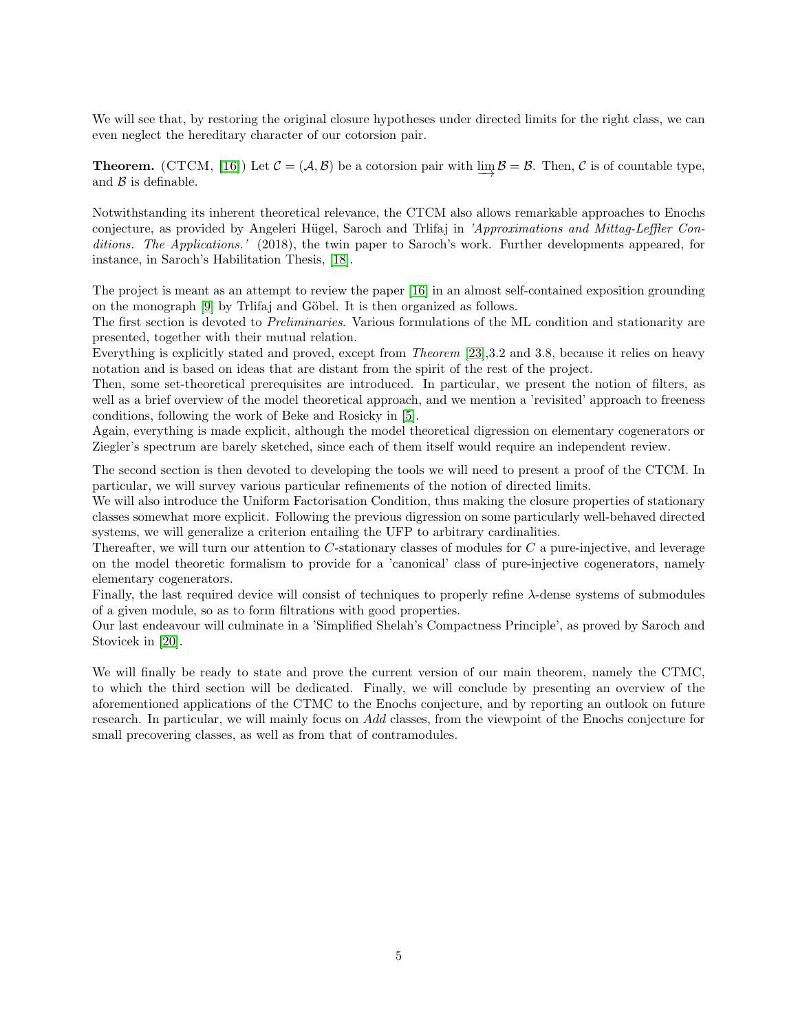We will see that, by restoring the original closure hypotheses under directed limits for the right class, we can even neglect the hereditary character of our cotorsion pair.

**Theorem.** (CTCM, [\[16\]](#page-43-0)) Let  $C = (\mathcal{A}, \mathcal{B})$  be a cotorsion pair with  $\varinjlim \mathcal{B} = \mathcal{B}$ . Then,  $C$  is of countable type, and  $\beta$  is definable.

Notwithstanding its inherent theoretical relevance, the CTCM also allows remarkable approaches to Enochs conjecture, as provided by Angeleri Hügel, Saroch and Trlifaj in 'Approximations and Mittag-Leffler Conditions. The Applications.' (2018), the twin paper to Saroch's work. Further developments appeared, for instance, in Saroch's Habilitation Thesis, [\[18\]](#page-43-5).

The project is meant as an attempt to review the paper [\[16\]](#page-43-0) in an almost self-contained exposition grounding on the monograph [\[9\]](#page-43-2) by Trlifaj and Göbel. It is then organized as follows.

The first section is devoted to Preliminaries. Various formulations of the ML condition and stationarity are presented, together with their mutual relation.

Everything is explicitly stated and proved, except from *Theorem* [\[23\]](#page-44-1), 3.2 and 3.8, because it relies on heavy notation and is based on ideas that are distant from the spirit of the rest of the project.

Then, some set-theoretical prerequisites are introduced. In particular, we present the notion of filters, as well as a brief overview of the model theoretical approach, and we mention a 'revisited' approach to freeness conditions, following the work of Beke and Rosicky in [\[5\]](#page-43-6).

Again, everything is made explicit, although the model theoretical digression on elementary cogenerators or Ziegler's spectrum are barely sketched, since each of them itself would require an independent review.

The second section is then devoted to developing the tools we will need to present a proof of the CTCM. In particular, we will survey various particular refinements of the notion of directed limits.

We will also introduce the Uniform Factorisation Condition, thus making the closure properties of stationary classes somewhat more explicit. Following the previous digression on some particularly well-behaved directed systems, we will generalize a criterion entailing the UFP to arbitrary cardinalities.

Thereafter, we will turn our attention to C-stationary classes of modules for C a pure-injective, and leverage on the model theoretic formalism to provide for a 'canonical' class of pure-injective cogenerators, namely elementary cogenerators.

Finally, the last required device will consist of techniques to properly refine  $\lambda$ -dense systems of submodules of a given module, so as to form filtrations with good properties.

Our last endeavour will culminate in a 'Simplified Shelah's Compactness Principle', as proved by Saroch and Stovicek in [\[20\]](#page-43-4).

We will finally be ready to state and prove the current version of our main theorem, namely the CTMC, to which the third section will be dedicated. Finally, we will conclude by presenting an overview of the aforementioned applications of the CTMC to the Enochs conjecture, and by reporting an outlook on future research. In particular, we will mainly focus on Add classes, from the viewpoint of the Enochs conjecture for small precovering classes, as well as from that of contramodules.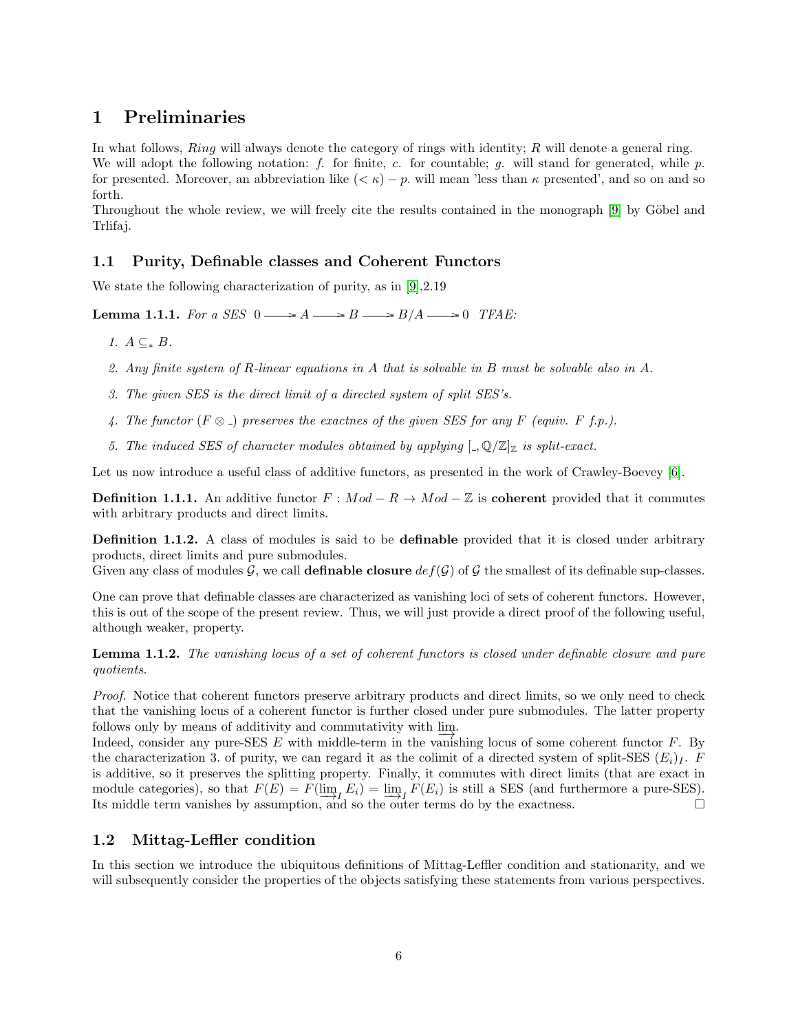# <span id="page-5-0"></span>1 Preliminaries

In what follows,  $Ring$  will always denote the category of rings with identity;  $R$  will denote a general ring. We will adopt the following notation: f. for finite, c. for countable; g. will stand for generated, while  $p$ . for presented. Moreover, an abbreviation like  $( $\kappa$ ) - p$ , will mean 'less than  $\kappa$  presented', and so on and so forth.

Throughout the whole review, we will freely cite the results contained in the monograph [\[9\]](#page-43-2) by Göbel and Trlifaj.

### <span id="page-5-1"></span>1.1 Purity, Definable classes and Coherent Functors

We state the following characterization of purity, as in [\[9\]](#page-43-2), 2.19

**Lemma 1.1.1.** For a SES  $0 \longrightarrow A \longrightarrow B \longrightarrow B/A \longrightarrow 0$  TFAE:

1.  $A \subseteq B$ .

- 2. Any finite system of R-linear equations in A that is solvable in B must be solvable also in A.
- 3. The given SES is the direct limit of a directed system of split SES's.
- 4. The functor  $(F \otimes )$  preserves the exactnes of the given SES for any F (equiv. F f.p.).
- 5. The induced SES of character modules obtained by applying  $\lbrack ., \mathbb{Q}/\mathbb{Z} \rbrack_{\mathbb{Z}}$  is split-exact.

Let us now introduce a useful class of additive functors, as presented in the work of Crawley-Boevey [\[6\]](#page-43-7).

**Definition 1.1.1.** An additive functor  $F : Mod - R \rightarrow Mod - \mathbb{Z}$  is **coherent** provided that it commutes with arbitrary products and direct limits.

**Definition 1.1.2.** A class of modules is said to be **definable** provided that it is closed under arbitrary products, direct limits and pure submodules.

Given any class of modules G, we call **definable closure**  $def(\mathcal{G})$  of G the smallest of its definable sup-classes.

One can prove that definable classes are characterized as vanishing loci of sets of coherent functors. However, this is out of the scope of the present review. Thus, we will just provide a direct proof of the following useful, although weaker, property.

Lemma 1.1.2. The vanishing locus of a set of coherent functors is closed under definable closure and pure quotients.

Proof. Notice that coherent functors preserve arbitrary products and direct limits, so we only need to check that the vanishing locus of a coherent functor is further closed under pure submodules. The latter property follows only by means of additivity and commutativity with  $\frac{\text{lim}}{\rightarrow}$ .

Indeed, consider any pure-SES  $E$  with middle-term in the vanishing locus of some coherent functor  $F$ . By the characterization 3. of purity, we can regard it as the colimit of a directed system of split-SES  $(E_i)_I$ . F is additive, so it preserves the splitting property. Finally, it commutes with direct limits (that are exact in module categories), so that  $F(E) = F(\lim_{i \to I} E_i) = \lim_{i \to I} F(E_i)$  is still a SES (and furthermore a pure-SES). Its middle term vanishes by assumption, and so the outer terms do by the exactness. □

### <span id="page-5-2"></span>1.2 Mittag-Leffler condition

In this section we introduce the ubiquitous definitions of Mittag-Leffler condition and stationarity, and we will subsequently consider the properties of the objects satisfying these statements from various perspectives.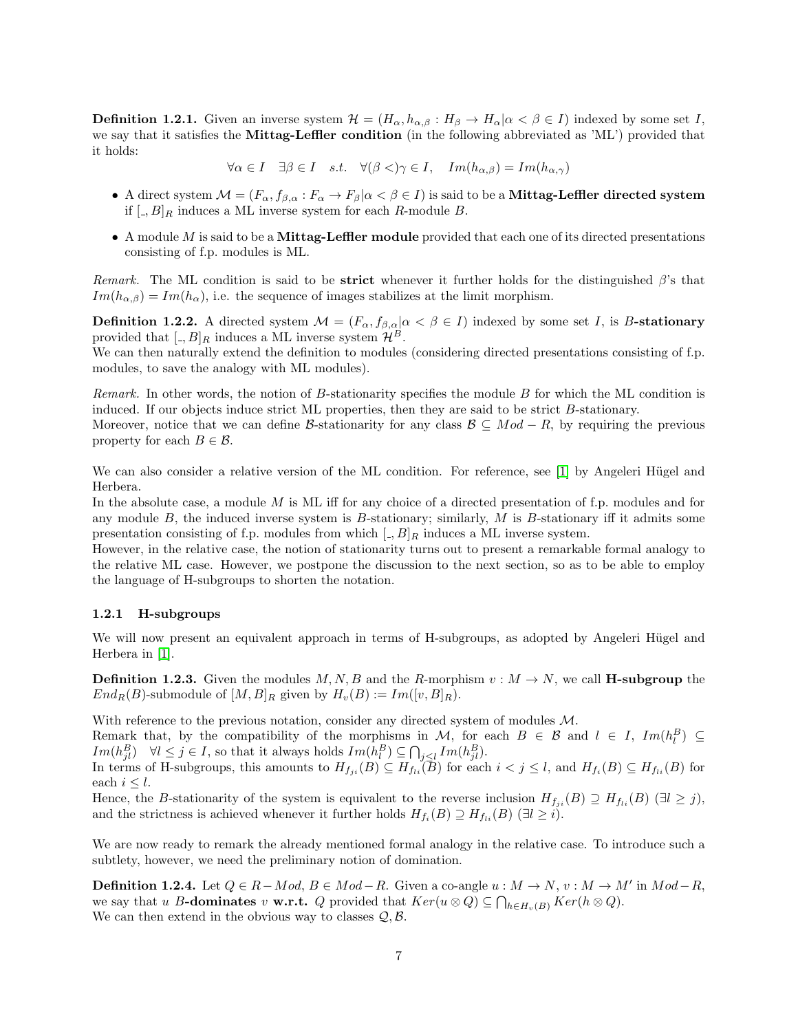**Definition 1.2.1.** Given an inverse system  $\mathcal{H} = (H_{\alpha}, h_{\alpha,\beta} : H_{\beta} \to H_{\alpha} | \alpha < \beta \in I)$  indexed by some set I, we say that it satisfies the **Mittag-Leffler condition** (in the following abbreviated as 'ML') provided that it holds:

$$
\forall \alpha \in I \quad \exists \beta \in I \quad s.t. \quad \forall (\beta <) \gamma \in I, \quad Im(h_{\alpha,\beta}) = Im(h_{\alpha,\gamma})
$$

- A direct system  $\mathcal{M} = (F_{\alpha}, f_{\beta, \alpha} : F_{\alpha} \to F_{\beta} | \alpha \lt \beta \in I)$  is said to be a **Mittag-Leffler directed system** if  $[.,B]_R$  induces a ML inverse system for each R-module B.
- $\bullet$  A module M is said to be a **Mittag-Leffler module** provided that each one of its directed presentations consisting of f.p. modules is ML.

Remark. The ML condition is said to be **strict** whenever it further holds for the distinguished  $\beta$ 's that  $Im(h_{\alpha,\beta}) = Im(h_{\alpha})$ , i.e. the sequence of images stabilizes at the limit morphism.

**Definition 1.2.2.** A directed system  $\mathcal{M} = (F_{\alpha}, f_{\beta, \alpha} | \alpha \leq \beta \in I)$  indexed by some set I, is B-stationary provided that  $[.,B]_R$  induces a ML inverse system  $\mathcal{H}^B$ .

We can then naturally extend the definition to modules (considering directed presentations consisting of f.p. modules, to save the analogy with ML modules).

Remark. In other words, the notion of  $B$ -stationarity specifies the module  $B$  for which the ML condition is induced. If our objects induce strict ML properties, then they are said to be strict B-stationary.

Moreover, notice that we can define B-stationarity for any class  $\mathcal{B} \subseteq Mod - R$ , by requiring the previous property for each  $B \in \mathcal{B}$ .

We can also consider a relative version of the ML condition. For reference, see [\[1\]](#page-43-8) by Angeleri Hügel and Herbera.

In the absolute case, a module  $M$  is ML iff for any choice of a directed presentation of f.p. modules and for any module  $B$ , the induced inverse system is  $B$ -stationary; similarly,  $M$  is  $B$ -stationary iff it admits some presentation consisting of f.p. modules from which  $\left[ \cdot, B \right]_R$  induces a ML inverse system.

However, in the relative case, the notion of stationarity turns out to present a remarkable formal analogy to the relative ML case. However, we postpone the discussion to the next section, so as to be able to employ the language of H-subgroups to shorten the notation.

#### <span id="page-6-0"></span>1.2.1 H-subgroups

We will now present an equivalent approach in terms of H-subgroups, as adopted by Angeleri Hügel and Herbera in [\[1\]](#page-43-8).

**Definition 1.2.3.** Given the modules M, N, B and the R-morphism  $v : M \to N$ , we call **H-subgroup** the  $End_R(B)$ -submodule of  $[M, B]_R$  given by  $H_v(B) := Im([v, B]_R)$ .

With reference to the previous notation, consider any directed system of modules  $M$ .

Remark that, by the compatibility of the morphisms in M, for each  $B \in \mathcal{B}$  and  $l \in I$ ,  $Im(h_l^B) \subseteq$ Im( $h_{jl}^B$ )  $\forall l \le j \in I$ , so that it always holds  $Im(h_l^B) \subseteq \bigcap_{j \le l} Im(h_{jl}^B)$ .

In terms of H-subgroups, this amounts to  $H_{f_{ji}}(B) \subseteq H_{fi}(\overline{B})$  for each  $i < j \leq l$ , and  $H_{f_i}(B) \subseteq H_{fi}(B)$  for each  $i \leq l$ .

Hence, the B-stationarity of the system is equivalent to the reverse inclusion  $H_{f_{ji}}(B) \supseteq H_{f_{li}}(B)$  ( $\exists l \geq j$ ), and the strictness is achieved whenever it further holds  $H_{f_i}(B) \supseteq H_{f_{li}}(B)$  ( $\exists l \geq i$ ).

We are now ready to remark the already mentioned formal analogy in the relative case. To introduce such a subtlety, however, we need the preliminary notion of domination.

**Definition 1.2.4.** Let  $Q \in R - Mod$ ,  $B \in Mod - R$ . Given a co-angle  $u : M \to N$ ,  $v : M \to M'$  in  $Mod - R$ , we say that u B-dominates v w.r.t. Q provided that  $Ker(u \otimes Q) \subseteq \bigcap_{h \in H_v(B)} Ker(h \otimes Q)$ . We can then extend in the obvious way to classes  $\mathcal{Q}, \mathcal{B}.$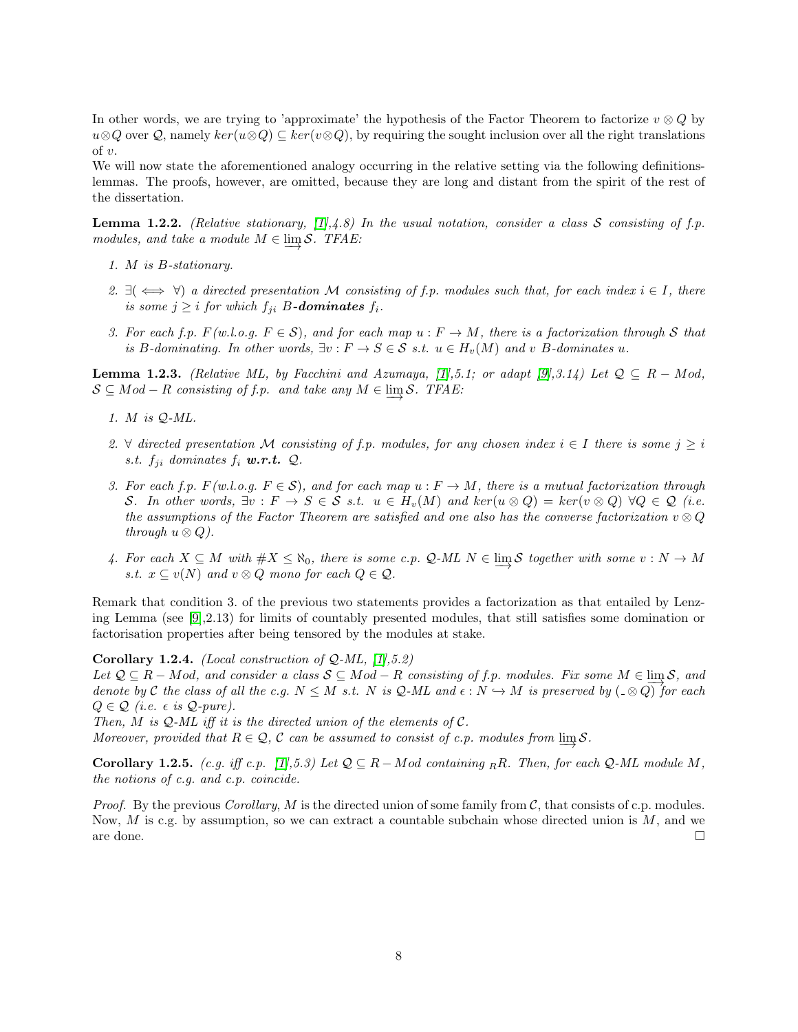In other words, we are trying to 'approximate' the hypothesis of the Factor Theorem to factorize  $v \otimes Q$  by  $u\otimes Q$  over  $Q$ , namely  $ker(u\otimes Q) \subseteq ker(v\otimes Q)$ , by requiring the sought inclusion over all the right translations of v.

We will now state the aforementioned analogy occurring in the relative setting via the following definitionslemmas. The proofs, however, are omitted, because they are long and distant from the spirit of the rest of the dissertation.

**Lemma 1.2.2.** (Relative stationary, [\[1\]](#page-43-8),4.8) In the usual notation, consider a class S consisting of f.p. modules, and take a module  $M \in \varinjlim{\mathcal S}$ . TFAE:

- 1. M is B-stationary.
- 2.  $\exists (\iff \forall)$  a directed presentation M consisting of f.p. modules such that, for each index  $i \in I$ , there is some  $j \geq i$  for which  $f_{ji}$  B-dominates  $f_i$ .
- 3. For each f.p.  $F(w.l.o.g. F \in S)$ , and for each map  $u : F \to M$ , there is a factorization through S that is B-dominating. In other words,  $\exists v : F \to S \in \mathcal{S}$  s.t.  $u \in H_v(M)$  and v B-dominates u.

**Lemma 1.2.3.** (Relative ML, by Facchini and Azumaya, [\[1\]](#page-43-8),5.1; or adapt [\[9\]](#page-43-2),3.14) Let  $Q \subseteq R - Mod$ ,  $S \subseteq Mod - R$  consisting of f.p. and take any  $M \in \varinjlim S$ . TFAE:

- 1. M is Q-ML.
- 2.  $\forall$  directed presentation M consisting of f.p. modules, for any chosen index  $i \in I$  there is some  $j \geq i$ s.t.  $f_{ji}$  dominates  $f_i$  **w.r.t.**  $Q$ .
- 3. For each f.p.  $F(w.l.o.g. F \in S)$ , and for each map  $u : F \to M$ , there is a mutual factorization through S. In other words,  $\exists v : F \to S \in S$  s.t.  $u \in H_v(M)$  and  $\ker(u \otimes Q) = \ker(v \otimes Q)$   $\forall Q \in Q$  (i.e. the assumptions of the Factor Theorem are satisfied and one also has the converse factorization  $v \otimes Q$ through  $u \otimes Q$ ).
- 4. For each  $X \subseteq M$  with  $\#X \leq \aleph_0$ , there is some c.p.  $\mathcal{Q}\text{-}ML$   $N \in \varinjlim \mathcal{S}$  together with some  $v : N \to M$ s.t.  $x \subseteq v(N)$  and  $v \otimes Q$  mono for each  $Q \in \mathcal{Q}$ .

Remark that condition 3. of the previous two statements provides a factorization as that entailed by Lenzing Lemma (see [\[9\]](#page-43-2),2.13) for limits of countably presented modules, that still satisfies some domination or factorisation properties after being tensored by the modules at stake.

Corollary 1.2.4. (Local construction of  $Q-ML$ , [\[1\]](#page-43-8), 5.2)

Let  $Q \subseteq R - Mod$ , and consider a class  $S \subseteq Mod - R$  consisting of f.p. modules. Fix some  $M \in \lim S$ , and Let  $\mathcal{Q} \subseteq R - Mod$ , and consider a class  $\mathcal{O} \subseteq Mod - R$  consisting  $\mathcal{O}$  f.p. modules. Fix some  $M \in \mathfrak{m}(\mathcal{O})$ , and denote by C the class of all the c.g.  $N \leq M$  s.t. N is Q-ML and  $\epsilon : N \hookrightarrow M$  is preserved by  $(\mathcal{Q} \$  $Q \in \mathcal{Q}$  (i.e.  $\epsilon$  is  $\mathcal{Q}\text{-}pure$ ).

Then, M is  $Q$ -ML iff it is the directed union of the elements of  $C$ .

Moreover, provided that  $R \in \mathcal{Q}$ ,  $\mathcal{C}$  can be assumed to consist of c.p. modules from  $\varinjlim{\mathcal{S}}$ .

<span id="page-7-0"></span>**Corollary 1.2.5.** (c.g. iff c.p. [\[1\]](#page-43-8),5.3) Let  $Q \subseteq R - Mod$  containing RR. Then, for each  $Q-ML$  module M, the notions of c.g. and c.p. coincide.

*Proof.* By the previous *Corollary, M* is the directed union of some family from  $\mathcal{C}$ , that consists of c.p. modules. Now,  $M$  is c.g. by assumption, so we can extract a countable subchain whose directed union is  $M$ , and we are done.  $\Box$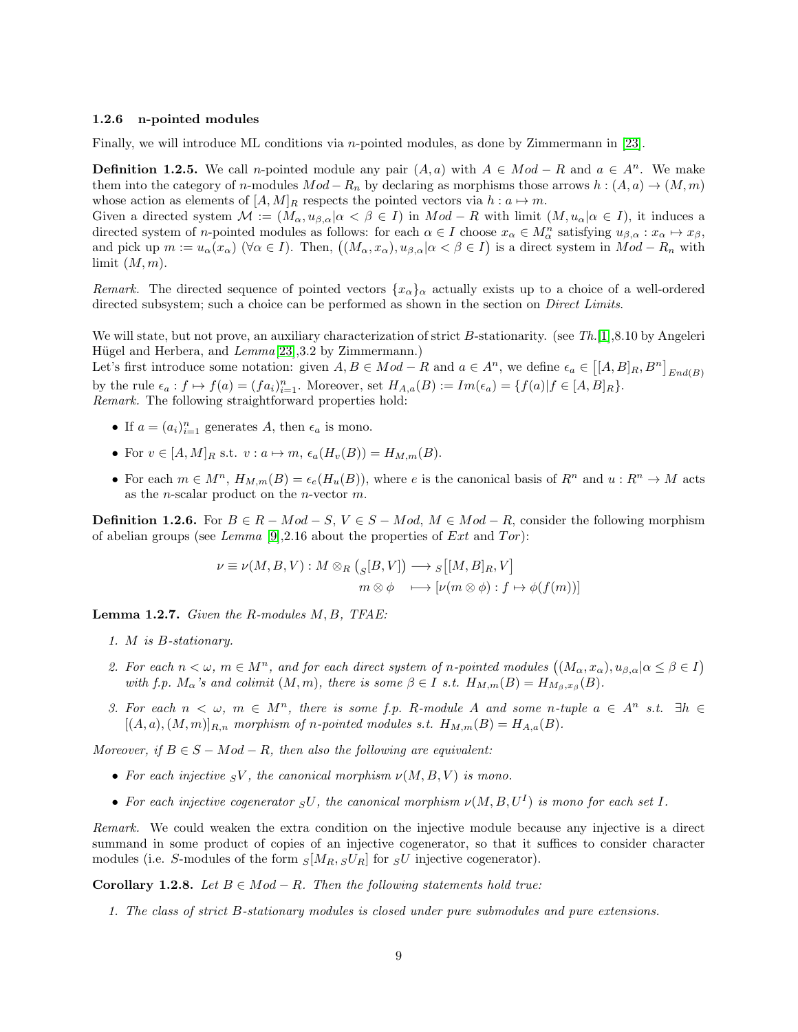#### <span id="page-8-0"></span>1.2.6 n-pointed modules

Finally, we will introduce ML conditions via n-pointed modules, as done by Zimmermann in [\[23\]](#page-44-1).

**Definition 1.2.5.** We call n-pointed module any pair  $(A, a)$  with  $A \in Mod - R$  and  $a \in A^n$ . We make them into the category of n-modules  $Mod - R_n$  by declaring as morphisms those arrows  $h : (A, a) \to (M, m)$ whose action as elements of  $[A, M]_R$  respects the pointed vectors via  $h : a \mapsto m$ .

Given a directed system  $\mathcal{M} := (M_{\alpha}, u_{\beta,\alpha} | \alpha \leq \beta \in I)$  in  $Mod - R$  with limit  $(M, u_{\alpha} | \alpha \in I)$ , it induces a directed system of *n*-pointed modules as follows: for each  $\alpha \in I$  choose  $x_{\alpha} \in M_{\alpha}^n$  satisfying  $u_{\beta,\alpha}: x_{\alpha} \mapsto x_{\beta}$ , and pick up  $m := u_\alpha(x_\alpha)$  ( $\forall \alpha \in I$ ). Then,  $((M_\alpha, x_\alpha), u_{\beta,\alpha} | \alpha < \beta \in I)$  is a direct system in  $Mod - R_n$  with limit  $(M, m)$ .

Remark. The directed sequence of pointed vectors  $\{x_{\alpha}\}_{\alpha}$  actually exists up to a choice of a well-ordered directed subsystem; such a choice can be performed as shown in the section on *Direct Limits*.

We will state, but not prove, an auxiliary characterization of strict B-stationarity. (see Th. [\[1\]](#page-43-8), 8.10 by Angeleri Hügel and Herbera, and  $Lemma [23], 3.2$  $Lemma [23], 3.2$  $Lemma [23], 3.2$  by Zimmermann.)

Let's first introduce some notation: given  $A, B \in Mod - R$  and  $a \in A^n$ , we define  $\epsilon_a \in [[A, B]_R, B^n]_{End(B)}$ by the rule  $\epsilon_a : f \mapsto f(a) = (fa_i)_{i=1}^n$ . Moreover, set  $H_{A,a}(B) := Im(\epsilon_a) = \{f(a)|f \in [A, B]_R\}$ . Remark. The following straightforward properties hold:

- If  $a = (a_i)_{i=1}^n$  generates A, then  $\epsilon_a$  is mono.
- For  $v \in [A, M]_R$  s.t.  $v : a \mapsto m$ ,  $\epsilon_a(H_v(B)) = H_{M,m}(B)$ .
- For each  $m \in M^n$ ,  $H_{M,m}(B) = \epsilon_e(H_u(B))$ , where e is the canonical basis of  $R^n$  and  $u : R^n \to M$  acts as the *n*-scalar product on the *n*-vector  $m$ .

**Definition 1.2.6.** For  $B \in R - Mod - S$ ,  $V \in S - Mod$ ,  $M \in Mod - R$ , consider the following morphism of abelian groups (see Lemma [\[9\]](#page-43-2), 2.16 about the properties of  $Ext$  and  $Tor$ ):

$$
\nu \equiv \nu(M, B, V) : M \otimes_R \left( _S[B, V] \right) \longrightarrow_S \left[ [M, B]_R, V \right]
$$

$$
m \otimes \phi \longmapsto \left[ \nu(m \otimes \phi) : f \mapsto \phi(f(m)) \right]
$$

**Lemma 1.2.7.** Given the  $R$ -modules  $M, B$ , TFAE:

- 1. M is B-stationary.
- 2. For each  $n < \omega, m \in M^n$ , and for each direct system of n-pointed modules  $((M_{\alpha}, x_{\alpha}), u_{\beta}, \alpha | \alpha \leq \beta \in I)$ with f.p.  $M_{\alpha}$ 's and colimit  $(M, m)$ , there is some  $\beta \in I$  s.t.  $H_{M,m}(B) = H_{M_{\beta},x_{\beta}}(B)$ .
- 3. For each  $n < \omega$ ,  $m \in M^n$ , there is some f.p. R-module A and some n-tuple  $a \in A^n$  s.t.  $\exists h \in$  $[(A, a), (M, m)]_{R,n}$  morphism of n-pointed modules s.t.  $H_{M,m}(B) = H_{A,a}(B)$ .

Moreover, if  $B \in S - Mod - R$ , then also the following are equivalent:

- For each injective  $sV$ , the canonical morphism  $\nu(M, B, V)$  is mono.
- For each injective cogenerator  $sU$ , the canonical morphism  $\nu(M, B, U^I)$  is mono for each set I.

Remark. We could weaken the extra condition on the injective module because any injective is a direct summand in some product of copies of an injective cogenerator, so that it suffices to consider character modules (i.e. S-modules of the form  $S[M_R, S U_R]$  for  $S U$  injective cogenerator).

Corollary 1.2.8. Let  $B ∈ Mod - R$ . Then the following statements hold true:

1. The class of strict B-stationary modules is closed under pure submodules and pure extensions.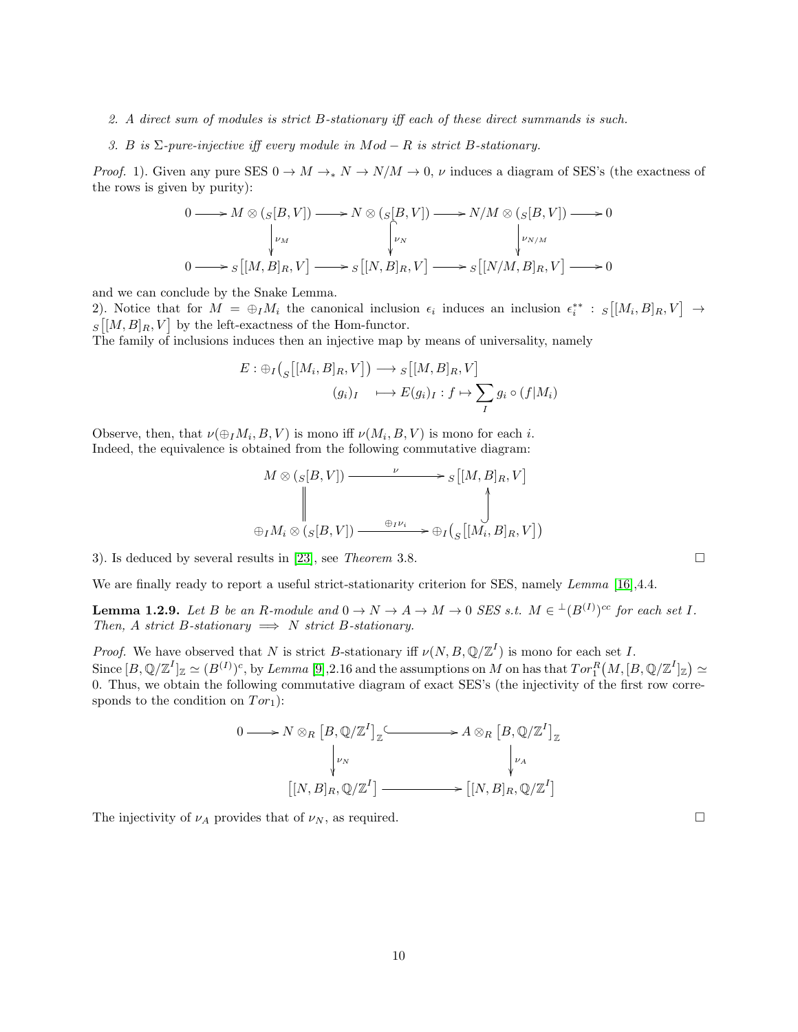- 2. A direct sum of modules is strict B-stationary iff each of these direct summands is such.
- 3. B is  $\Sigma$ -pure-injective iff every module in  $Mod R$  is strict B-stationary.

*Proof.* 1). Given any pure SES  $0 \to M \to_{\ast} N \to N/M \to 0$ ,  $\nu$  induces a diagram of SES's (the exactness of the rows is given by purity):

$$
0 \longrightarrow M \otimes (S[B, V]) \longrightarrow N \otimes (S[B, V]) \longrightarrow N/M \otimes (S[B, V]) \longrightarrow 0
$$
  
\n
$$
\downarrow_{\nu_M} \qquad \qquad \downarrow_{\nu_N} \qquad \qquad \downarrow_{\nu_{N/M}}
$$
  
\n
$$
0 \longrightarrow S[[M, B]_R, V] \longrightarrow S[[N, B]_R, V] \longrightarrow S[[N/M, B]_R, V] \longrightarrow 0
$$

and we can conclude by the Snake Lemma.

2). Notice that for  $M = \bigoplus_{I} M_i$  the canonical inclusion  $\epsilon_i$  induces an inclusion  $\epsilon_i^{**}$ :  $s[[M_i, B]_R, V] \to$  $S[[M, B]_R, V]$  by the left-exactness of the Hom-functor.

The family of inclusions induces then an injective map by means of universality, namely

$$
E: \bigoplus_{I} \left( \bigcup_{S} \left[ [M_i, B]_R, V \right] \right) \longrightarrow_S \left[ [M, B]_R, V \right]
$$

$$
(g_i)_I \longrightarrow E(g_i)_I : f \mapsto \sum_{I} g_i \circ (f | M_i)
$$

Observe, then, that  $\nu(\bigoplus_{I}M_{i}, B, V)$  is mono iff  $\nu(M_{i}, B, V)$  is mono for each *i*. Indeed, the equivalence is obtained from the following commutative diagram:

$$
M \otimes (S[B, V]) \xrightarrow{\nu} S[[M, B]_R, V]
$$
  
\n
$$
\bigoplus_{\exists I M_i \otimes (S[B, V])} \xrightarrow{\oplus_{I} \nu_i} \oplus_I \left( \bigcup_{S} [[M_i, B]_R, V] \right)
$$

3). Is deduced by several results in  $[23]$ , see *Theorem* 3.8.

We are finally ready to report a useful strict-stationarity criterion for SES, namely *Lemma* [\[16\]](#page-43-0), 4.4.

<span id="page-9-0"></span>**Lemma 1.2.9.** Let B be an R-module and  $0 \to N \to A \to M \to 0$  SES s.t.  $M \in {}^{\perp}(B^{(I)})^{cc}$  for each set I. Then, A strict B-stationary  $\implies$  N strict B-stationary.

*Proof.* We have observed that N is strict B-stationary iff  $\nu(N, B, \mathbb{Q}/\mathbb{Z}^I)$  is mono for each set I. Since  $[B, \mathbb{Q}/\mathbb{Z}^I]_{\mathbb{Z}} \simeq (B^{(I)})^c$ , by Lemma [\[9\]](#page-43-2),2.16 and the assumptions on M on has that  $Tor_1^R(M,[B,\mathbb{Q}/\mathbb{Z}^I]_{\mathbb{Z}}) \simeq$ 0. Thus, we obtain the following commutative diagram of exact SES's (the injectivity of the first row corresponds to the condition on  $Tor_1$ ):

$$
0 \longrightarrow N \otimes_R [B, \mathbb{Q}/\mathbb{Z}^I]_{\mathbb{Z}} \longrightarrow A \otimes_R [B, \mathbb{Q}/\mathbb{Z}^I]_{\mathbb{Z}}
$$

$$
\downarrow \qquad \qquad \downarrow \qquad \qquad \downarrow \qquad \qquad \downarrow \qquad \qquad \downarrow \qquad \qquad \downarrow \qquad \qquad \downarrow \qquad \qquad \downarrow \qquad \qquad \downarrow \qquad \qquad \downarrow \qquad \downarrow \qquad \downarrow \qquad \qquad \downarrow \qquad \downarrow \qquad \qquad \downarrow \qquad \downarrow \qquad \downarrow \qquad \downarrow \qquad \downarrow \qquad \downarrow \qquad \downarrow \qquad \downarrow \qquad \downarrow \qquad \downarrow \qquad \downarrow \qquad \downarrow \qquad \downarrow \qquad \downarrow \qquad \downarrow \qquad \downarrow \qquad \downarrow \qquad \downarrow \qquad \downarrow \qquad \downarrow \qquad \downarrow \qquad \downarrow \qquad \downarrow \qquad \downarrow \qquad \downarrow \qquad \downarrow \qquad \downarrow \qquad \downarrow \qquad \downarrow \qquad \downarrow \qquad \downarrow \qquad \downarrow \qquad \downarrow \qquad \downarrow \qquad \downarrow \qquad \downarrow \qquad \downarrow \qquad \downarrow \qquad \downarrow \qquad \downarrow \qquad \downarrow \qquad \downarrow \qquad \downarrow \qquad \downarrow \qquad \downarrow \qquad \downarrow \qquad \downarrow \qquad \downarrow \qquad \downarrow \qquad \downarrow \qquad \downarrow \qquad \downarrow \qquad \downarrow \qquad \downarrow \qquad \downarrow \qquad \downarrow \qquad \downarrow \qquad \downarrow \qquad \downarrow \qquad \downarrow \qquad \downarrow \qquad \downarrow \qquad \downarrow \qquad \downarrow \qquad \downarrow \qquad \downarrow \qquad \downarrow \qquad \downarrow \qquad \downarrow \qquad \downarrow \qquad \downarrow \qquad \downarrow \qquad \downarrow \qquad \downarrow \qquad \downarrow \qquad \downarrow \qquad \downarrow \qquad \downarrow \qquad \downarrow \qquad \downarrow \qquad \downarrow \qquad \downarrow \qquad \downarrow \qquad \downarrow \qquad \downarrow \qquad \downarrow \qquad \downarrow \qquad \downarrow \qquad \downarrow \qquad \downarrow \qquad \downarrow \qquad \downarrow \qquad \downarrow \qquad \downarrow \qquad \downarrow \qquad \
$$

The injectivity of  $\nu_A$  provides that of  $\nu_N$ , as required.  $\Box$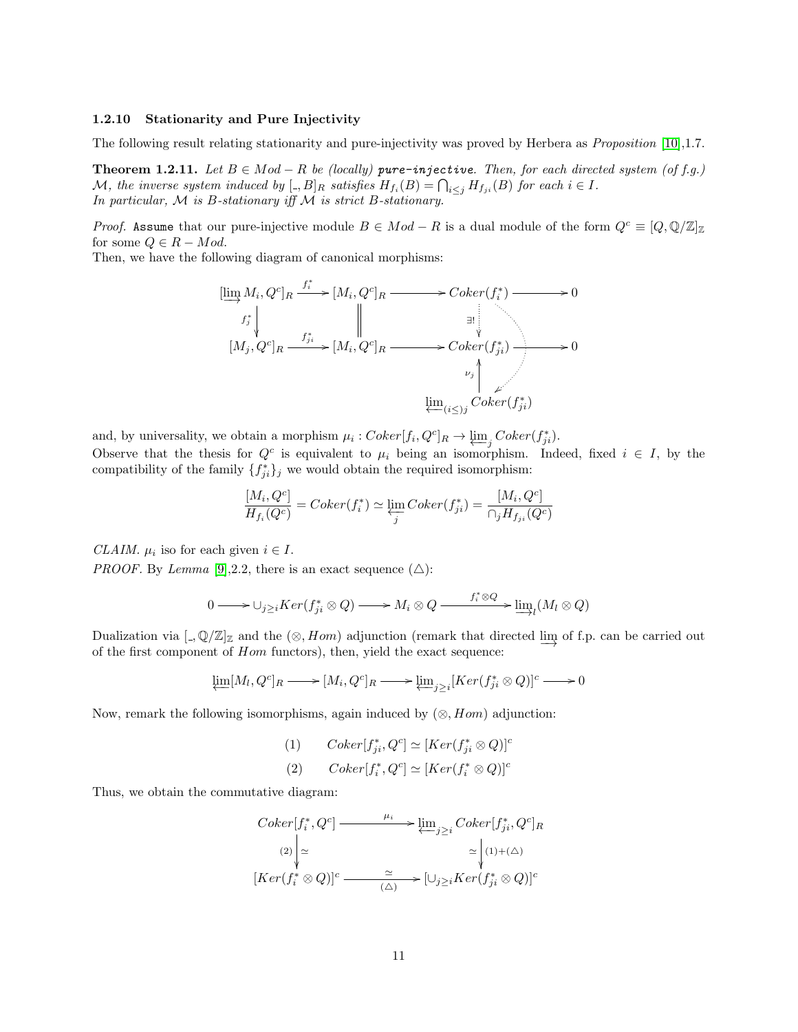#### <span id="page-10-0"></span>1.2.10 Stationarity and Pure Injectivity

The following result relating stationarity and pure-injectivity was proved by Herbera as *Proposition* [\[10\]](#page-43-9),1.7.

**Theorem 1.2.11.** Let  $B \in Mod - R$  be (locally) pure-injective. Then, for each directed system (of f.g.) M, the inverse system induced by  $[.,B]_R$  satisfies  $H_{f_i}(B) = \bigcap_{i \leq j} H_{f_{ji}}(B)$  for each  $i \in I$ . In particular,  $M$  is B-stationary iff  $M$  is strict B-stationary.

*Proof.* Assume that our pure-injective module  $B \in Mod - R$  is a dual module of the form  $Q^c \equiv [Q, \mathbb{Q}/\mathbb{Z}]_{\mathbb{Z}}$ for some  $Q \in R - Mod$ .

Then, we have the following diagram of canonical morphisms:



and, by universality, we obtain a morphism  $\mu_i: Coker[f_i, Q^c]_R \to \underbrace{\lim}_{j} Coker(f_{ji}^*).$ 

Observe that the thesis for  $Q^c$  is equivalent to  $\mu_i$  being an isomorphism. Indeed, fixed  $i \in I$ , by the compatibility of the family  $\{f_{ji}^*\}_j$  we would obtain the required isomorphism:

$$
\frac{[M_i, Q^c]}{H_{f_i}(Q^c)} = Coker(f_i^*) \simeq \varprojlim_j Coker(f_{ji}^*) = \frac{[M_i, Q^c]}{\cap_j H_{f_{ji}}(Q^c)}
$$

CLAIM.  $\mu_i$  iso for each given  $i \in I$ .

*PROOF.* By *Lemma* [\[9\]](#page-43-2), 2.2, there is an exact sequence  $(\triangle)$ :

$$
0 \longrightarrow \bigcup_{j\geq i} Ker(f_{ji}^*\otimes Q) \longrightarrow M_i\otimes Q \longrightarrow f_i^*\otimes Q \longrightarrow \underline{\lim}_{l} (M_l\otimes Q)
$$

Dualization via  $\llbracket \Box, \mathbb{Q}/\mathbb{Z} \rrbracket_{\mathbb{Z}}$  and the  $(\otimes, Hom)$  adjunction (remark that directed  $\varinjlim$  of f.p. can be carried out of the first component of Hom functors), then, yield the exact sequence:

$$
\underleftarrow{\lim}[M_l, Q^c]_R \longrightarrow [M_i, Q^c]_R \longrightarrow \underleftarrow{\lim}_{j \geq i} [Ker(f^*_{ji} \otimes Q)]^c \longrightarrow 0
$$

Now, remark the following isomorphisms, again induced by  $(\otimes, Hom)$  adjunction:

(1) 
$$
Coker[f_{ji}^*, Q^c] \simeq [Ker(f_{ji}^* \otimes Q)]^c
$$
  
(2)  $Coker[f_i^*, Q^c] \simeq [Ker(f_i^* \otimes Q)]^c$ 

Thus, we obtain the commutative diagram:

$$
Coker[f_i^*, Q^c] \longrightarrow \underbrace{\lim_{j \geq i} Coker[f_{ji}^*, Q^c]_R}_{\text{(2)} \underset{\text{(2)}}{\downarrow} \simeq} \cong \underbrace{\lim_{j \geq i} Coker[f_{ji}^*, Q^c]_R}_{\text{(1)}+(\triangle)} \cong \underbrace{\bigcup_{(1) + (\triangle)}}_{\text{(3)} \simeq iKer(f_{ji}^* \otimes Q)]^c}
$$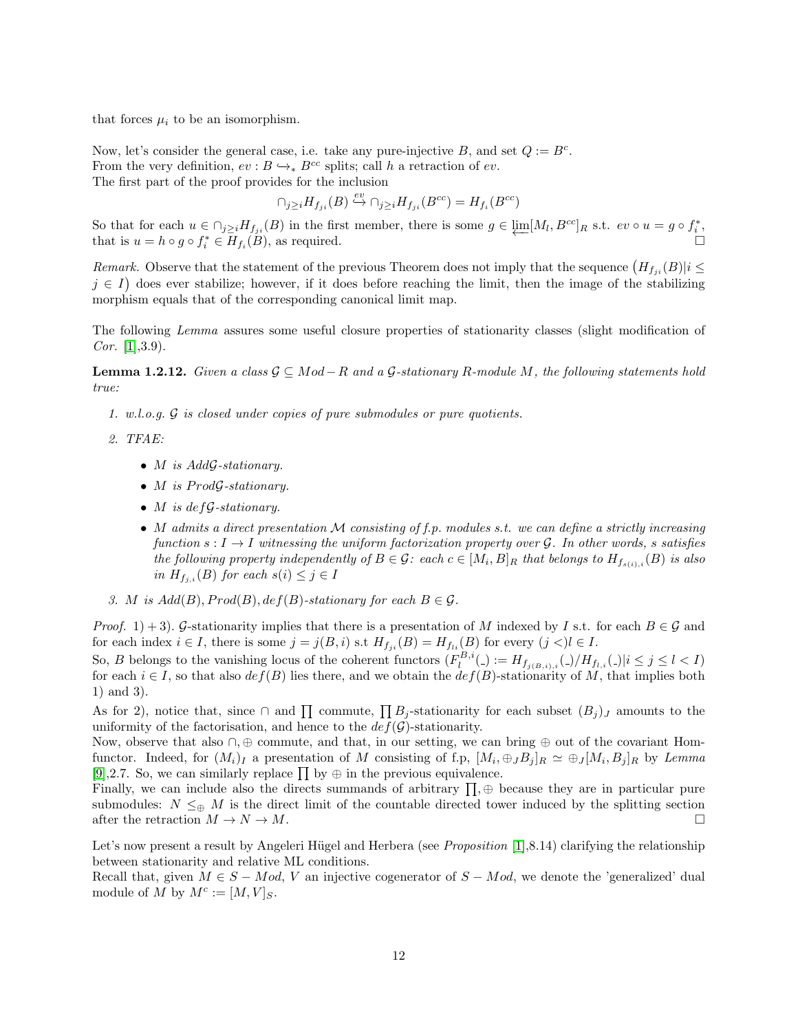that forces  $\mu_i$  to be an isomorphism.

Now, let's consider the general case, i.e. take any pure-injective B, and set  $Q := B^c$ . From the very definition,  $ev : B \hookrightarrow_{*} B^{cc}$  splits; call h a retraction of ev. The first part of the proof provides for the inclusion

$$
\cap_{j\geq i} H_{f_{ji}}(B)\stackrel{ev}\hookrightarrow \cap_{j\geq i} H_{f_{ji}}(B^{cc})=H_{f_i}(B^{cc})
$$

So that for each  $u \in \bigcap_{j\geq i} H_{j,i}(B)$  in the first member, there is some  $g \in \varprojlim [M_i, B^{cc}]_R$  s.t.  $ev \circ u = g \circ f_i^*$ , that is  $u = h \circ g \circ f_i^* \in \overline{H}_{f_i}$  $(B)$ , as required.  $\square$ 

Remark. Observe that the statement of the previous Theorem does not imply that the sequence  $(H_{f_{ji}}(B)|i \leq$  $j \in I$ ) does ever stabilize; however, if it does before reaching the limit, then the image of the stabilizing morphism equals that of the corresponding canonical limit map.

The following Lemma assures some useful closure properties of stationarity classes (slight modification of  $Cor. \; [1], 3.9$  $Cor. \; [1], 3.9$  $Cor. \; [1], 3.9$ .

<span id="page-11-0"></span>**Lemma 1.2.12.** Given a class  $\mathcal{G} \subseteq Mod - R$  and a  $\mathcal{G}$ -stationary R-module M, the following statements hold true:

1. w.l.o.g. G is closed under copies of pure submodules or pure quotients.

2. TFAE:

- *M* is AddG-stationary.
- $M$  is  $Prod \mathcal{G}\text{-}stationary$ .
- *M* is def*G*-stationary.
- M admits a direct presentation  $M$  consisting of f.p. modules s.t. we can define a strictly increasing function  $s: I \to I$  witnessing the uniform factorization property over G. In other words, s satisfies the following property independently of  $B \in \mathcal{G}$ : each  $c \in [M_i, B]_R$  that belongs to  $H_{f_{s(i),i}}(B)$  is also in  $H_{f_{j,i}}(B)$  for each  $s(i) \leq j \in I$
- 3. M is  $Add(B), Prod(B), def(B)$ -stationary for each  $B \in \mathcal{G}$ .

*Proof.* 1) + 3). G-stationarity implies that there is a presentation of M indexed by I s.t. for each  $B \in \mathcal{G}$  and for each index  $i \in I$ , there is some  $j = j(B, i)$  s.t  $H_{f_{ji}}(B) = H_{f_{li}}(B)$  for every  $(j <)l \in I$ .

So, B belongs to the vanishing locus of the coherent functors  $(F_l^{B,i}(\cdot) := H_{f_{j(B,i),i}}(\cdot)/H_{f_{l,i}}(\cdot)|i \leq j \leq l < I)$ for each  $i \in I$ , so that also  $def(B)$  lies there, and we obtain the  $def(B)$ -stationarity of M, that implies both 1) and 3).

As for 2), notice that, since  $\cap$  and  $\prod$  commute,  $\prod B_j$ -stationarity for each subset  $(B_j)_J$  amounts to the uniformity of the factorisation, and hence to the  $def(\mathcal{G})$ -stationarity.

Now, observe that also ∩, ⊕ commute, and that, in our setting, we can bring ⊕ out of the covariant Homfunctor. Indeed, for  $(M_i)_I$  a presentation of M consisting of f.p,  $[M_i, \bigoplus_J B_j]_R \simeq \bigoplus_J [M_i, B_j]_R$  by Lemma [\[9\]](#page-43-2),2.7. So, we can similarly replace  $\prod$  by  $\oplus$  in the previous equivalence.

Finally, we can include also the directs summands of arbitrary  $\prod$ ,  $\oplus$  because they are in particular pure submodules:  $N \leq_{\oplus} M$  is the direct limit of the countable directed tower induced by the splitting section after the retraction  $M \to N \to M$ .

Let's now present a result by Angeleri Hügel and Herbera (see *Proposition* [\[1\]](#page-43-8), 8.14) clarifying the relationship between stationarity and relative ML conditions.

Recall that, given  $M \in S - Mod$ , V an injective cogenerator of  $S - Mod$ , we denote the 'generalized' dual module of M by  $M^c := [M, V]_S$ .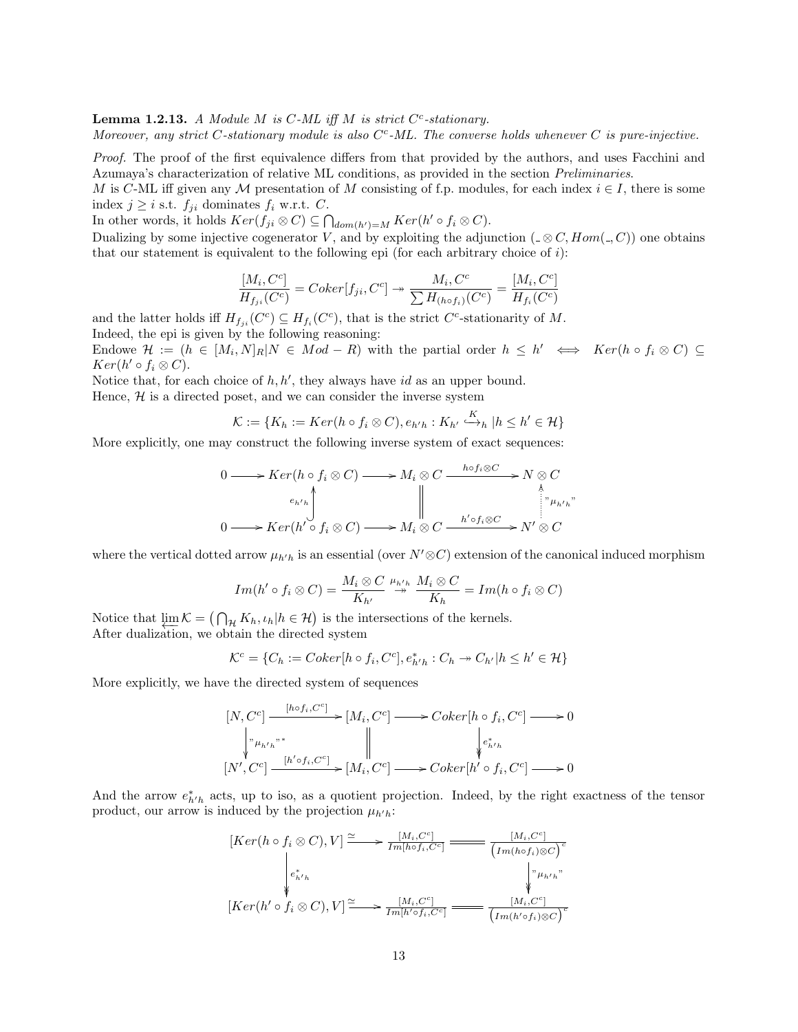<span id="page-12-0"></span>**Lemma 1.2.13.** A Module M is  $C$ -ML iff M is strict  $C^c$ -stationary.

Moreover, any strict C-stationary module is also  $C^c$ -ML. The converse holds whenever C is pure-injective.

Proof. The proof of the first equivalence differs from that provided by the authors, and uses Facchini and Azumaya's characterization of relative ML conditions, as provided in the section Preliminaries.

M is C-ML iff given any M presentation of M consisting of f.p. modules, for each index  $i \in I$ , there is some index  $j \geq i$  s.t.  $f_{ji}$  dominates  $f_i$  w.r.t. C.

In other words, it holds  $Ker(f_{ji} \otimes C) \subseteq \bigcap_{dom(h')=M} Ker(h' \circ f_i \otimes C)$ .

Dualizing by some injective cogenerator V, and by exploiting the adjunction ( $\leq \mathcal{O}, Hom(\cdot, C)$ ) one obtains that our statement is equivalent to the following epi (for each arbitrary choice of  $i$ ):

$$
\frac{[M_i, C^c]}{H_{f_{ji}}(C^c)} = Coker[f_{ji}, C^c] \rightarrow \frac{M_i, C^c}{\sum H_{(h \circ f_i)}(C^c)} = \frac{[M_i, C^c]}{H_{f_i}(C^c)}
$$

and the latter holds iff  $H_{f_{ji}}(C^c) \subseteq H_{f_i}(C^c)$ , that is the strict  $C^c$ -stationarity of M. Indeed, the epi is given by the following reasoning:

Endowe  $\mathcal{H} := (h \in [M_i, N]_R | N \in Mod - R)$  with the partial order  $h \leq h' \iff Ker(h \circ f_i \otimes C) \subseteq$  $Ker(h' \circ f_i \otimes C).$ 

Notice that, for each choice of  $h, h'$ , they always have id as an upper bound. Hence,  $H$  is a directed poset, and we can consider the inverse system

$$
\mathcal{K} := \{ K_h := Ker(h \circ f_i \otimes C), e_{h'h} : K_{h'} \stackrel{K}{\longrightarrow}_h | h \le h' \in \mathcal{H} \}
$$

More explicitly, one may construct the following inverse system of exact sequences:

$$
0 \longrightarrow Ker(h \circ f_i \otimes C) \longrightarrow M_i \otimes C \xrightarrow{h \circ f_i \otimes C} N \otimes C
$$
  
\n
$$
e_{h'h} \downarrow \qquad \qquad \downarrow \qquad \qquad \downarrow
$$
  
\n
$$
0 \longrightarrow Ker(h' \circ f_i \otimes C) \longrightarrow M_i \otimes C \xrightarrow{h' \circ f_i \otimes C} N' \otimes C
$$

where the vertical dotted arrow  $\mu_{h/h}$  is an essential (over  $N' \otimes C$ ) extension of the canonical induced morphism

$$
Im(h' \circ f_i \otimes C) = \frac{M_i \otimes C}{K_{h'}} \stackrel{\mu_{h'h}}{\rightarrow} \frac{M_i \otimes C}{K_h} = Im(h \circ f_i \otimes C)
$$

Notice that  $\lim_{h \to \infty} \mathcal{K} = (\bigcap_{\mathcal{H}} K_h, \iota_h | h \in \mathcal{H})$  is the intersections of the kernels. After dualization, we obtain the directed system

$$
\mathcal{K}^c = \{C_h := Coker[h \circ f_i, C^c], e^*_{h'h} : C_h \to C_{h'} | h \le h' \in \mathcal{H} \}
$$

More explicitly, we have the directed system of sequences

$$
[N, C^{c}] \xrightarrow{[h \circ f_{i}, C^{c}]} [M_{i}, C^{c}] \longrightarrow Coker[h \circ f_{i}, C^{c}] \longrightarrow 0
$$
  
\n
$$
\downarrow^{n} \downarrow^{n^{*}} \downarrow^{n^{*}}
$$
  
\n
$$
[N', C^{c}] \xrightarrow{[h' \circ f_{i}, C^{c}]} [M_{i}, C^{c}] \longrightarrow Coker[h' \circ f_{i}, C^{c}] \longrightarrow 0
$$

And the arrow  $e_{h'h}^*$  acts, up to iso, as a quotient projection. Indeed, by the right exactness of the tensor product, our arrow is induced by the projection  $\mu_{h'h}$ :

$$
[Ker(h \circ f_i \otimes C), V] \xrightarrow{\simeq} \frac{[M_i, C^c]}{Im[h \circ f_i, C^c]} \xrightarrow{\qquad [M_i, C^c]} \frac{[M_i, C^c]}{(Im(h \circ f_i) \otimes C)^c}
$$
  
\n
$$
\downarrow e_{h'h}^* \qquad \qquad \downarrow \qquad \qquad \downarrow \qquad \downarrow \qquad \downarrow \qquad \downarrow \qquad \downarrow \qquad \downarrow \qquad \downarrow \qquad \downarrow \qquad \downarrow \qquad \downarrow \qquad \downarrow \qquad \downarrow \qquad \downarrow \qquad \downarrow \qquad \downarrow \qquad \downarrow \qquad \downarrow \qquad \downarrow \qquad \downarrow \qquad \downarrow \qquad \downarrow \qquad \downarrow \qquad \downarrow \qquad \downarrow \qquad \downarrow \qquad \downarrow \qquad \downarrow \qquad \downarrow \qquad \downarrow \qquad \downarrow \qquad \downarrow \qquad \downarrow \qquad \downarrow \qquad \downarrow \qquad \downarrow \qquad \downarrow \qquad \downarrow \qquad \downarrow \qquad \downarrow \qquad \downarrow \qquad \downarrow \qquad \downarrow \qquad \downarrow \qquad \downarrow \qquad \downarrow \qquad \downarrow \qquad \downarrow \qquad \downarrow \qquad \downarrow \qquad \downarrow \qquad \downarrow \qquad \downarrow \qquad \downarrow \qquad \downarrow \qquad \downarrow \qquad \downarrow \qquad \downarrow \qquad \downarrow \qquad \downarrow \qquad \downarrow \qquad \downarrow \qquad \downarrow \qquad \downarrow \qquad \downarrow \qquad \downarrow \qquad \downarrow \qquad \downarrow \qquad \downarrow \qquad \downarrow \qquad \downarrow \qquad \downarrow \qquad \downarrow \qquad \downarrow \qquad \downarrow \qquad \downarrow \qquad \downarrow \qquad \downarrow \qquad \downarrow \qquad \downarrow \qquad \downarrow \qquad \downarrow \qquad \downarrow \qquad \downarrow \qquad \downarrow \qquad \downarrow \qquad \downarrow \qquad \downarrow \qquad \downarrow \qquad \downarrow \qquad \downarrow \qquad \downarrow \qquad \downarrow \qquad \downarrow \qquad \downarrow \qquad \downarrow \qquad \downarrow \qquad \downarrow \qquad \downarrow \qquad \downarrow \qquad \downarrow \qquad \downarrow \qquad \downarrow \qquad \downarrow \qquad \downarrow \qquad \downarrow \qquad \downarrow \qquad \down
$$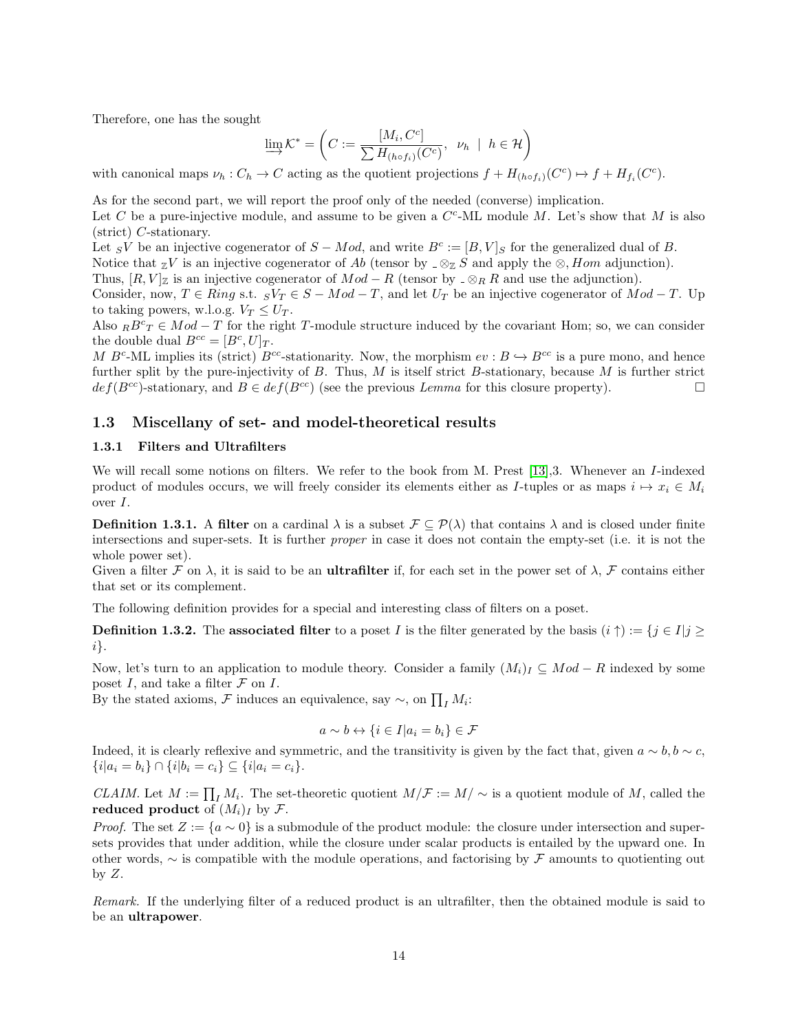Therefore, one has the sought

$$
\varinjlim \mathcal{K}^* = \left( C := \frac{[M_i, C^c]}{\sum H_{(h \circ f_i)}(C^c)}, \ \nu_h \ | \ h \in \mathcal{H} \right)
$$

with canonical maps  $\nu_h : C_h \to C$  acting as the quotient projections  $f + H_{(h \circ f_i)}(C^c) \to f + H_{f_i}(C^c)$ .

As for the second part, we will report the proof only of the needed (converse) implication.

Let C be a pure-injective module, and assume to be given a  $C^c$ -ML module M. Let's show that M is also (strict) C-stationary.

Let sV be an injective cogenerator of  $S - Mod$ , and write  $B<sup>c</sup> := [B, V]$ s for the generalized dual of B.

Notice that  $\mathbb{Z}V$  is an injective cogenerator of Ab (tensor by  $\mathbb{Z} \otimes \mathbb{Z} S$  and apply the  $\otimes$ , Hom adjunction).

Thus,  $[R, V]$ <sub>Z</sub> is an injective cogenerator of  $Mod - R$  (tensor by  $\supset \otimes_R R$  and use the adjunction).

Consider, now,  $T \in Ring \text{ s.t. } _S V_T \in S - Mod - T$ , and let  $U_T$  be an injective cogenerator of  $Mod - T$ . Up to taking powers, w.l.o.g.  $V_T \le U_T$ .

Also  $_R B^c_T \in Mod - T$  for the right T-module structure induced by the covariant Hom; so, we can consider the double dual  $B^{cc} = [B^c, U]_T$ .

M B<sup>c</sup>-ML implies its (strict) B<sup>cc</sup>-stationarity. Now, the morphism  $ev : B \hookrightarrow B^{cc}$  is a pure mono, and hence further split by the pure-injectivity of  $B$ . Thus,  $M$  is itself strict  $B$ -stationary, because  $M$  is further strict  $def(B^{cc})$ -stationary, and  $B \in def(B^{cc})$  (see the previous Lemma for this closure property).

#### <span id="page-13-0"></span>1.3 Miscellany of set- and model-theoretical results

#### <span id="page-13-1"></span>1.3.1 Filters and Ultrafilters

We will recall some notions on filters. We refer to the book from M. Prest [\[13\]](#page-43-10), 3. Whenever an *I*-indexed product of modules occurs, we will freely consider its elements either as I-tuples or as maps  $i \mapsto x_i \in M_i$ over I.

**Definition 1.3.1.** A filter on a cardinal  $\lambda$  is a subset  $\mathcal{F} \subseteq \mathcal{P}(\lambda)$  that contains  $\lambda$  and is closed under finite intersections and super-sets. It is further proper in case it does not contain the empty-set (i.e. it is not the whole power set).

Given a filter F on  $\lambda$ , it is said to be an **ultrafilter** if, for each set in the power set of  $\lambda$ , F contains either that set or its complement.

The following definition provides for a special and interesting class of filters on a poset.

**Definition 1.3.2.** The associated filter to a poset I is the filter generated by the basis  $(i \uparrow) := \{j \in I | j \geq j\}$ i}.

Now, let's turn to an application to module theory. Consider a family  $(M_i)_I \subseteq Mod - R$  indexed by some poset  $I$ , and take a filter  $\mathcal F$  on  $I$ .

By the stated axioms,  $\mathcal F$  induces an equivalence, say  $\sim$ , on  $\prod_I M_i$ :

$$
a \sim b \leftrightarrow \{i \in I | a_i = b_i\} \in \mathcal{F}
$$

Indeed, it is clearly reflexive and symmetric, and the transitivity is given by the fact that, given  $a \sim b, b \sim c$ ,  $\{i|a_i = b_i\} \cap \{i|b_i = c_i\} \subseteq \{i|a_i = c_i\}.$ 

CLAIM. Let  $M := \prod_I M_i$ . The set-theoretic quotient  $M/\mathcal{F} := M/\sim$  is a quotient module of M, called the reduced product of  $(M_i)_I$  by  $\mathcal{F}$ .

*Proof.* The set  $Z := \{a \sim 0\}$  is a submodule of the product module: the closure under intersection and supersets provides that under addition, while the closure under scalar products is entailed by the upward one. In other words,  $\sim$  is compatible with the module operations, and factorising by F amounts to quotienting out by  $Z$ .

Remark. If the underlying filter of a reduced product is an ultrafilter, then the obtained module is said to be an ultrapower.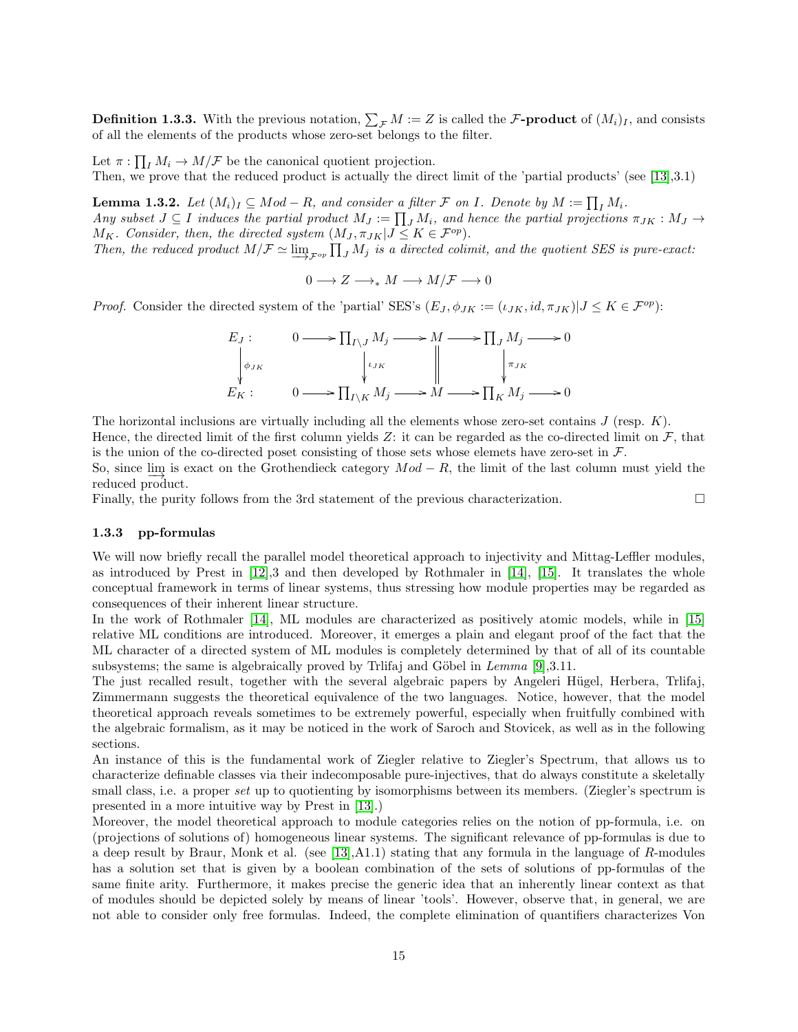**Definition 1.3.3.** With the previous notation,  $\sum_{\mathcal{F}} M := Z$  is called the  $\mathcal{F}\text{-product}$  of  $(M_i)_I$ , and consists of all the elements of the products whose zero-set belongs to the filter.

Let  $\pi: \prod_I M_i \to M/\mathcal{F}$  be the canonical quotient projection.

Then, we prove that the reduced product is actually the direct limit of the 'partial products' (see [\[13\]](#page-43-10),3.1)

<span id="page-14-1"></span>**Lemma 1.3.2.** Let  $(M_i)_I \subseteq Mod - R$ , and consider a filter  $\mathcal F$  on I. Denote by  $M := \prod_I M_i$ . Any subset  $J \subseteq I$  induces the partial product  $M_J := \prod_J M_i$ , and hence the partial projections  $\pi_{JK} : M_J \to M_J$  $M_K$ . Consider, then, the directed system  $(M_J, \pi_{JK} | J \leq K \in \mathcal{F}^{op}).$ 

Then, the reduced product  $M/F \simeq \varinjlim_{F \circ p} \prod_J M_j$  is a directed colimit, and the quotient SES is pure-exact:

 $0 \longrightarrow Z \longrightarrow_{\ast} M \longrightarrow M/\mathcal{F} \longrightarrow 0$ 

*Proof.* Consider the directed system of the 'partial' SES's  $(E_J, \phi_{JK} := (\iota_{JK}, id, \pi_{JK}) | J \leq K \in \mathcal{F}^{op}$ :

$$
E_J: \t 0 \longrightarrow \prod_{I \setminus J} M_j \longrightarrow M \longrightarrow \prod_J M_j \longrightarrow 0
$$
  
\n
$$
\downarrow_{JK}
$$
  
\n
$$
E_K: \t 0 \longrightarrow \prod_{I \setminus K} M_j \longrightarrow M \longrightarrow \prod_K M_j \longrightarrow 0
$$

The horizontal inclusions are virtually including all the elements whose zero-set contains  $J$  (resp.  $K$ ). Hence, the directed limit of the first column yields Z: it can be regarded as the co-directed limit on  $\mathcal{F}$ , that is the union of the co-directed poset consisting of those sets whose elemets have zero-set in  $\mathcal{F}$ .

So, since  $\lim_{n \to \infty}$  is exact on the Grothendieck category  $Mod - R$ , the limit of the last column must yield the reduced product.

Finally, the purity follows from the 3rd statement of the previous characterization. □

#### <span id="page-14-0"></span>1.3.3 pp-formulas

We will now briefly recall the parallel model theoretical approach to injectivity and Mittag-Leffler modules, as introduced by Prest in  $[12]$ ,3 and then developed by Rothmaler in  $[14]$ ,  $[15]$ . It translates the whole conceptual framework in terms of linear systems, thus stressing how module properties may be regarded as consequences of their inherent linear structure.

In the work of Rothmaler [\[14\]](#page-43-12), ML modules are characterized as positively atomic models, while in [\[15\]](#page-43-13) relative ML conditions are introduced. Moreover, it emerges a plain and elegant proof of the fact that the ML character of a directed system of ML modules is completely determined by that of all of its countable subsystems; the same is algebraically proved by Trlifaj and Göbel in Lemma  $[9],3.11$  $[9],3.11$ .

The just recalled result, together with the several algebraic papers by Angeleri Hügel, Herbera, Trlifaj, Zimmermann suggests the theoretical equivalence of the two languages. Notice, however, that the model theoretical approach reveals sometimes to be extremely powerful, especially when fruitfully combined with the algebraic formalism, as it may be noticed in the work of Saroch and Stovicek, as well as in the following sections.

An instance of this is the fundamental work of Ziegler relative to Ziegler's Spectrum, that allows us to characterize definable classes via their indecomposable pure-injectives, that do always constitute a skeletally small class, i.e. a proper set up to quotienting by isomorphisms between its members. (Ziegler's spectrum is presented in a more intuitive way by Prest in [\[13\]](#page-43-10).)

Moreover, the model theoretical approach to module categories relies on the notion of pp-formula, i.e. on (projections of solutions of) homogeneous linear systems. The significant relevance of pp-formulas is due to a deep result by Braur, Monk et al. (see [\[13\]](#page-43-10),A1.1) stating that any formula in the language of R-modules has a solution set that is given by a boolean combination of the sets of solutions of pp-formulas of the same finite arity. Furthermore, it makes precise the generic idea that an inherently linear context as that of modules should be depicted solely by means of linear 'tools'. However, observe that, in general, we are not able to consider only free formulas. Indeed, the complete elimination of quantifiers characterizes Von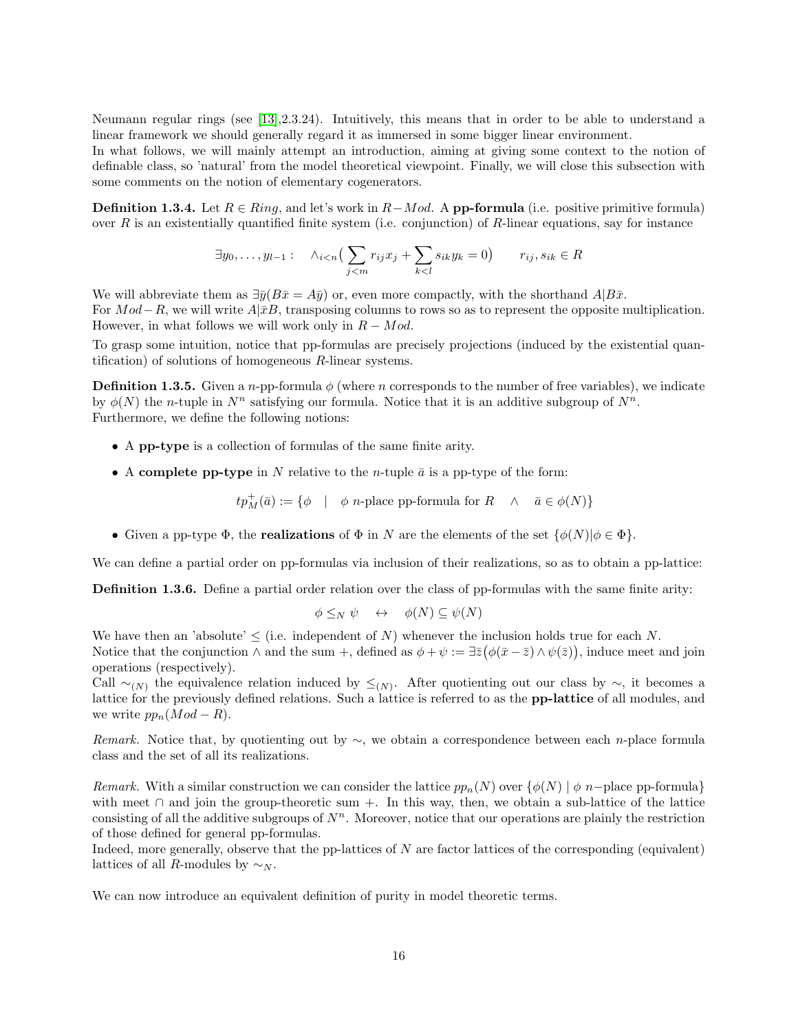Neumann regular rings (see [\[13\]](#page-43-10),2.3.24). Intuitively, this means that in order to be able to understand a linear framework we should generally regard it as immersed in some bigger linear environment.

In what follows, we will mainly attempt an introduction, aiming at giving some context to the notion of definable class, so 'natural' from the model theoretical viewpoint. Finally, we will close this subsection with some comments on the notion of elementary cogenerators.

**Definition 1.3.4.** Let  $R \in Ring$ , and let's work in  $R-Mod$ . A **pp-formula** (i.e. positive primitive formula) over R is an existentially quantified finite system (i.e. conjunction) of R-linear equations, say for instance

$$
\exists y_0, \dots, y_{l-1} : \quad \wedge_{i < n} \left( \sum_{j < m} r_{ij} x_j + \sum_{k < l} s_{ik} y_k = 0 \right) \qquad r_{ij}, s_{ik} \in R
$$

We will abbreviate them as  $\exists \bar{y}(B\bar{x} = A\bar{y})$  or, even more compactly, with the shorthand  $A|B\bar{x}$ . For  $Mod-R$ , we will write  $A|\bar{x}B$ , transposing columns to rows so as to represent the opposite multiplication. However, in what follows we will work only in  $R - Mod$ .

To grasp some intuition, notice that pp-formulas are precisely projections (induced by the existential quantification) of solutions of homogeneous  $R$ -linear systems.

**Definition 1.3.5.** Given a *n*-pp-formula  $\phi$  (where *n* corresponds to the number of free variables), we indicate by  $\phi(N)$  the *n*-tuple in  $N^n$  satisfying our formula. Notice that it is an additive subgroup of  $N^n$ . Furthermore, we define the following notions:

- A pp-type is a collection of formulas of the same finite arity.
- A complete pp-type in N relative to the *n*-tuple  $\bar{a}$  is a pp-type of the form:

 $tp_M^+(\bar{a}) := \{ \phi \mid \phi \ n\text{-place pp-formula for } R \land \bar{a} \in \phi(N) \}$ 

• Given a pp-type  $\Phi$ , the **realizations** of  $\Phi$  in N are the elements of the set  $\{\phi(N)|\phi \in \Phi\}$ .

We can define a partial order on pp-formulas via inclusion of their realizations, so as to obtain a pp-lattice:

Definition 1.3.6. Define a partial order relation over the class of pp-formulas with the same finite arity:

$$
\phi \leq_N \psi \quad \leftrightarrow \quad \phi(N) \subseteq \psi(N)
$$

We have then an 'absolute'  $\leq$  (i.e. independent of N) whenever the inclusion holds true for each N. Notice that the conjunction  $\wedge$  and the sum +, defined as  $\phi + \psi := \exists \bar{z} (\phi(\bar{x} - \bar{z}) \wedge \psi(\bar{z}))$ , induce meet and join operations (respectively).

Call  $\sim_{(N)}$  the equivalence relation induced by  $\leq_{(N)}$ . After quotienting out our class by  $\sim$ , it becomes a lattice for the previously defined relations. Such a lattice is referred to as the pp-lattice of all modules, and we write  $pp_n(Mod - R)$ .

Remark. Notice that, by quotienting out by  $\sim$ , we obtain a correspondence between each n-place formula class and the set of all its realizations.

Remark. With a similar construction we can consider the lattice  $pp_n(N)$  over  $\{\phi(N) \mid \phi \ n-\text{place pp-formula}\}\$ with meet  $\cap$  and join the group-theoretic sum +. In this way, then, we obtain a sub-lattice of the lattice consisting of all the additive subgroups of  $N<sup>n</sup>$ . Moreover, notice that our operations are plainly the restriction of those defined for general pp-formulas.

Indeed, more generally, observe that the pp-lattices of N are factor lattices of the corresponding (equivalent) lattices of all R-modules by  $\sim_N$ .

We can now introduce an equivalent definition of purity in model theoretic terms.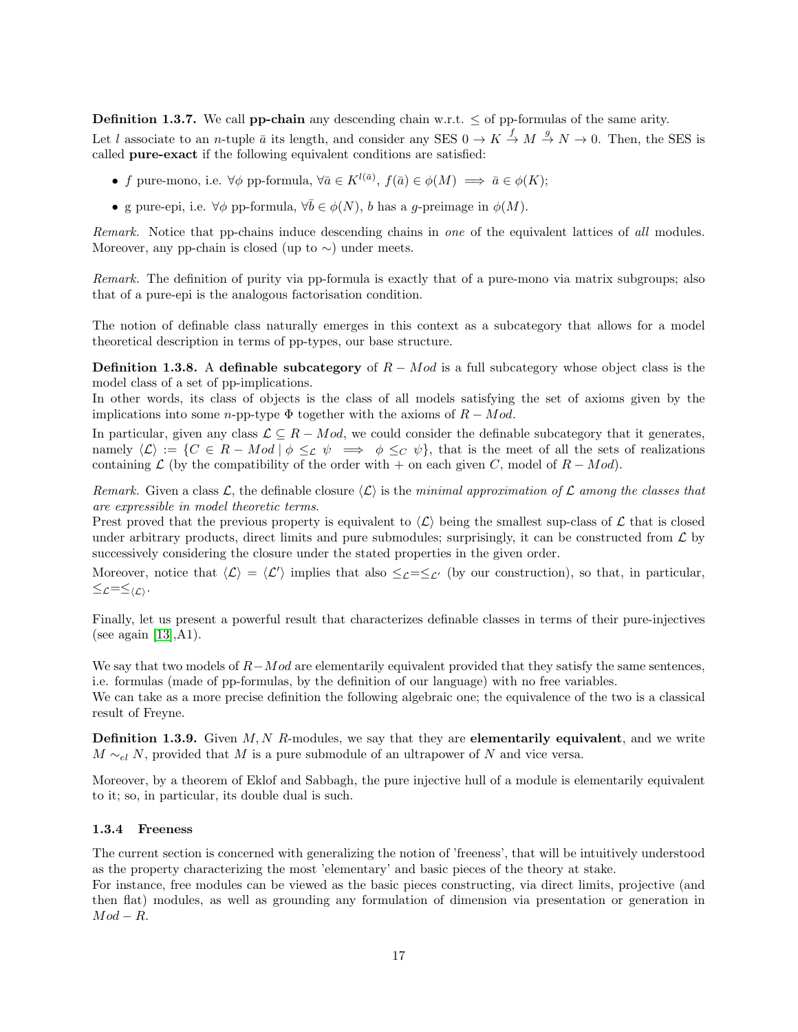**Definition 1.3.7.** We call **pp-chain** any descending chain w.r.t.  $\leq$  of pp-formulas of the same arity.

Let l associate to an *n*-tuple  $\bar{a}$  its length, and consider any SES  $0 \to K \stackrel{f}{\to} M \stackrel{g}{\to} N \to 0$ . Then, the SES is called pure-exact if the following equivalent conditions are satisfied:

- f pure-mono, i.e.  $\forall \phi$  pp-formula,  $\forall \bar{a} \in K^{l(\bar{a})}$ ,  $f(\bar{a}) \in \phi(M) \implies \bar{a} \in \phi(K);$
- g pure-epi, i.e.  $\forall \phi$  pp-formula,  $\forall \bar{b} \in \phi(N)$ , b has a g-preimage in  $\phi(M)$ .

Remark. Notice that pp-chains induce descending chains in one of the equivalent lattices of all modules. Moreover, any pp-chain is closed (up to  $\sim$ ) under meets.

Remark. The definition of purity via pp-formula is exactly that of a pure-mono via matrix subgroups; also that of a pure-epi is the analogous factorisation condition.

The notion of definable class naturally emerges in this context as a subcategory that allows for a model theoretical description in terms of pp-types, our base structure.

**Definition 1.3.8.** A definable subcategory of  $R - Mod$  is a full subcategory whose object class is the model class of a set of pp-implications.

In other words, its class of objects is the class of all models satisfying the set of axioms given by the implications into some n-pp-type  $\Phi$  together with the axioms of  $R - Mod$ .

In particular, given any class  $\mathcal{L} \subseteq R - Mod$ , we could consider the definable subcategory that it generates, namely  $\langle \mathcal{L} \rangle := \{ C \in R - Mod \mid \phi \leq_{\mathcal{L}} \psi \implies \phi \leq_{\mathcal{C}} \psi \}$ , that is the meet of all the sets of realizations containing  $\mathcal L$  (by the compatibility of the order with + on each given C, model of  $R - Mod$ ).

Remark. Given a class  $\mathcal{L}$ , the definable closure  $\langle \mathcal{L} \rangle$  is the minimal approximation of  $\mathcal{L}$  among the classes that are expressible in model theoretic terms.

Prest proved that the previous property is equivalent to  $\langle \mathcal{L} \rangle$  being the smallest sup-class of  $\mathcal{L}$  that is closed under arbitrary products, direct limits and pure submodules; surprisingly, it can be constructed from  $\mathcal L$  by successively considering the closure under the stated properties in the given order.

Moreover, notice that  $\langle \mathcal{L} \rangle = \langle \mathcal{L}' \rangle$  implies that also  $\leq_{\mathcal{L}} = \leq_{\mathcal{L}'}$  (by our construction), so that, in particular,  $\leq$  $\mathcal{L}=\leq$  $\langle \mathcal{L} \rangle$ .

Finally, let us present a powerful result that characterizes definable classes in terms of their pure-injectives (see again  $[13], A1$  $[13], A1$ ).

We say that two models of  $R-Mod$  are elementarily equivalent provided that they satisfy the same sentences, i.e. formulas (made of pp-formulas, by the definition of our language) with no free variables.

We can take as a more precise definition the following algebraic one; the equivalence of the two is a classical result of Freyne.

**Definition 1.3.9.** Given  $M, N$  R-modules, we say that they are **elementarily equivalent**, and we write  $M \sim_{el} N$ , provided that M is a pure submodule of an ultrapower of N and vice versa.

Moreover, by a theorem of Eklof and Sabbagh, the pure injective hull of a module is elementarily equivalent to it; so, in particular, its double dual is such.

#### <span id="page-16-0"></span>1.3.4 Freeness

The current section is concerned with generalizing the notion of 'freeness', that will be intuitively understood as the property characterizing the most 'elementary' and basic pieces of the theory at stake.

For instance, free modules can be viewed as the basic pieces constructing, via direct limits, projective (and then flat) modules, as well as grounding any formulation of dimension via presentation or generation in  $Mod - R$ .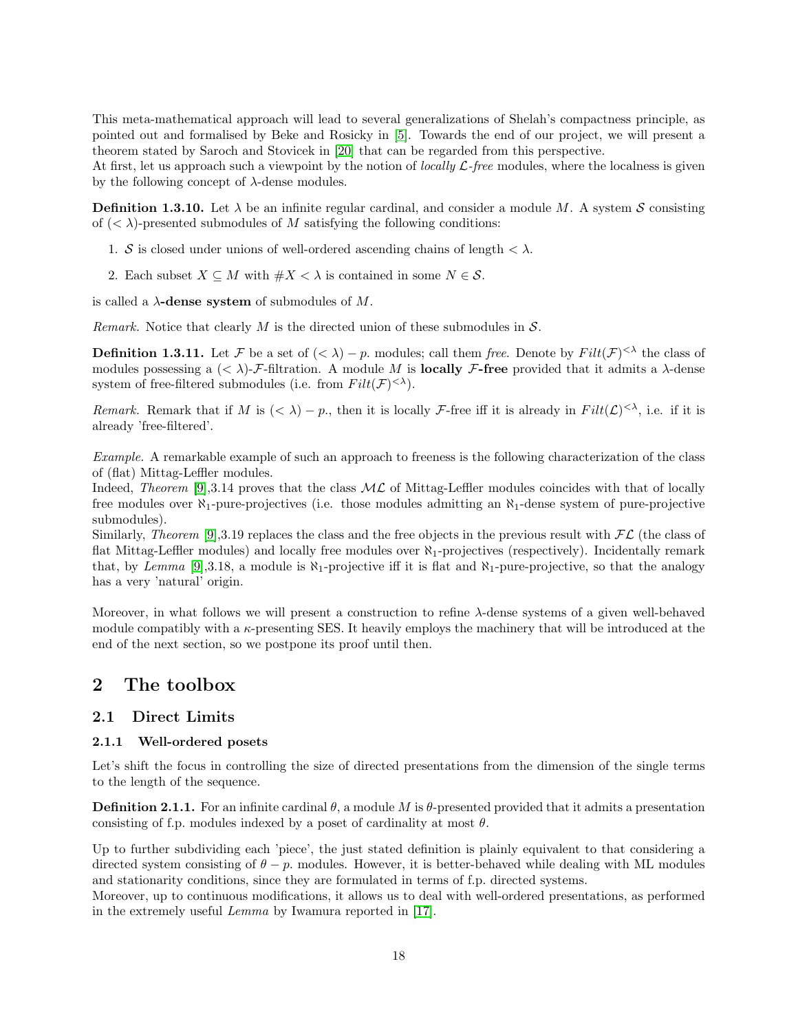This meta-mathematical approach will lead to several generalizations of Shelah's compactness principle, as pointed out and formalised by Beke and Rosicky in [\[5\]](#page-43-6). Towards the end of our project, we will present a theorem stated by Saroch and Stovicek in [\[20\]](#page-43-4) that can be regarded from this perspective.

At first, let us approach such a viewpoint by the notion of *locally*  $\mathcal{L}\text{-}free$  modules, where the localness is given by the following concept of  $\lambda$ -dense modules.

**Definition 1.3.10.** Let  $\lambda$  be an infinite regular cardinal, and consider a module M. A system S consisting of  $( $\lambda$ )-presented submodules of M satisfying the following conditions:$ 

- 1. S is closed under unions of well-ordered ascending chains of length  $\langle \lambda \rangle$ .
- 2. Each subset  $X \subseteq M$  with  $\#X < \lambda$  is contained in some  $N \in \mathcal{S}$ .

is called a  $\lambda$ -dense system of submodules of M.

Remark. Notice that clearly M is the directed union of these submodules in  $\mathcal{S}$ .

**Definition 1.3.11.** Let F be a set of  $( $\lambda$ ) - p$ . modules; call them free. Denote by  $Filt(\mathcal{F})^{\leq \lambda}$  the class of modules possessing a  $( $\lambda$ )-F-filtration. A module M is **locally** F-free provided that it admits a  $\lambda$ -dense$ system of free-filtered submodules (i.e. from  $Filt(\mathcal{F})^{\langle \lambda \rangle}$ ).

Remark. Remark that if M is  $( $\lambda$ ) - p$ , then it is locally F-free iff it is already in  $Filt(\mathcal{L})<sup>{\lambda}</sup>$ , i.e. if it is already 'free-filtered'.

Example. A remarkable example of such an approach to freeness is the following characterization of the class of (flat) Mittag-Leffler modules.

Indeed, Theorem [\[9\]](#page-43-2),3.14 proves that the class  $ML$  of Mittag-Leffler modules coincides with that of locally free modules over  $\aleph_1$ -pure-projectives (i.e. those modules admitting an  $\aleph_1$ -dense system of pure-projective submodules).

Similarly, Theorem [\[9\]](#page-43-2),3.19 replaces the class and the free objects in the previous result with  $FL$  (the class of flat Mittag-Leffler modules) and locally free modules over  $\aleph_1$ -projectives (respectively). Incidentally remark that, by Lemma [\[9\]](#page-43-2),3.18, a module is  $\aleph_1$ -projective iff it is flat and  $\aleph_1$ -pure-projective, so that the analogy has a very 'natural' origin.

Moreover, in what follows we will present a construction to refine  $\lambda$ -dense systems of a given well-behaved module compatibly with a  $\kappa$ -presenting SES. It heavily employs the machinery that will be introduced at the end of the next section, so we postpone its proof until then.

# <span id="page-17-0"></span>2 The toolbox

### <span id="page-17-1"></span>2.1 Direct Limits

#### <span id="page-17-2"></span>2.1.1 Well-ordered posets

Let's shift the focus in controlling the size of directed presentations from the dimension of the single terms to the length of the sequence.

**Definition 2.1.1.** For an infinite cardinal  $\theta$ , a module M is  $\theta$ -presented provided that it admits a presentation consisting of f.p. modules indexed by a poset of cardinality at most  $\theta$ .

Up to further subdividing each 'piece', the just stated definition is plainly equivalent to that considering a directed system consisting of  $\theta - p$ , modules. However, it is better-behaved while dealing with ML modules and stationarity conditions, since they are formulated in terms of f.p. directed systems.

Moreover, up to continuous modifications, it allows us to deal with well-ordered presentations, as performed in the extremely useful Lemma by Iwamura reported in [\[17\]](#page-43-14).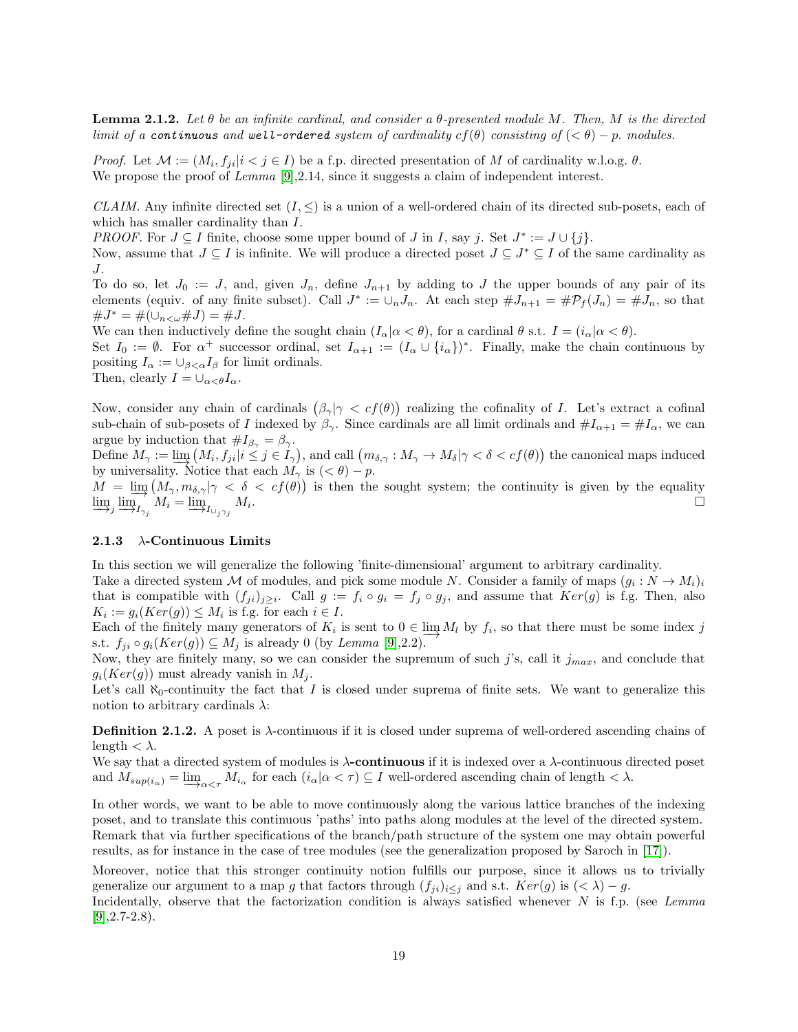**Lemma 2.1.2.** Let  $\theta$  be an infinite cardinal, and consider a  $\theta$ -presented module M. Then, M is the directed limit of a continuous and well-ordered system of cardinality  $cf(\theta)$  consisting of  $( $\theta$ ) - p$ . modules.

*Proof.* Let  $\mathcal{M} := (M_i, f_{ji} | i < j \in I)$  be a f.p. directed presentation of M of cardinality w.l.o.g.  $\theta$ . We propose the proof of  $Lemma 9,2.14$ , since it suggests a claim of independent interest.

CLAIM. Any infinite directed set  $(I, \leq)$  is a union of a well-ordered chain of its directed sub-posets, each of which has smaller cardinality than  $I$ .

PROOF. For  $J \subseteq I$  finite, choose some upper bound of  $J$  in  $I$ , say  $j$ . Set  $J^* := J \cup \{j\}$ .

Now, assume that  $J \subseteq I$  is infinite. We will produce a directed poset  $J \subseteq J^* \subseteq I$  of the same cardinality as J.

To do so, let  $J_0 := J$ , and, given  $J_n$ , define  $J_{n+1}$  by adding to J the upper bounds of any pair of its elements (equiv. of any finite subset). Call  $J^* := \bigcup_n J_n$ . At each step  $\#J_{n+1} = \#P_f(J_n) = \#J_n$ , so that  $\#J^* = \#(\cup_{n<\omega} \# J) = \#J.$ 

We can then inductively define the sought chain  $(I_\alpha | \alpha < \theta)$ , for a cardinal  $\theta$  s.t.  $I = (i_\alpha | \alpha < \theta)$ .

Set  $I_0 := \emptyset$ . For  $\alpha^+$  successor ordinal, set  $I_{\alpha+1} := (I_\alpha \cup \{i_\alpha\})^*$ . Finally, make the chain continuous by positing  $I_{\alpha} := \bigcup_{\beta < \alpha} I_{\beta}$  for limit ordinals.

Then, clearly  $I = \bigcup_{\alpha < \theta} I_{\alpha}$ .

Now, consider any chain of cardinals  $(\beta_{\gamma} | \gamma \langle cf(\theta) \rangle)$  realizing the cofinality of I. Let's extract a cofinal sub-chain of sub-posets of I indexed by  $\beta_{\gamma}$ . Since cardinals are all limit ordinals and  $\#I_{\alpha+1} = \#I_{\alpha}$ , we can argue by induction that  $\#I_{\beta_{\gamma}} = \beta_{\gamma}$ .

Define  $M_{\gamma} := \lim_{\lambda \to \infty} (M_i, f_{ji}|i \leq j \in I_{\gamma})$ , and call  $(m_{\delta, \gamma} : M_{\gamma} \to M_{\delta} | \gamma < \delta < cf(\theta))$  the canonical maps induced by universality. Notice that each  $M_{\gamma}$  is  $( $\theta$ ) - p$ .

 $M = \lim_{\delta \to 0} (M_{\gamma}, m_{\delta,\gamma} | \gamma < \delta < cf(\theta))$  is then the sought system; the continuity is given by the equality  $\varinjlim_j \varinjlim_{I_{\gamma_j}} M_i = \varinjlim_{I_{\cup_j \gamma_j}} M_i$ . □

#### <span id="page-18-0"></span>2.1.3  $\lambda$ -Continuous Limits

In this section we will generalize the following 'finite-dimensional' argument to arbitrary cardinality. Take a directed system M of modules, and pick some module N. Consider a family of maps  $(g_i: N \to M_i)_i$ 

that is compatible with  $(f_{ji})_{j\geq i}$ . Call  $g := f_i \circ g_i = f_j \circ g_j$ , and assume that  $Ker(g)$  is f.g. Then, also  $K_i := g_i(Ker(g)) \leq M_i$  is f.g. for each  $i \in I$ .

Each of the finitely many generators of  $K_i$  is sent to  $0 \in \lim_{l \to \infty} M_l$  by  $f_i$ , so that there must be some index j s.t.  $f_{ji} \circ g_i(Ker(g)) \subseteq M_j$  is already 0 (by *Lemma* [\[9\]](#page-43-2),2.2).

Now, they are finitely many, so we can consider the supremum of such j's, call it  $j_{max}$ , and conclude that  $g_i(Ker(g))$  must already vanish in  $M_i$ .

Let's call  $\aleph_0$ -continuity the fact that I is closed under suprema of finite sets. We want to generalize this notion to arbitrary cardinals  $\lambda$ :

**Definition 2.1.2.** A poset is  $\lambda$ -continuous if it is closed under suprema of well-ordered ascending chains of length  $< \lambda$ .

We say that a directed system of modules is  $\lambda$ -continuous if it is indexed over a  $\lambda$ -continuous directed poset and  $M_{sup(i_{\alpha})} = \underline{\lim}_{\alpha \leq \tau} M_{i_{\alpha}}$  for each  $(i_{\alpha} | \alpha \leq \tau) \subseteq I$  well-ordered ascending chain of length  $\leq \lambda$ .

In other words, we want to be able to move continuously along the various lattice branches of the indexing poset, and to translate this continuous 'paths' into paths along modules at the level of the directed system. Remark that via further specifications of the branch/path structure of the system one may obtain powerful results, as for instance in the case of tree modules (see the generalization proposed by Saroch in [\[17\]](#page-43-14)).

Moreover, notice that this stronger continuity notion fulfills our purpose, since it allows us to trivially generalize our argument to a map g that factors through  $(f_{ji})_{i\leq j}$  and s.t.  $Ker(g)$  is  $( $\lambda$ ) - g$ .

Incidentally, observe that the factorization condition is always satisfied whenever  $N$  is f.p. (see Lemma  $[9]$ , 2.7-2.8).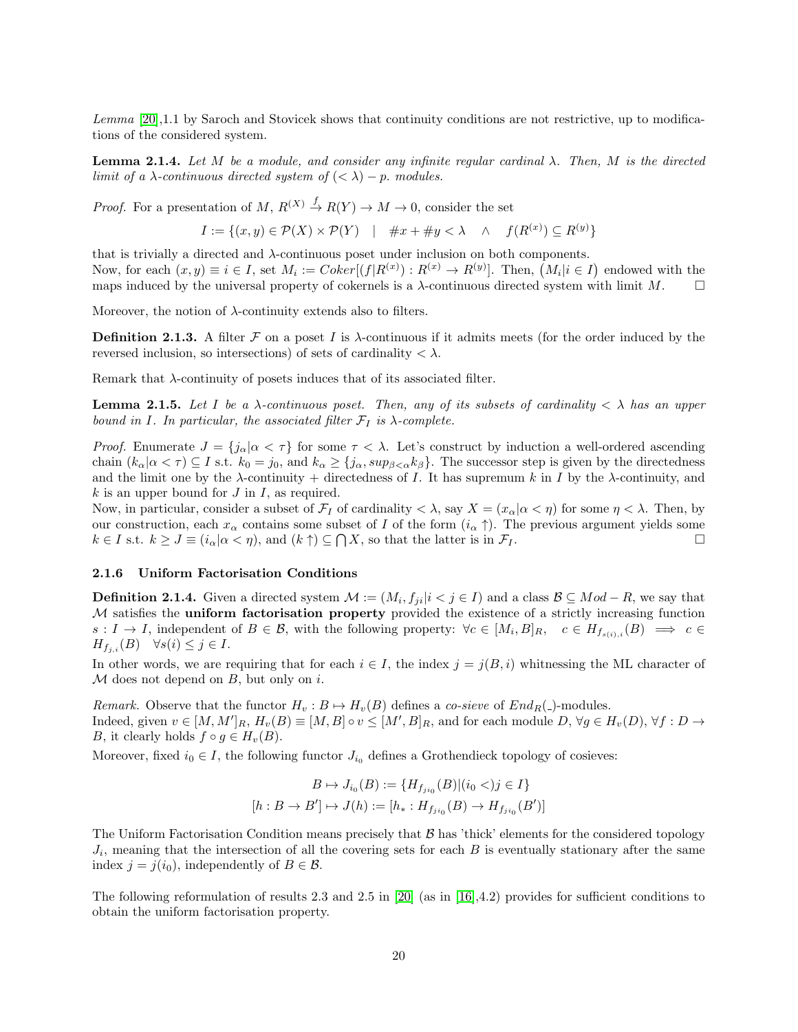Lemma [\[20\]](#page-43-4), 1.1 by Saroch and Stovicek shows that continuity conditions are not restrictive, up to modifications of the considered system.

<span id="page-19-1"></span>**Lemma 2.1.4.** Let M be a module, and consider any infinite regular cardinal  $\lambda$ . Then, M is the directed limit of a  $\lambda$ -continuous directed system of  $( $\lambda$ ) - p$ . modules.

*Proof.* For a presentation of  $M, R^{(X)} \stackrel{f}{\to} R(Y) \to M \to 0$ , consider the set

$$
I := \{(x, y) \in \mathcal{P}(X) \times \mathcal{P}(Y) \mid \#x + \#y < \lambda \land f(R^{(x)}) \subseteq R^{(y)}\}
$$

that is trivially a directed and  $\lambda$ -continuous poset under inclusion on both components. Now, for each  $(x, y) \equiv i \in I$ , set  $M_i := Coker[(f|R^{(x)}) : R^{(x)} \to R^{(y)}]$ . Then,  $(M_i|i \in I)$  endowed with the maps induced by the universal property of cokernels is a  $\lambda$ -continuous directed system with limit M.  $\Box$ 

Moreover, the notion of  $\lambda$ -continuity extends also to filters.

**Definition 2.1.3.** A filter F on a poset I is  $\lambda$ -continuous if it admits meets (for the order induced by the reversed inclusion, so intersections) of sets of cardinality  $\langle \lambda \rangle$ .

Remark that  $\lambda$ -continuity of posets induces that of its associated filter.

**Lemma 2.1.5.** Let I be a  $\lambda$ -continuous poset. Then, any of its subsets of cardinality  $\langle \lambda \rangle$  has an upper bound in I. In particular, the associated filter  $\mathcal{F}_I$  is  $\lambda$ -complete.

Proof. Enumerate  $J = \{j_\alpha | \alpha < \tau\}$  for some  $\tau < \lambda$ . Let's construct by induction a well-ordered ascending chain  $(k_{\alpha} | \alpha < \tau) \subseteq I$  s.t.  $k_0 = j_0$ , and  $k_{\alpha} \geq \{j_{\alpha}, \sup_{\beta < \alpha} k_{\beta}\}\.$  The successor step is given by the directedness and the limit one by the  $\lambda$ -continuity + directedness of I. It has supremum k in I by the  $\lambda$ -continuity, and  $k$  is an upper bound for  $J$  in  $I$ , as required.

Now, in particular, consider a subset of  $\mathcal{F}_I$  of cardinality  $\langle \lambda, \text{say } X = (x_\alpha | \alpha \langle \eta \rangle)$  for some  $\eta \langle \lambda \rangle$ . Then, by our construction, each  $x_\alpha$  contains some subset of I of the form  $(i_\alpha \uparrow)$ . The previous argument yields some  $k \in I$  s.t.  $k \geq J \equiv (i_{\alpha} | \alpha < \eta)$ , and  $(k \uparrow) \subseteq \bigcap X$ , so that the latter is in  $\mathcal{F}_I$ .

#### <span id="page-19-0"></span>2.1.6 Uniform Factorisation Conditions

**Definition 2.1.4.** Given a directed system  $\mathcal{M} := (M_i, f_{ji}|i < j \in I)$  and a class  $\mathcal{B} \subseteq Mod - R$ , we say that  $M$  satisfies the **uniform factorisation property** provided the existence of a strictly increasing function  $s: I \to I$ , independent of  $B \in \mathcal{B}$ , with the following property:  $\forall c \in [M_i, B]_R$ ,  $c \in H_{f_{s(i),i}}(B) \implies c \in I$  $H_{f_{i,i}}(B) \quad \forall s(i) \leq j \in I.$ 

In other words, we are requiring that for each  $i \in I$ , the index  $j = j(B, i)$  whitnessing the ML character of  $M$  does not depend on  $B$ , but only on  $i$ .

Remark. Observe that the functor  $H_v : B \mapsto H_v(B)$  defines a *co-sieve* of  $End_R(\Delta)$ -modules. Indeed, given  $v \in [M, M']_R$ ,  $H_v(B) \equiv [M, B] \circ v \leq [M', B]_R$ , and for each module  $D, \forall g \in H_v(D)$ ,  $\forall f : D \to$ B, it clearly holds  $f \circ g \in H_v(B)$ .

Moreover, fixed  $i_0 \in I$ , the following functor  $J_{i_0}$  defines a Grothendieck topology of cosieves:

$$
B \mapsto J_{i_0}(B) := \{ H_{f_{ji_0}}(B) | (i_0 <)j \in I \}
$$
  
[h : B \to B'] \mapsto J(h) := [h\_\* : H\_{f\_{ji\_0}}(B) \to H\_{f\_{ji\_0}}(B')]

The Uniform Factorisation Condition means precisely that  $\beta$  has 'thick' elements for the considered topology  $J_i$ , meaning that the intersection of all the covering sets for each  $B$  is eventually stationary after the same index  $j = j(i_0)$ , independently of  $B \in \mathcal{B}$ .

The following reformulation of results 2.3 and 2.5 in  $[20]$  (as in  $[16]$ ,4.2) provides for sufficient conditions to obtain the uniform factorisation property.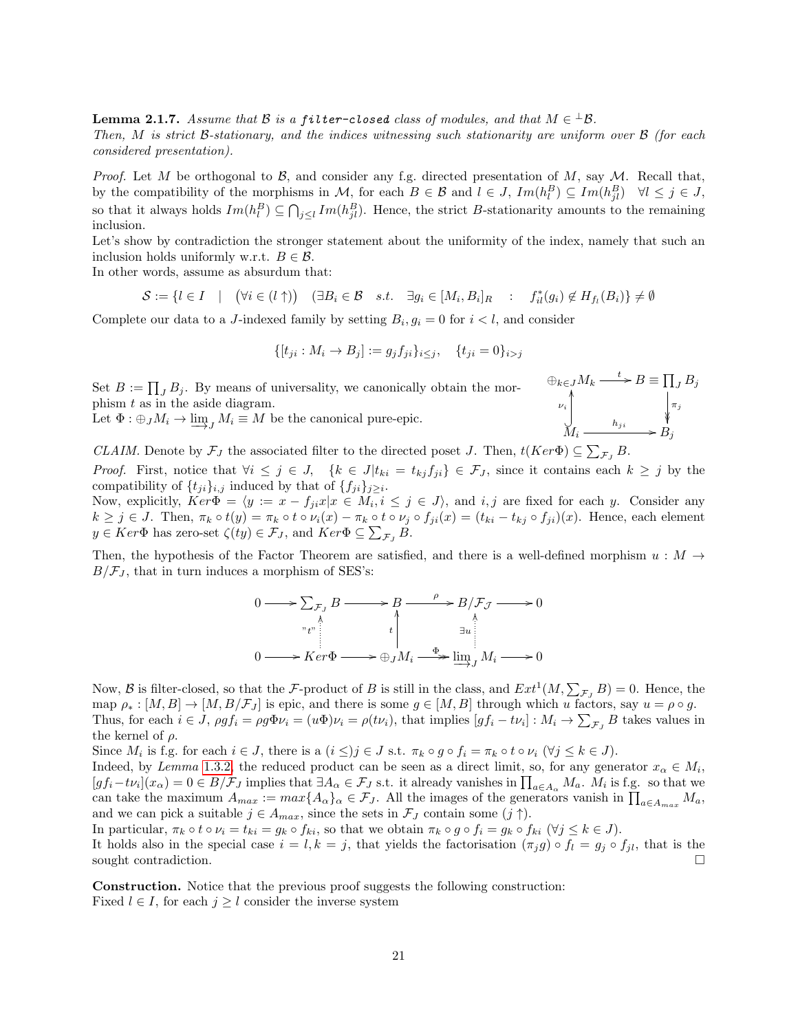<span id="page-20-0"></span>**Lemma 2.1.7.** Assume that  $\mathcal B$  is a filter-closed class of modules, and that  $M \in {}^{\perp} \mathcal B$ .

Then, M is strict B-stationary, and the indices witnessing such stationarity are uniform over  $\beta$  (for each considered presentation).

*Proof.* Let M be orthogonal to B, and consider any f.g. directed presentation of M, say M. Recall that, by the compatibility of the morphisms in M, for each  $B \in \mathcal{B}$  and  $l \in J$ ,  $Im(h_l^B) \subseteq Im(h_{jl}^B) \quad \forall l \leq j \in J$ , so that it always holds  $Im(h_l^B) \subseteq \bigcap_{j\leq l} Im(h_{jl}^B)$ . Hence, the strict B-stationarity amounts to the remaining inclusion.

Let's show by contradiction the stronger statement about the uniformity of the index, namely that such an inclusion holds uniformly w.r.t.  $B \in \mathcal{B}$ .

In other words, assume as absurdum that:

$$
\mathcal{S} := \{l \in I \quad | \quad (\forall i \in (l \uparrow)) \quad (\exists B_i \in \mathcal{B} \quad s.t. \quad \exists g_i \in [M_i, B_i]_R \quad : \quad f_{il}^*(g_i) \notin H_{f_l}(B_i)\} \neq \emptyset
$$

Complete our data to a J-indexed family by setting  $B_i, g_i = 0$  for  $i < l$ , and consider

$$
\{ [t_{ji} : M_i \to B_j] := g_j f_{ji} \}_{i \le j}, \quad \{ t_{ji} = 0 \}_{i > j}
$$

Set  $B := \prod_J B_j$ . By means of universality, we canonically obtain the morphism  $t$  as in the aside diagram. Let  $\Phi: \bigoplus_{J} M_i \to \varinjlim_{J} M_i \equiv M$  be the canonical pure-epic.

$$
\bigoplus_{k \in J} M_k \xrightarrow{t} B \equiv \prod_J B_j
$$
  
\n
$$
\downarrow_{\nu_i} \qquad \qquad \downarrow_{\eta_j}
$$
  
\n
$$
M_i \xrightarrow{h_{ji}} B_j
$$

CLAIM. Denote by  $\mathcal{F}_J$  the associated filter to the directed poset J. Then,  $t(Ker\Phi) \subseteq \sum_{\mathcal{F}_J} B$ .

*Proof.* First, notice that  $\forall i \leq j \in J$ ,  $\{k \in J | t_{ki} = t_{kj} f_{ji}\} \in \mathcal{F}_J$ , since it contains each  $k \geq j$  by the compatibility of  $\{t_{ji}\}_{i,j}$  induced by that of  $\{f_{ji}\}_{j\geq i}$ .

Now, explicitly,  $Ker\Phi = \langle y := x - f_{ji}x | x \in M_i, i \leq j \in J \rangle$ , and  $i, j$  are fixed for each y. Consider any  $k \geq j \in J$ . Then,  $\pi_k \circ t(y) = \pi_k \circ t \circ \nu_i(x) - \pi_k \circ t \circ \nu_j \circ f_{ji}(x) = (t_{ki} - t_{kj} \circ f_{ji})(x)$ . Hence, each element  $y \in Ker \Phi$  has zero-set  $\zeta(ty) \in \mathcal{F}_J$ , and  $Ker \Phi \subseteq \sum_{\mathcal{F}_J} B$ .

Then, the hypothesis of the Factor Theorem are satisfied, and there is a well-defined morphism  $u : M \rightarrow$  $B/\mathcal{F}_J$ , that in turn induces a morphism of SES's:

$$
0 \longrightarrow \sum_{\mathcal{F}_J} B \longrightarrow B \longrightarrow B/\mathcal{F}_J \longrightarrow 0
$$
  
\n
$$
\downarrow \qquad \qquad \downarrow \qquad \qquad \downarrow
$$
  
\n
$$
0 \longrightarrow Ker \Phi \longrightarrow \bigoplus_{J} M_i \longrightarrow \varinjlim_{J} M_i \longrightarrow 0
$$

Now, B is filter-closed, so that the F-product of B is still in the class, and  $Ext^1(M, \sum_{\mathcal{F}_J} B) = 0$ . Hence, the map  $\rho_* : [M, B] \to [M, B/\mathcal{F}_J]$  is epic, and there is some  $g \in [M, B]$  through which u factors, say  $u = \rho \circ g$ . Thus, for each  $i \in J$ ,  $\rho g f_i = \rho g \Phi \nu_i = (u \Phi) \nu_i = \rho (t \nu_i)$ , that implies  $[g f_i - t \nu_i] : M_i \to \sum_{\mathcal{F}_J} B$  takes values in the kernel of  $\rho$ .

Since  $M_i$  is f.g. for each  $i \in J$ , there is a  $(i \leq)j \in J$  s.t.  $\pi_k \circ g \circ f_i = \pi_k \circ t \circ \nu_i \; (\forall j \leq k \in J)$ .

Indeed, by Lemma [1.3.2,](#page-14-1) the reduced product can be seen as a direct limit, so, for any generator  $x_{\alpha} \in M_i$ ,  $[gf_i-t\nu_i](x_\alpha) = 0 \in B/\mathcal{F}_J$  implies that  $\exists A_\alpha \in \mathcal{F}_J$  s.t. it already vanishes in  $\prod_{a \in A_\alpha} M_a$ .  $M_i$  is f.g. so that we can take the maximum  $A_{max} := max\{A_{\alpha}\}_\alpha \in \mathcal{F}_J$ . All the images of the generators vanish in  $\prod_{a \in A_{max}} M_a$ , and we can pick a suitable  $j \in A_{max}$ , since the sets in  $\mathcal{F}_J$  contain some  $(j \uparrow)$ .

In particular,  $\pi_k \circ t \circ \nu_i = t_{ki} = g_k \circ f_{ki}$ , so that we obtain  $\pi_k \circ g \circ f_i = g_k \circ f_{ki}$  ( $\forall j \leq k \in J$ ).

It holds also in the special case  $i = l, k = j$ , that yields the factorisation  $(\pi_j g) \circ f_l = g_j \circ f_{jl}$ , that is the sought contradiction.

Construction. Notice that the previous proof suggests the following construction: Fixed  $l \in I$ , for each  $j \geq l$  consider the inverse system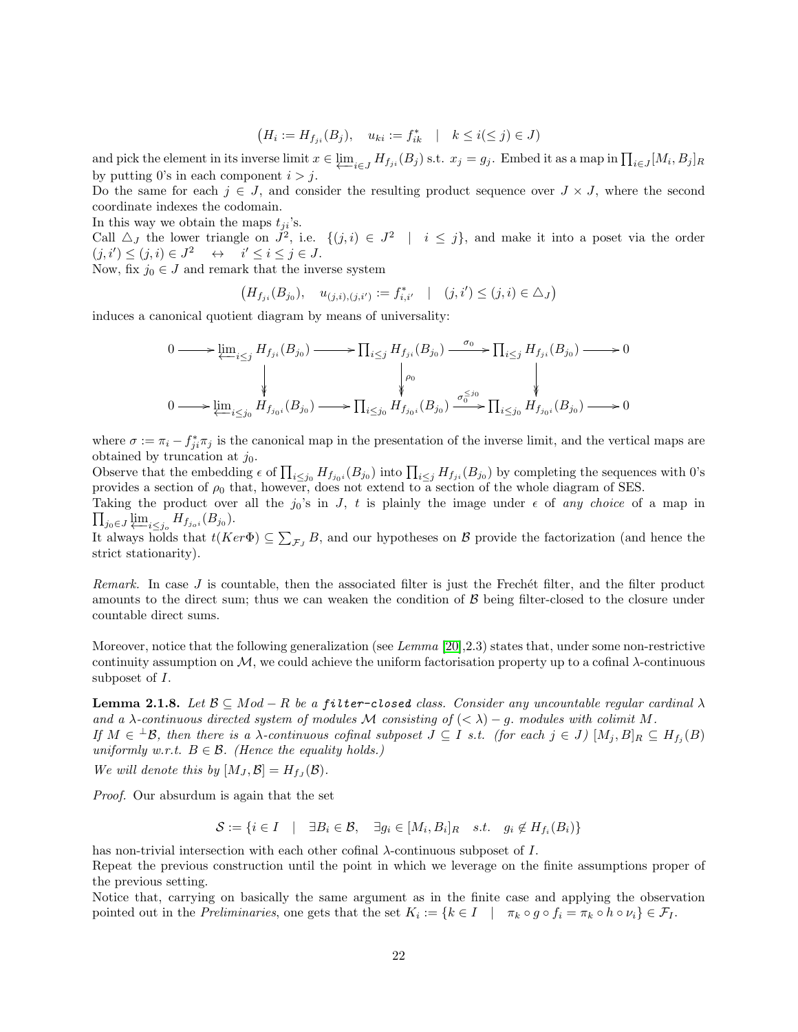$$
\big(H_i:=H_{f_{ji}}(B_j), \quad u_{ki}:=f_{ik}^* \quad | \quad k \leq i (\leq j) \in J)
$$

and pick the element in its inverse limit  $x \in \underleftarrow{\lim}_{i \in J} H_{f_{ji}}(B_i)$  s.t.  $x_j = g_j$ . Embed it as a map in  $\prod_{i \in J} [M_i, B_j]_R$ by putting 0's in each component  $i > j$ .

Do the same for each  $j \in J$ , and consider the resulting product sequence over  $J \times J$ , where the second coordinate indexes the codomain.

In this way we obtain the maps  $t_{ii}$ 's.

Call  $\Delta_J$  the lower triangle on  $J^2$ , i.e.  $\{(j,i) \in J^2 \mid i \leq j\}$ , and make it into a poset via the order  $(j, i') \leq (j, i) \in J^2 \quad \leftrightarrow \quad i' \leq i \leq j \in J.$ 

Now, fix  $j_0 \in J$  and remark that the inverse system

$$
(H_{f_{ji}}(B_{j_0}), \quad u_{(j,i),(j,i')} := f_{i,i'}^* \quad | \quad (j,i') \leq (j,i) \in \Delta_J)
$$

induces a canonical quotient diagram by means of universality:

$$
\begin{aligned} 0 \longrightarrow & \varprojlim_{i \leq j} H_{f_{ji}}(B_{j_0}) \longrightarrow & \prod_{i \leq j} H_{f_{ji}}(B_{j_0}) \longrightarrow \overline{\prod_{i \leq j} H_{f_{ji}}(B_{j_0})} \longrightarrow 0 \\ & \downarrow \qquad \qquad \downarrow \qquad \qquad \downarrow \qquad \qquad \downarrow \\ 0 \longrightarrow & \varprojlim_{i \leq j_0} H_{f_{j_0i}}(B_{j_0}) \longrightarrow \prod_{i \leq j_0} H_{f_{j_0i}}(B_{j_0}) \longrightarrow 0 \end{aligned}
$$

where  $\sigma := \pi_i - f_{ji}^* \pi_j$  is the canonical map in the presentation of the inverse limit, and the vertical maps are obtained by truncation at  $j_0$ .

Observe that the embedding  $\epsilon$  of  $\prod_{i\leq j_0} H_{f_{j_0 i}}(B_{j_0})$  into  $\prod_{i\leq j} H_{f_{ji}}(B_{j_0})$  by completing the sequences with 0's provides a section of  $\rho_0$  that, however, does not extend to a section of the whole diagram of SES.

 $\prod_{j_0 \in J} \varprojlim_{i \leq j_0} H_{f_{j_0 i}}(B_{j_0}).$ Taking the product over all the  $j_0$ 's in J, t is plainly the image under  $\epsilon$  of any choice of a map in

It always holds that  $t(Ker\Phi) \subseteq \sum_{\mathcal{F}_J} B$ , and our hypotheses on  $\mathcal B$  provide the factorization (and hence the strict stationarity).

Remark. In case  $J$  is countable, then the associated filter is just the Frechet filter, and the filter product amounts to the direct sum; thus we can weaken the condition of  $\beta$  being filter-closed to the closure under countable direct sums.

Moreover, notice that the following generalization (see Lemma [\[20\]](#page-43-4), 2.3) states that, under some non-restrictive continuity assumption on  $\mathcal{M}$ , we could achieve the uniform factorisation property up to a cofinal  $\lambda$ -continuous subposet of I.

<span id="page-21-0"></span>**Lemma 2.1.8.** Let  $\mathcal{B} \subseteq Mod - R$  be a filter-closed class. Consider any uncountable regular cardinal  $\lambda$ and a  $\lambda$ -continuous directed system of modules M consisting of  $( $\lambda$ ) - q$ . modules with colimit M. If  $M \in {}^{\perp} \mathcal{B}$ , then there is a  $\lambda$ -continuous cofinal subposet  $J \subseteq I$  s.t. (for each  $j \in J$ )  $[M_j, B]_R \subseteq H_{f_j}(B)$ uniformly w.r.t.  $B \in \mathcal{B}$ . (Hence the equality holds.)

We will denote this by  $[M_J, \mathcal{B}] = H_{f_J}(\mathcal{B})$ .

Proof. Our absurdum is again that the set

$$
\mathcal{S} := \{ i \in I \quad | \quad \exists B_i \in \mathcal{B}, \quad \exists g_i \in [M_i, B_i]_R \quad s.t. \quad g_i \notin H_{f_i}(B_i) \}
$$

has non-trivial intersection with each other cofinal λ-continuous subposet of I.

Repeat the previous construction until the point in which we leverage on the finite assumptions proper of the previous setting.

Notice that, carrying on basically the same argument as in the finite case and applying the observation pointed out in the *Preliminaries*, one gets that the set  $K_i := \{k \in I \mid \pi_k \circ g \circ f_i = \pi_k \circ h \circ \nu_i\} \in \mathcal{F}_I$ .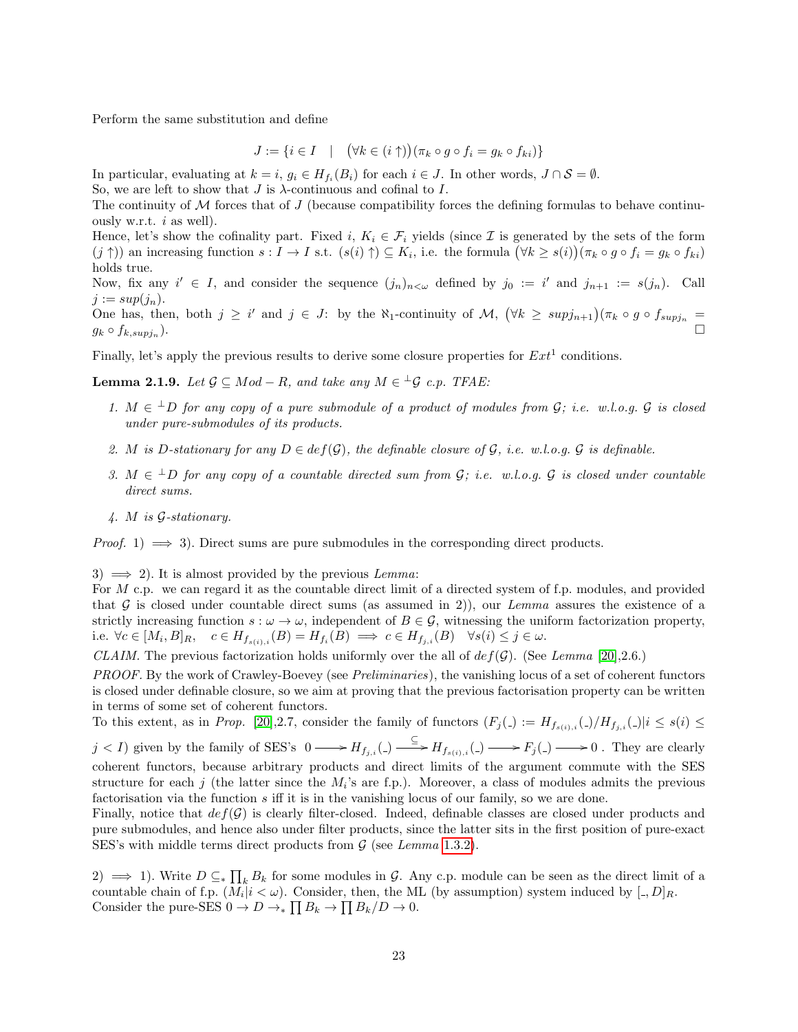Perform the same substitution and define

$$
J := \{ i \in I \quad | \quad (\forall k \in (i \uparrow)) (\pi_k \circ g \circ f_i = g_k \circ f_{ki}) \}
$$

In particular, evaluating at  $k = i$ ,  $g_i \in H_{f_i}(B_i)$  for each  $i \in J$ . In other words,  $J \cap S = \emptyset$ .

So, we are left to show that  $J$  is  $\lambda$ -continuous and cofinal to  $I$ .

The continuity of  $\mathcal M$  forces that of J (because compatibility forces the defining formulas to behave continuously w.r.t.  $i$  as well).

Hence, let's show the cofinality part. Fixed i,  $K_i \in \mathcal{F}_i$  yields (since I is generated by the sets of the form  $(j \uparrow)$  an increasing function  $s: I \to I$  s.t.  $(s(i) \uparrow) \subseteq K_i$ , i.e. the formula  $(\forall k \geq s(i))(\pi_k \circ g \circ f_i = g_k \circ f_{ki})$ holds true.

Now, fix any  $i' \in I$ , and consider the sequence  $(j_n)_{n \leq \omega}$  defined by  $j_0 := i'$  and  $j_{n+1} := s(j_n)$ . Call  $j := sup(j_n).$ 

One has, then, both  $j \geq i'$  and  $j \in J$ : by the  $\aleph_1$ -continuity of  $\mathcal{M}, (\forall k \geq \text{supj}_{n+1})(\pi_k \circ g \circ f_{\text{supj}_n} =$  $g_k \circ f_{k, supj_n}$ ). ). □

Finally, let's apply the previous results to derive some closure properties for  $Ext<sup>1</sup>$  conditions.

<span id="page-22-0"></span>**Lemma 2.1.9.** Let  $\mathcal{G} \subseteq Mod - R$ , and take any  $M \in {}^{\perp}\mathcal{G}$  c.p. TFAE:

- 1.  $M \in {}^{\perp}D$  for any copy of a pure submodule of a product of modules from  $G$ ; i.e. w.l.o.g.  $G$  is closed under pure-submodules of its products.
- 2. M is D-stationary for any  $D \in def(\mathcal{G})$ , the definable closure of  $\mathcal{G}$ , i.e. w.l.o.g.  $\mathcal{G}$  is definable.
- 3.  $M \in {}^{\perp}D$  for any copy of a countable directed sum from  $\mathcal{G}$ ; i.e. w.l.o.g.  $\mathcal{G}$  is closed under countable direct sums.
- 4. M is G-stationary.

*Proof.* 1)  $\implies$  3). Direct sums are pure submodules in the corresponding direct products.

3)  $\implies$  2). It is almost provided by the previous *Lemma*:

For M c.p. we can regard it as the countable direct limit of a directed system of f.p. modules, and provided that G is closed under countable direct sums (as assumed in 2)), our Lemma assures the existence of a strictly increasing function  $s : \omega \to \omega$ , independent of  $B \in \mathcal{G}$ , witnessing the uniform factorization property, i.e.  $\forall c \in [M_i, B]_R$ ,  $c \in H_{f_{s(i),i}}(B) = H_{f_i}(B) \implies c \in H_{f_j,i}(B) \quad \forall s(i) \leq j \in \omega$ .

CLAIM. The previous factorization holds uniformly over the all of  $def(\mathcal{G})$ . (See Lemma [\[20\]](#page-43-4), 2.6.)

PROOF. By the work of Crawley-Boevey (see *Preliminaries*), the vanishing locus of a set of coherent functors is closed under definable closure, so we aim at proving that the previous factorisation property can be written in terms of some set of coherent functors.

To this extent, as in Prop. [\[20\]](#page-43-4), 2.7, consider the family of functors  $(F_j) := H_{f_{s(i),i}}(.)/H_{f_{j,i}}(.)/i \leq s(i) \leq$ 

 $j < I$ ) given by the family of SES's  $0 \longrightarrow H_{f_{j,i}}(.) \longrightarrow H_{f_{s(i),i}}(.) \longrightarrow F_j(.) \longrightarrow 0$ . They are clearly coherent functors, because arbitrary products and direct limits of the argument commute with the SES structure for each j (the latter since the  $M_i$ 's are f.p.). Moreover, a class of modules admits the previous factorisation via the function  $s$  iff it is in the vanishing locus of our family, so we are done.

Finally, notice that  $def(\mathcal{G})$  is clearly filter-closed. Indeed, definable classes are closed under products and pure submodules, and hence also under filter products, since the latter sits in the first position of pure-exact SES's with middle terms direct products from  $G$  (see Lemma [1.3.2\)](#page-14-1).

2)  $\implies$  1). Write  $D \subseteq_{\ast} \prod_{k} B_{k}$  for some modules in G. Any c.p. module can be seen as the direct limit of a countable chain of f.p.  $(M_i|i<\omega)$ . Consider, then, the ML (by assumption) system induced by  $[.,D]_R$ . Consider the pure-SES  $0 \to D \to_* \prod B_k \to \prod B_k/D \to 0$ .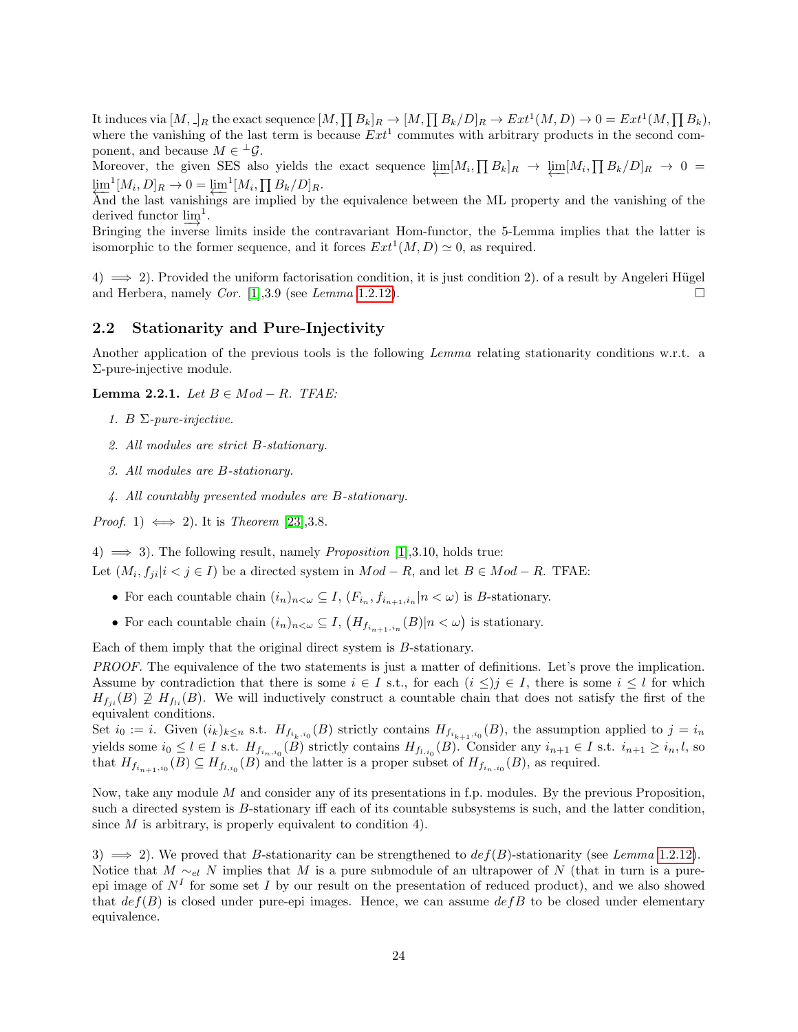It induces via  $[M, \cdot]_R$  the exact sequence  $[M, \prod B_k]_R \to [M, \prod B_k/D]_R \to Ext^1(M, D) \to 0 = Ext^1(M, \prod B_k)$ , where the vanishing of the last term is because  $Ext<sup>1</sup>$  commutes with arbitrary products in the second component, and because  $M \in {}^{\perp} \mathcal{G}$ .

Moreover, the given SES also yields the exact sequence  $\varprojlim [M_i, \prod B_k]_R \to \varprojlim [M_i, \prod B_k/D]_R \to 0 =$  $\lim_{\Delta} \frac{1}{m} [M_i, D]_R \to 0 = \lim_{\Delta} \frac{1}{m} [M_i, \prod B_k / D]_R.$ 

And the last vanishings are implied by the equivalence between the ML property and the vanishing of the derived functor  $\underline{\lim}^1$ .

Bringing the inverse limits inside the contravariant Hom-functor, the 5-Lemma implies that the latter is isomorphic to the former sequence, and it forces  $Ext<sup>1</sup>(M, D) \simeq 0$ , as required.

 $(4) \implies 2)$ . Provided the uniform factorisation condition, it is just condition 2). of a result by Angeleri Hügel and Herbera, namely *Cor.* [\[1\]](#page-43-8), 3.9 (see Lemma [1.2.12\)](#page-11-0).

### <span id="page-23-0"></span>2.2 Stationarity and Pure-Injectivity

Another application of the previous tools is the following Lemma relating stationarity conditions w.r.t. a Σ-pure-injective module.

Lemma 2.2.1. Let  $B \in Mod - R$ . TFAE:

- 1. B  $\Sigma$ -pure-injective.
- 2. All modules are strict B-stationary.
- 3. All modules are B-stationary.
- 4. All countably presented modules are B-stationary.

*Proof.* 1)  $\iff$  2). It is *Theorem* [\[23\]](#page-44-1), 3.8.

4)  $\implies$  3). The following result, namely *Proposition* [\[1\]](#page-43-8), 3.10, holds true:

Let  $(M_i, f_{ji}|i < j \in I)$  be a directed system in  $Mod - R$ , and let  $B \in Mod - R$ . TFAE:

- For each countable chain  $(i_n)_{n<\omega} \subseteq I$ ,  $(F_{i_n}, f_{i_{n+1},i_n}|n<\omega)$  is *B*-stationary.
- For each countable chain  $(i_n)_{n<\omega} \subseteq I$ ,  $(H_{f_{i_{n+1},i_n}}(B)|n<\omega)$  is stationary.

Each of them imply that the original direct system is B-stationary.

PROOF. The equivalence of the two statements is just a matter of definitions. Let's prove the implication. Assume by contradiction that there is some  $i \in I$  s.t., for each  $(i \leq)j \in I$ , there is some  $i \leq l$  for which  $H_{f_{ii}}(B) \not\supseteq H_{f_{ii}}(B)$ . We will inductively construct a countable chain that does not satisfy the first of the equivalent conditions.

Set  $i_0 := i$ . Given  $(i_k)_{k \leq n}$  s.t.  $H_{f_{i_k, i_0}}(B)$  strictly contains  $H_{f_{i_{k+1}, i_0}}(B)$ , the assumption applied to  $j = i_n$ yields some  $i_0 \leq l \in I$  s.t.  $H_{f_{i_n,i_0}}(B)$  strictly contains  $H_{f_{l,i_0}}(B)$ . Consider any  $i_{n+1} \in I$  s.t.  $i_{n+1} \geq i_n, l$ , so that  $H_{f_{i_{n+1},i_0}}(B) \subseteq H_{f_{l,i_0}}(B)$  and the latter is a proper subset of  $H_{f_{i_n,i_0}}(B)$ , as required.

Now, take any module M and consider any of its presentations in f.p. modules. By the previous Proposition, such a directed system is B-stationary iff each of its countable subsystems is such, and the latter condition, since  $M$  is arbitrary, is properly equivalent to condition 4).

3)  $\implies$  2). We proved that B-stationarity can be strengthened to  $def(B)$ -stationarity (see Lemma [1.2.12\)](#page-11-0). Notice that  $M \sim_{el} N$  implies that M is a pure submodule of an ultrapower of N (that in turn is a pureepi image of  $N^I$  for some set I by our result on the presentation of reduced product), and we also showed that  $def(B)$  is closed under pure-epi images. Hence, we can assume  $defB$  to be closed under elementary equivalence.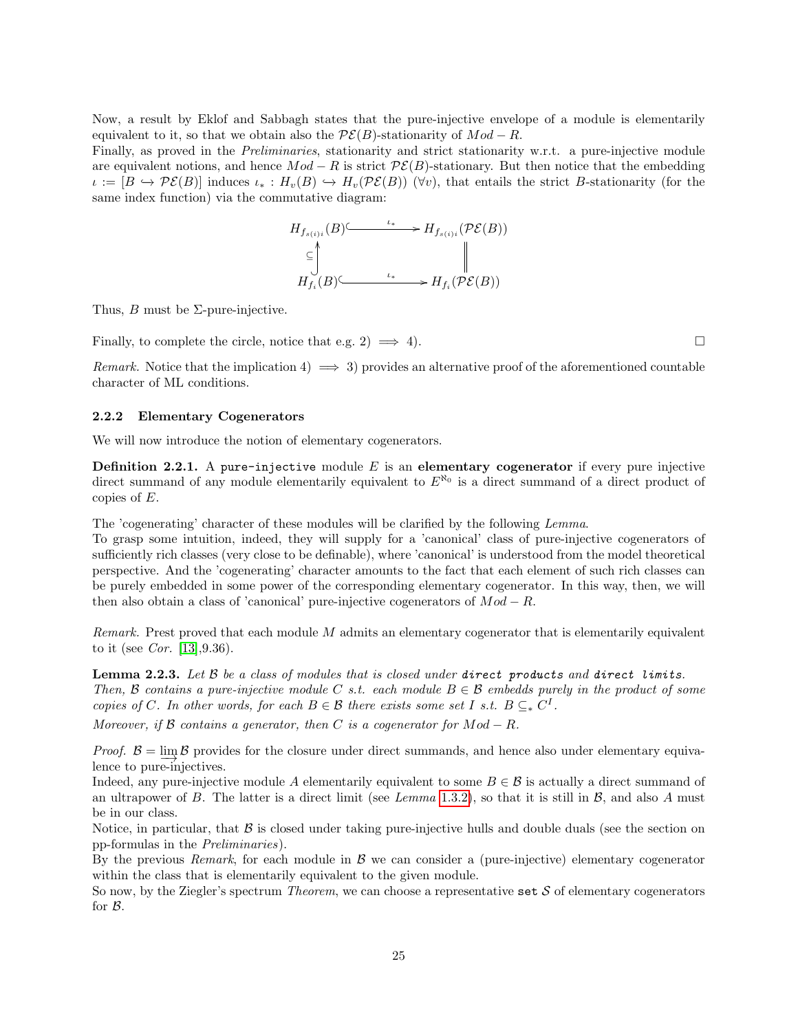Now, a result by Eklof and Sabbagh states that the pure-injective envelope of a module is elementarily equivalent to it, so that we obtain also the  $\mathcal{PE}(B)$ -stationarity of  $Mod - R$ .

Finally, as proved in the *Preliminaries*, stationarity and strict stationarity w.r.t. a pure-injective module are equivalent notions, and hence  $Mod - R$  is strict  $PE(B)$ -stationary. But then notice that the embedding  $\iota := [B \hookrightarrow \mathcal{PE}(B)]$  induces  $\iota_* : H_v(B) \hookrightarrow H_v(\mathcal{PE}(B))$  ( $\forall v$ ), that entails the strict B-stationarity (for the same index function) via the commutative diagram:

$$
H_{f_{s(i)i}}(B) \xrightarrow{\iota_*} H_{f_{s(i)i}}(\mathcal{P}\mathcal{E}(B))
$$
  

$$
\subseteq \bigcup_{H_{f_i}(B) \xrightarrow{\iota_*} H_{f_i}(\mathcal{P}\mathcal{E}(B))} H_{f_i}(\mathcal{P}\mathcal{E}(B))
$$

Thus,  $B$  must be  $\Sigma$ -pure-injective.

Finally, to complete the circle, notice that e.g. 2)  $\implies$  4).

Remark. Notice that the implication 4)  $\implies$  3) provides an alternative proof of the aforementioned countable character of ML conditions.

#### <span id="page-24-0"></span>2.2.2 Elementary Cogenerators

We will now introduce the notion of elementary cogenerators.

**Definition 2.2.1.** A pure-injective module  $E$  is an elementary cogenerator if every pure injective direct summand of any module elementarily equivalent to  $E^{\aleph_0}$  is a direct summand of a direct product of copies of E.

The 'cogenerating' character of these modules will be clarified by the following Lemma.

To grasp some intuition, indeed, they will supply for a 'canonical' class of pure-injective cogenerators of sufficiently rich classes (very close to be definable), where 'canonical' is understood from the model theoretical perspective. And the 'cogenerating' character amounts to the fact that each element of such rich classes can be purely embedded in some power of the corresponding elementary cogenerator. In this way, then, we will then also obtain a class of 'canonical' pure-injective cogenerators of  $Mod - R$ .

*Remark.* Prest proved that each module  $M$  admits an elementary cogenerator that is elementarily equivalent to it (see *Cor.* [\[13\]](#page-43-10),  $9.36$ ).

<span id="page-24-1"></span>**Lemma 2.2.3.** Let  $\beta$  be a class of modules that is closed under direct products and direct limits. Then, B contains a pure-injective module C s.t. each module  $B \in \mathcal{B}$  embedds purely in the product of some copies of C. In other words, for each  $B \in \mathcal{B}$  there exists some set I s.t.  $B \subseteq_{\ast} C^{I}$ .

Moreover, if  $\beta$  contains a generator, then C is a cogenerator for  $Mod - R$ .

*Proof.*  $B = \lim_{n \to \infty} B$  provides for the closure under direct summands, and hence also under elementary equivalence to pure-injectives.

Indeed, any pure-injective module A elementarily equivalent to some  $B \in \mathcal{B}$  is actually a direct summand of an ultrapower of B. The latter is a direct limit (see Lemma [1.3.2\)](#page-14-1), so that it is still in  $\beta$ , and also A must be in our class.

Notice, in particular, that  $\beta$  is closed under taking pure-injective hulls and double duals (see the section on pp-formulas in the Preliminaries).

By the previous Remark, for each module in  $\beta$  we can consider a (pure-injective) elementary cogenerator within the class that is elementarily equivalent to the given module.

So now, by the Ziegler's spectrum *Theorem*, we can choose a representative set  $S$  of elementary cogenerators for B.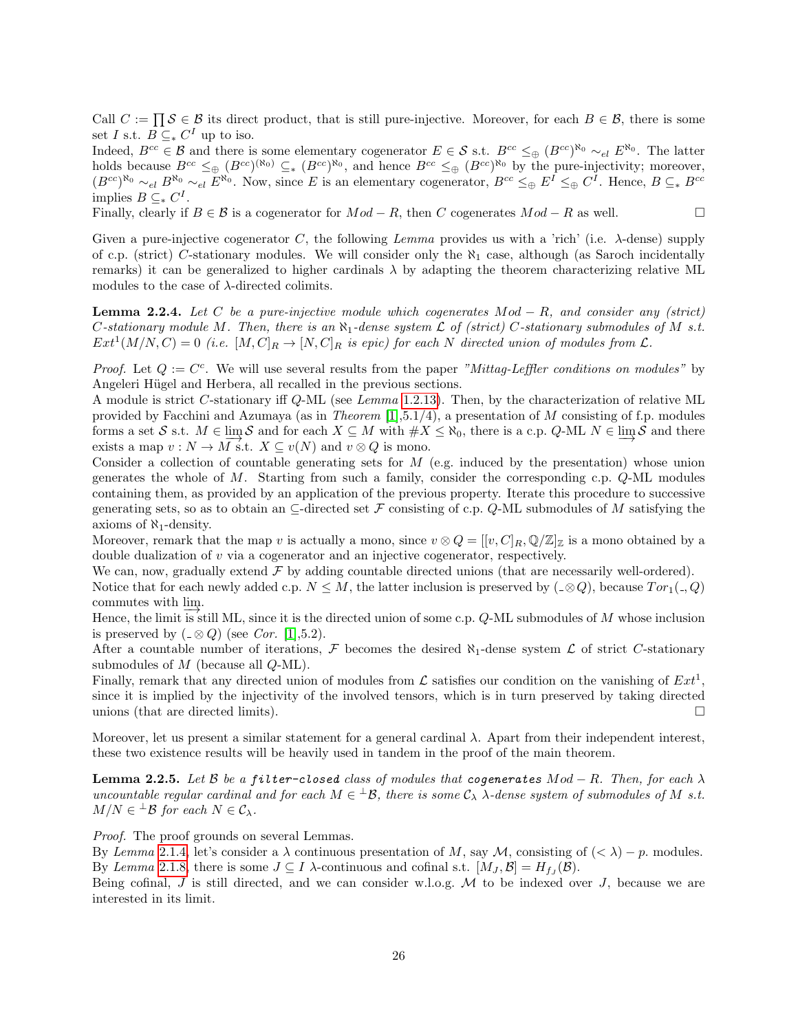Call  $C := \prod S \in \mathcal{B}$  its direct product, that is still pure-injective. Moreover, for each  $B \in \mathcal{B}$ , there is some set I s.t.  $B \subseteq^* C^I$  up to iso.

Indeed,  $B^{cc} \in \mathcal{B}$  and there is some elementary cogenerator  $E \in \mathcal{S}$  s.t.  $B^{cc} \leq_{\oplus} (B^{cc})^{\aleph_0} \sim_{el} E^{\aleph_0}$ . The latter holds because  $B^{cc} \leq_{\oplus} (B^{cc})^{(\aleph_0)} \subseteq_{\ast} (B^{cc})^{\aleph_0}$ , and hence  $B^{cc} \leq_{\oplus} (B^{cc})^{\aleph_0}$  by the pure-injectivity; moreover,  $(B^{cc})^{\aleph_0} \sim_{el} B^{\aleph_0} \sim_{el} E^{\aleph_0}$ . Now, since E is an elementary cogenerator,  $B^{cc} \leq_{\oplus} E^I \leq_{\oplus} C^I$ . Hence,  $B \subseteq_{\ast} B^{cc}$ implies  $B \subseteq^* C^I$ .

Finally, clearly if  $B \in \mathcal{B}$  is a cogenerator for  $Mod - R$ , then C cogenerates  $Mod - R$  as well.

Given a pure-injective cogenerator C, the following Lemma provides us with a 'rich' (i.e.  $\lambda$ -dense) supply of c.p. (strict) C-stationary modules. We will consider only the  $\aleph_1$  case, although (as Saroch incidentally remarks) it can be generalized to higher cardinals  $\lambda$  by adapting the theorem characterizing relative ML modules to the case of  $\lambda$ -directed colimits.

<span id="page-25-0"></span>**Lemma 2.2.4.** Let C be a pure-injective module which cogenerates  $Mod - R$ , and consider any (strict) C-stationary module M. Then, there is an  $\aleph_1$ -dense system  $\mathcal L$  of (strict) C-stationary submodules of M s.t.  $Ext^1(M/N, C) = 0$  (i.e.  $[M, C]_R \to [N, C]_R$  is epic) for each N directed union of modules from  $\mathcal{L}$ .

*Proof.* Let  $Q := C^c$ . We will use several results from the paper "Mittag-Leffler conditions on modules" by Angeleri Hügel and Herbera, all recalled in the previous sections.

A module is strict C-stationary iff Q-ML (see Lemma [1.2.13\)](#page-12-0). Then, by the characterization of relative ML provided by Facchini and Azumaya (as in *Theorem* [\[1\]](#page-43-8),5.1/4), a presentation of M consisting of f.p. modules forms a set S s.t.  $M \in \lim_{M \to \infty} S$  and for each  $X \subseteq M$  with  $\#X \le \aleph_0$ , there is a c.p. Q-ML  $N \in \lim_{M \to \infty} S$  and there exists a map  $v : N \to M$  s.t.  $X \subseteq v(N)$  and  $v \otimes Q$  is mono.

Consider a collection of countable generating sets for  $M$  (e.g. induced by the presentation) whose union generates the whole of  $M$ . Starting from such a family, consider the corresponding c.p.  $Q-ML$  modules containing them, as provided by an application of the previous property. Iterate this procedure to successive generating sets, so as to obtain an  $\subseteq$ -directed set F consisting of c.p. Q-ML submodules of M satisfying the axioms of  $\aleph_1$ -density.

Moreover, remark that the map v is actually a mono, since  $v \otimes Q = [[v, C]_R, \mathbb{Q}/\mathbb{Z}]_Z$  is a mono obtained by a double dualization of v via a cogenerator and an injective cogenerator, respectively.

We can, now, gradually extend  $\mathcal F$  by adding countable directed unions (that are necessarily well-ordered). Notice that for each newly added c.p.  $N \leq M$ , the latter inclusion is preserved by  $(\alpha \otimes Q)$ , because  $Tor_1(\alpha, Q)$ commutes with  $\lim_{n \to \infty}$ .

Hence, the limit is still ML, since it is the directed union of some c.p. Q-ML submodules of M whose inclusion is preserved by  $( _{\circ} \otimes Q)$  (see Cor. [\[1\]](#page-43-8),5.2).

After a countable number of iterations, F becomes the desired  $\aleph_1$ -dense system  $\mathcal L$  of strict C-stationary submodules of  $M$  (because all  $Q\text{-ML}$ ).

Finally, remark that any directed union of modules from  $\mathcal L$  satisfies our condition on the vanishing of  $Ext^1$ , since it is implied by the injectivity of the involved tensors, which is in turn preserved by taking directed unions (that are directed limits).  $\Box$ 

Moreover, let us present a similar statement for a general cardinal λ. Apart from their independent interest, these two existence results will be heavily used in tandem in the proof of the main theorem.

<span id="page-25-1"></span>**Lemma 2.2.5.** Let B be a filter-closed class of modules that cogenerates  $Mod - R$ . Then, for each  $\lambda$ uncountable regular cardinal and for each  $M \in {}^{\perp} \mathcal{B}$ , there is some  $\mathcal{C}_{\lambda}$   $\lambda$ -dense system of submodules of M s.t.  $M/N \in {}^{\perp} \mathcal{B}$  for each  $N \in \mathcal{C}_{\lambda}$ .

Proof. The proof grounds on several Lemmas.

By Lemma [2.1.4,](#page-19-1) let's consider a  $\lambda$  continuous presentation of M, say M, consisting of  $( $\lambda$ ) - p$ . modules. By Lemma [2.1.8,](#page-21-0) there is some  $J \subseteq I$   $\lambda$ -continuous and cofinal s.t.  $[M_J, \mathcal{B}] = H_{fJ}(\mathcal{B})$ .

Being cofinal, J is still directed, and we can consider w.l.o.g.  $M$  to be indexed over J, because we are interested in its limit.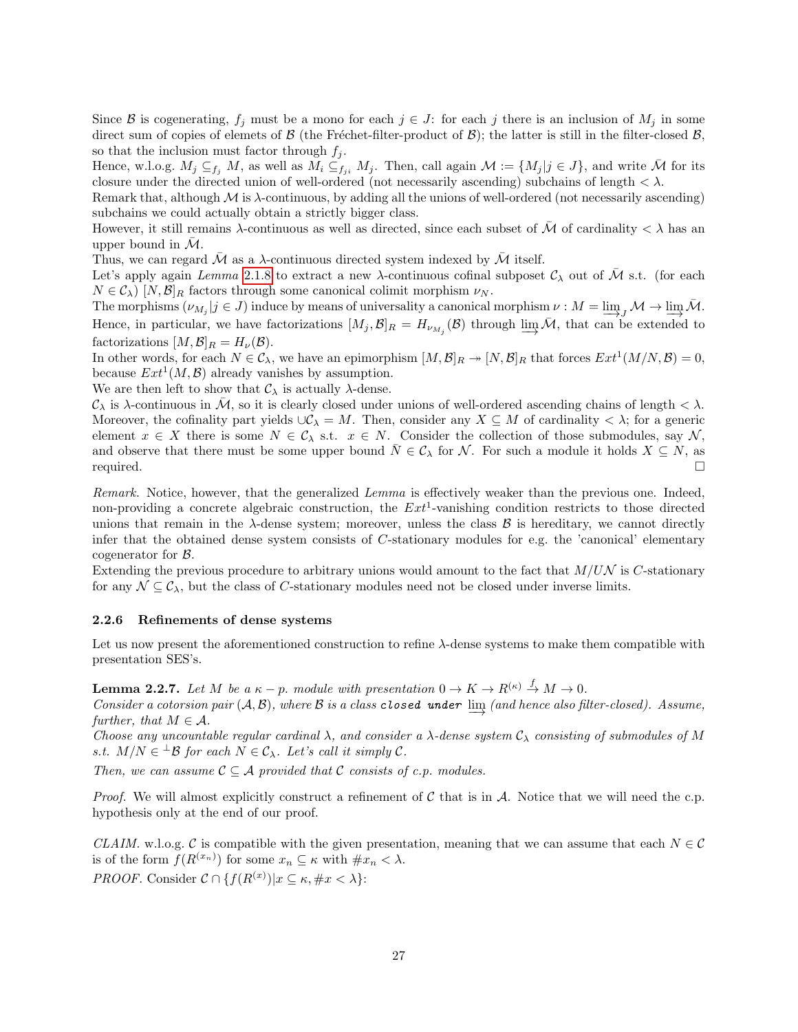Since B is cogenerating,  $f_j$  must be a mono for each  $j \in J$ : for each j there is an inclusion of  $M_j$  in some direct sum of copies of elemets of  $\beta$  (the Fréchet-filter-product of  $\beta$ ); the latter is still in the filter-closed  $\beta$ , so that the inclusion must factor through  $f_j$ .

Hence, w.l.o.g.  $M_j \subseteq_{f_i} M$ , as well as  $M_i \subseteq_{f_{ii}} M_j$ . Then, call again  $\mathcal{M} := \{M_j | j \in J\}$ , and write  $\bar{\mathcal{M}}$  for its closure under the directed union of well-ordered (not necessarily ascending) subchains of length  $\langle \lambda \rangle$ .

Remark that, although  $M$  is  $\lambda$ -continuous, by adding all the unions of well-ordered (not necessarily ascending) subchains we could actually obtain a strictly bigger class.

However, it still remains  $\lambda$ -continuous as well as directed, since each subset of  $\bar{\mathcal{M}}$  of cardinality  $\langle \lambda \rangle$  has an upper bound in  $\mathcal{M}$ .

Thus, we can regard  $\bar{\mathcal{M}}$  as a  $\lambda$  continuous directed system indexed by  $\bar{\mathcal{M}}$  itself.

Let's apply again Lemma [2.1.8](#page-21-0) to extract a new  $\lambda$ -continuous cofinal subposet  $\mathcal{C}_{\lambda}$  out of  $\mathcal M$  s.t. (for each  $N \in \mathcal{C}_{\lambda}$  [N,  $\mathcal{B}|_{R}$  factors through some canonical colimit morphism  $\nu_{N}$ .

The morphisms  $(\nu_{M_j} | j \in J)$  induce by means of universality a canonical morphism  $\nu : M = \varinjlim_{J} M \to \varinjlim_{J} \bar{M}$ . Hence, in particular, we have factorizations  $[M_j, \mathcal{B}]_R = H_{\nu_{M_j}}(\mathcal{B})$  through  $\varinjlim \mathcal{M}$ , that can be extended to factorizations  $[M, \mathcal{B}]_R = H_{\nu}(\mathcal{B}).$ 

In other words, for each  $N \in \mathcal{C}_{\lambda}$ , we have an epimorphism  $[M, \mathcal{B}]_R \to [N, \mathcal{B}]_R$  that forces  $Ext^1(M/N, \mathcal{B}) = 0$ , because  $Ext^1(M, \mathcal{B})$  already vanishes by assumption.

We are then left to show that  $\mathcal{C}_{\lambda}$  is actually  $\lambda$ -dense.

 $\mathcal{C}_{\lambda}$  is  $\lambda$ -continuous in  $\overline{\mathcal{M}}$ , so it is clearly closed under unions of well-ordered ascending chains of length  $\langle \lambda \rangle$ . Moreover, the cofinality part yields  $\cup \mathcal{C}_{\lambda} = M$ . Then, consider any  $X \subseteq M$  of cardinality  $\langle \lambda \rangle$ ; for a generic element  $x \in X$  there is some  $N \in \mathcal{C}_{\lambda}$  s.t.  $x \in N$ . Consider the collection of those submodules, say  $\mathcal{N}$ , and observe that there must be some upper bound  $\overline{N} \in \mathcal{C}_{\lambda}$  for N. For such a module it holds  $X \subseteq N$ , as required.  $\Box$ 

Remark. Notice, however, that the generalized Lemma is effectively weaker than the previous one. Indeed, non-providing a concrete algebraic construction, the  $Ext^1$ -vanishing condition restricts to those directed unions that remain in the  $\lambda$ -dense system; moreover, unless the class  $\beta$  is hereditary, we cannot directly infer that the obtained dense system consists of C-stationary modules for e.g. the 'canonical' elementary cogenerator for B.

Extending the previous procedure to arbitrary unions would amount to the fact that  $M/UN$  is C-stationary for any  $\mathcal{N} \subseteq \mathcal{C}_{\lambda}$ , but the class of C-stationary modules need not be closed under inverse limits.

#### <span id="page-26-0"></span>2.2.6 Refinements of dense systems

Let us now present the aforementioned construction to refine  $\lambda$ -dense systems to make them compatible with presentation SES's.

<span id="page-26-1"></span>**Lemma 2.2.7.** Let M be a  $\kappa - p$ , module with presentation  $0 \to K \to R^{(\kappa)} \stackrel{f}{\to} M \to 0$ .

Consider a cotorsion pair  $(A, B)$ , where B is a class closed under  $\varinjlim$  (and hence also filter-closed). Assume, further, that  $M \in \mathcal{A}$ .

Choose any uncountable regular cardinal  $\lambda$ , and consider a  $\lambda$ -dense system  $\mathcal{C}_{\lambda}$  consisting of submodules of M s.t.  $M/N \in {}^{\perp} \mathcal{B}$  for each  $N \in \mathcal{C}_{\lambda}$ . Let's call it simply  $\mathcal{C}$ .

Then, we can assume  $C \subseteq A$  provided that C consists of c.p. modules.

*Proof.* We will almost explicitly construct a refinement of  $\mathcal C$  that is in  $\mathcal A$ . Notice that we will need the c.p. hypothesis only at the end of our proof.

CLAIM. w.l.o.g. C is compatible with the given presentation, meaning that we can assume that each  $N \in \mathcal{C}$ is of the form  $f(R^{(x_n)})$  for some  $x_n \subseteq \kappa$  with  $\#x_n < \lambda$ . *PROOF.* Consider  $C \cap \{f(R^{(x)}) | x \subseteq \kappa, \#x < \lambda\}$ :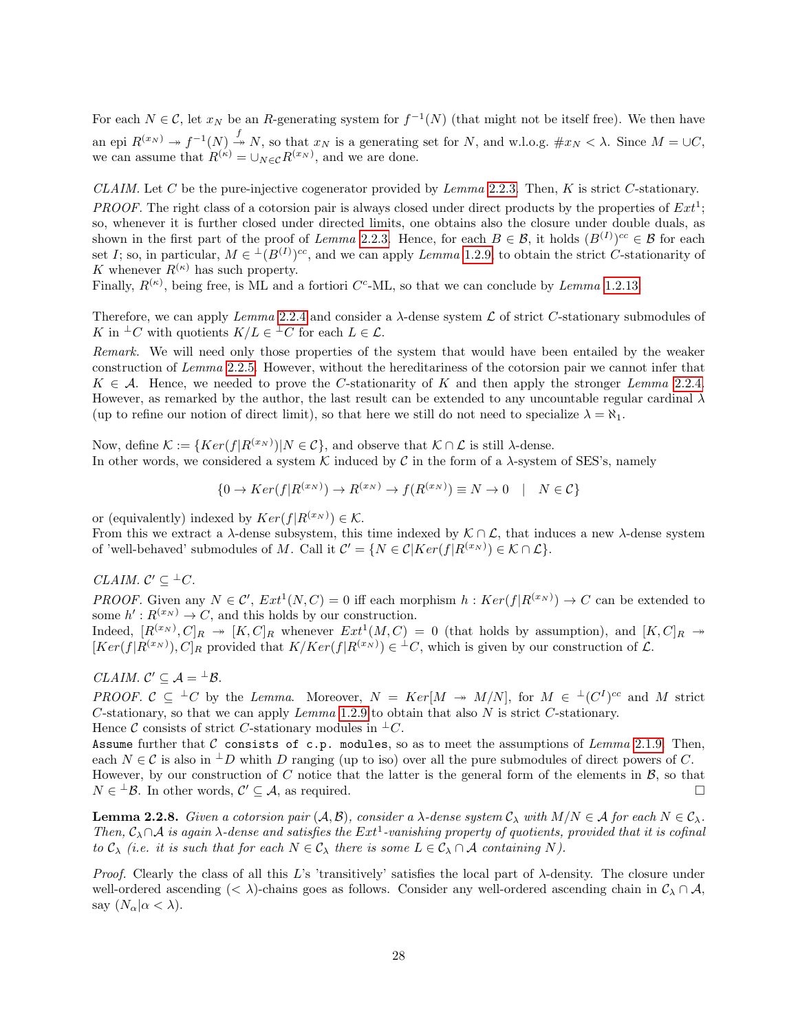For each  $N \in \mathcal{C}$ , let  $x_N$  be an R-generating system for  $f^{-1}(N)$  (that might not be itself free). We then have an epi  $R^{(x_N)} \twoheadrightarrow f^{-1}(N) \stackrel{f}{\twoheadrightarrow} N$ , so that  $x_N$  is a generating set for N, and w.l.o.g.  $\#x_N < \lambda$ . Since  $M = \cup C$ , we can assume that  $R^{(\kappa)} = \bigcup_{N \in \mathcal{C}} R^{(x_N)}$ , and we are done.

CLAIM. Let C be the pure-injective cogenerator provided by Lemma [2.2.3.](#page-24-1) Then, K is strict C-stationary.

**PROOF.** The right class of a cotorsion pair is always closed under direct products by the properties of  $Ext^1$ ; so, whenever it is further closed under directed limits, one obtains also the closure under double duals, as shown in the first part of the proof of Lemma [2.2.3.](#page-24-1) Hence, for each  $B \in \mathcal{B}$ , it holds  $(B^{(I)})^{cc} \in \mathcal{B}$  for each set I; so, in particular,  $M \in L^1(B^{(I)})^{cc}$ , and we can apply Lemma [1.2.9,](#page-9-0) to obtain the strict C-stationarity of K whenever  $R^{(\kappa)}$  has such property.

Finally,  $R^{(\kappa)}$ , being free, is ML and a fortiori C<sup>c</sup>-ML, so that we can conclude by *Lemma* [1.2.13.](#page-12-0)

Therefore, we can apply Lemma [2.2.4](#page-25-0) and consider a  $\lambda$ -dense system  $\mathcal L$  of strict C-stationary submodules of K in  $\perp C$  with quotients  $K/L \in \perp C$  for each  $L \in \mathcal{L}$ .

Remark. We will need only those properties of the system that would have been entailed by the weaker construction of Lemma [2.2.5.](#page-25-1) However, without the hereditariness of the cotorsion pair we cannot infer that  $K \in \mathcal{A}$ . Hence, we needed to prove the C-stationarity of K and then apply the stronger Lemma [2.2.4.](#page-25-0) However, as remarked by the author, the last result can be extended to any uncountable regular cardinal  $\lambda$ (up to refine our notion of direct limit), so that here we still do not need to specialize  $\lambda = \aleph_1$ .

Now, define  $\mathcal{K} := \{Ker(f|R^{(x_N)}) | N \in \mathcal{C}\}\$ , and observe that  $\mathcal{K} \cap \mathcal{L}$  is still  $\lambda$ -dense. In other words, we considered a system K induced by C in the form of a  $\lambda$ -system of SES's, namely

$$
\{0 \to Ker(f|R^{(x_N)}) \to R^{(x_N)} \to f(R^{(x_N)}) \equiv N \to 0 \quad | \quad N \in \mathcal{C}\}
$$

or (equivalently) indexed by  $Ker(f|R^{(x_N)}) \in \mathcal{K}$ .

From this we extract a  $\lambda$ -dense subsystem, this time indexed by  $\mathcal{K} \cap \mathcal{L}$ , that induces a new  $\lambda$ -dense system of 'well-behaved' submodules of M. Call it  $C' = \{N \in \mathcal{C} | Ker(f|R^{(x_N)}) \in \mathcal{K} \cap \mathcal{L}\}.$ 

### CLAIM.  $\mathcal{C}' \subseteq {}^{\perp}C$ .

*PROOF.* Given any  $N \in \mathcal{C}'$ ,  $Ext^1(N, \mathcal{C}) = 0$  iff each morphism  $h : Ker(f | R^{(x_N)}) \to \mathcal{C}$  can be extended to some  $h': R^{(x_N)} \to C$ , and this holds by our construction.

Indeed,  $[R^{(x_N)},C]_R \to [K,C]_R$  whenever  $Ext^1(M,C) = 0$  (that holds by assumption), and  $[K,C]_R \to$  $[Ker(f|R^{(x_N)}),C]_R$  provided that  $K/Ker(f|R^{(x_N)}) \in {}^{\perp}C$ , which is given by our construction of  $\mathcal{L}$ .

### CLAIM.  $\mathcal{C}' \subseteq \mathcal{A} = {}^{\perp} \mathcal{B}$ .

PROOF.  $C \subseteq {}^{\perp}C$  by the Lemma. Moreover,  $N = Ker[M \rightarrow M/N]$ , for  $M \in {}^{\perp}C^{I}C^{c}$  and M strict C-stationary, so that we can apply Lemma [1.2.9](#page-9-0) to obtain that also N is strict C-stationary. Hence C consists of strict C-stationary modules in  $\pm C$ .

Assume further that  $C$  consists of c.p. modules, so as to meet the assumptions of Lemma [2.1.9.](#page-22-0) Then, each  $N \in \mathcal{C}$  is also in  $\perp D$  whith D ranging (up to iso) over all the pure submodules of direct powers of C. However, by our construction of C notice that the latter is the general form of the elements in  $\mathcal{B}$ , so that  $N \in {}^{\perp} \mathcal{B}$ . In other words,  $\mathcal{C}' \subseteq \mathcal{A}$ , as required.

<span id="page-27-0"></span>**Lemma 2.2.8.** Given a cotorsion pair  $(A, \mathcal{B})$ , consider a  $\lambda$ -dense system  $C_{\lambda}$  with  $M/N \in \mathcal{A}$  for each  $N \in C_{\lambda}$ . Then,  $C_\lambda \cap A$  is again  $\lambda$ -dense and satisfies the  $Ext^1$ -vanishing property of quotients, provided that it is cofinal to  $C_{\lambda}$  (i.e. it is such that for each  $N \in C_{\lambda}$  there is some  $L \in C_{\lambda} \cap A$  containing N).

*Proof.* Clearly the class of all this L's 'transitively' satisfies the local part of  $\lambda$ -density. The closure under well-ordered ascending (<  $\lambda$ )-chains goes as follows. Consider any well-ordered ascending chain in  $\mathcal{C}_{\lambda} \cap \mathcal{A}$ , say  $(N_{\alpha}|\alpha < \lambda)$ .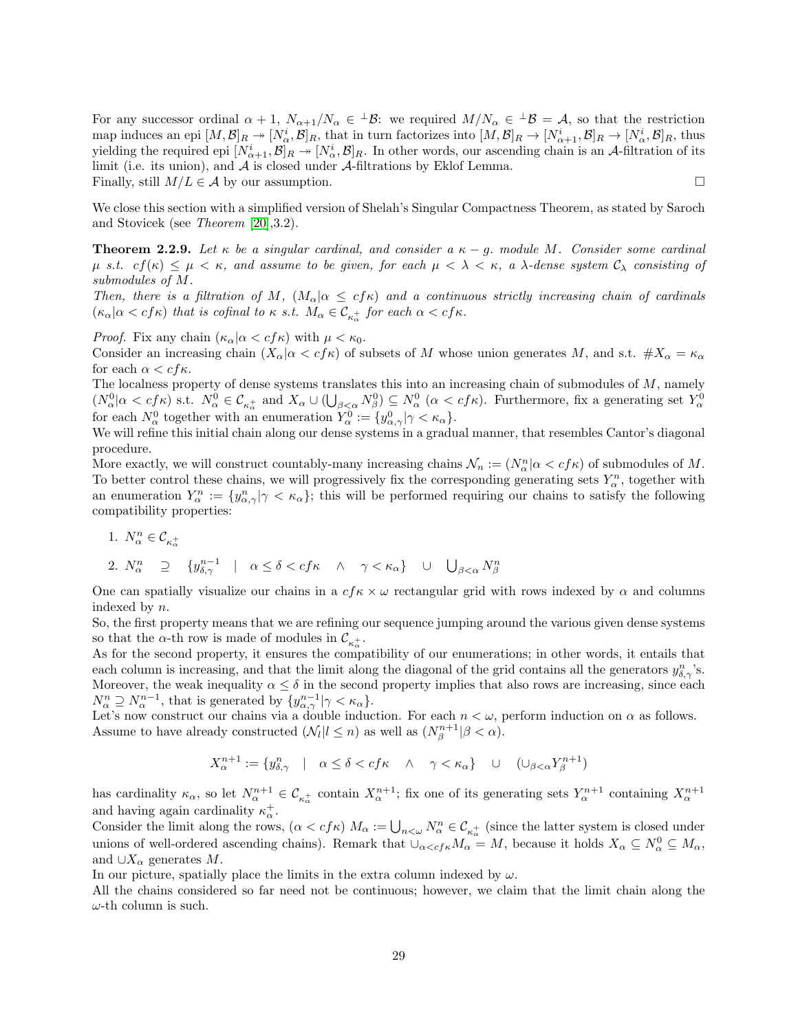For any successor ordinal  $\alpha + 1$ ,  $N_{\alpha+1}/N_{\alpha} \in {}^{\perp} \mathcal{B}$ : we required  $M/N_{\alpha} \in {}^{\perp} \mathcal{B} = \mathcal{A}$ , so that the restriction map induces an epi  $[M, \mathcal{B}]_R \to [N^i_\alpha, \mathcal{B}]_R$ , that in turn factorizes into  $[M, \mathcal{B}]_R \to [N^i_{\alpha+1}, \mathcal{B}]_R \to [N^i_\alpha, \mathcal{B}]_R$ , thus yielding the required epi  $[N^i_{\alpha+1}, \mathcal{B}]_R \twoheadrightarrow [N^i_{\alpha}, \mathcal{B}]_R$ . In other words, our ascending chain is an A-filtration of its limit (i.e. its union), and  $A$  is closed under  $A$ -filtrations by Eklof Lemma. Finally, still  $M/L \in \mathcal{A}$  by our assumption.  $\square$ 

We close this section with a simplified version of Shelah's Singular Compactness Theorem, as stated by Saroch and Stovicek (see Theorem [\[20\]](#page-43-4),3.2).

<span id="page-28-0"></span>**Theorem 2.2.9.** Let  $\kappa$  be a singular cardinal, and consider a  $\kappa - g$ . module M. Consider some cardinal  $\mu$  s.t.  $cf(\kappa) \leq \mu < \kappa$ , and assume to be given, for each  $\mu < \lambda < \kappa$ , a  $\lambda$ -dense system  $\mathcal{C}_{\lambda}$  consisting of submodules of M.

Then, there is a filtration of M,  $(M_\alpha | \alpha \leq cf \kappa)$  and a continuous strictly increasing chain of cardinals  $(\kappa_{\alpha})\alpha < cf\kappa$ ) that is cofinal to  $\kappa$  s.t.  $M_{\alpha} \in \mathcal{C}_{\kappa_{\alpha}^{+}}$  for each  $\alpha < cf\kappa$ .

*Proof.* Fix any chain  $(\kappa_\alpha | \alpha < cf\kappa)$  with  $\mu < \kappa_0$ .

Consider an increasing chain  $(X_{\alpha} | \alpha < cf \kappa)$  of subsets of M whose union generates M, and s.t.  $\#X_{\alpha} = \kappa_{\alpha}$ for each  $\alpha < cf\kappa$ .

The localness property of dense systems translates this into an increasing chain of submodules of M, namely  $(N_{\alpha}^0 | \alpha < cf \kappa)$  s.t.  $N_{\alpha}^0 \in C_{\kappa_{\alpha}^+}$  and  $X_{\alpha} \cup (\bigcup_{\beta < \alpha} N_{\beta}^0) \subseteq N_{\alpha}^0 \ (\alpha < cf \kappa)$ . Furthermore, fix a generating set  $Y_{\alpha}^0$  for each  $N_{\alpha}^0$  together with an enumeration  $Y_{\alpha}^0 := \{y_{\alpha,\gamma}^0 | \gamma &$ 

We will refine this initial chain along our dense systems in a gradual manner, that resembles Cantor's diagonal procedure.

More exactly, we will construct countably-many increasing chains  $\mathcal{N}_n := (N_\alpha^n | \alpha < cf\kappa)$  of submodules of M. To better control these chains, we will progressively fix the corresponding generating sets  $Y_{\alpha}^n$ , together with an enumeration  $Y_{\alpha}^n := \{y_{\alpha,\gamma}^n | \gamma < \kappa_\alpha\}$ ; this will be performed requiring our chains to satisfy the following compatibility properties:

$$
1. \ \ N_{\alpha}^n \in \mathcal{C}_{\kappa_{\alpha}^+}
$$

2. 
$$
N_{\alpha}^{n} \supseteq \{y_{\delta,\gamma}^{n-1} \mid \alpha \leq \delta < cf \kappa \land \gamma < \kappa_{\alpha}\} \cup \bigcup_{\beta < \alpha} N_{\beta}^{n}
$$

One can spatially visualize our chains in a  $cf \kappa \times \omega$  rectangular grid with rows indexed by  $\alpha$  and columns indexed by n.

So, the first property means that we are refining our sequence jumping around the various given dense systems so that the  $\alpha$ -th row is made of modules in  $\mathcal{C}_{\kappa^+_{\alpha}}$ .

As for the second property, it ensures the compatibility of our enumerations; in other words, it entails that each column is increasing, and that the limit along the diagonal of the grid contains all the generators  $y_{\delta,\gamma}^n$ 's. Moreover, the weak inequality  $\alpha \leq \delta$  in the second property implies that also rows are increasing, since each  $N_{\alpha}^{n} \supseteq N_{\alpha}^{n-1}$ , that is generated by  $\{y_{\alpha,\gamma}^{n-1} | \gamma < \kappa_{\alpha}\}.$ 

Let's now construct our chains via a double induction. For each  $n < \omega$ , perform induction on  $\alpha$  as follows. Assume to have already constructed  $(\mathcal{N}_l | l \leq n)$  as well as  $(N_{\beta}^{n+1} | \beta < \alpha)$ .

$$
X_\alpha^{n+1}:=\{y_{\delta,\gamma}^n\quad|\quad \alpha\le\delta
$$

has cardinality  $\kappa_{\alpha}$ , so let  $N_{\alpha}^{n+1} \in C_{\kappa_{\alpha}^+}$  contain  $X_{\alpha}^{n+1}$ ; fix one of its generating sets  $Y_{\alpha}^{n+1}$  containing  $X_{\alpha}^{n+1}$ and having again cardinality  $\kappa_{\alpha}^{+}$ .

Consider the limit along the rows,  $(\alpha < cf \kappa)$   $M_{\alpha} := \bigcup_{n < \omega} N_{\alpha}^n \in C_{\kappa_{\alpha}^+}$  (since the latter system is closed under unions of well-ordered ascending chains). Remark that  $\cup_{\alpha < c} f_{\kappa} M_{\alpha} = M$ , because it holds  $X_{\alpha} \subseteq N_{\alpha}^0 \subseteq M_{\alpha}$ , and  $\cup X_{\alpha}$  generates M.

In our picture, spatially place the limits in the extra column indexed by  $\omega$ .

All the chains considered so far need not be continuous; however, we claim that the limit chain along the  $\omega$ -th column is such.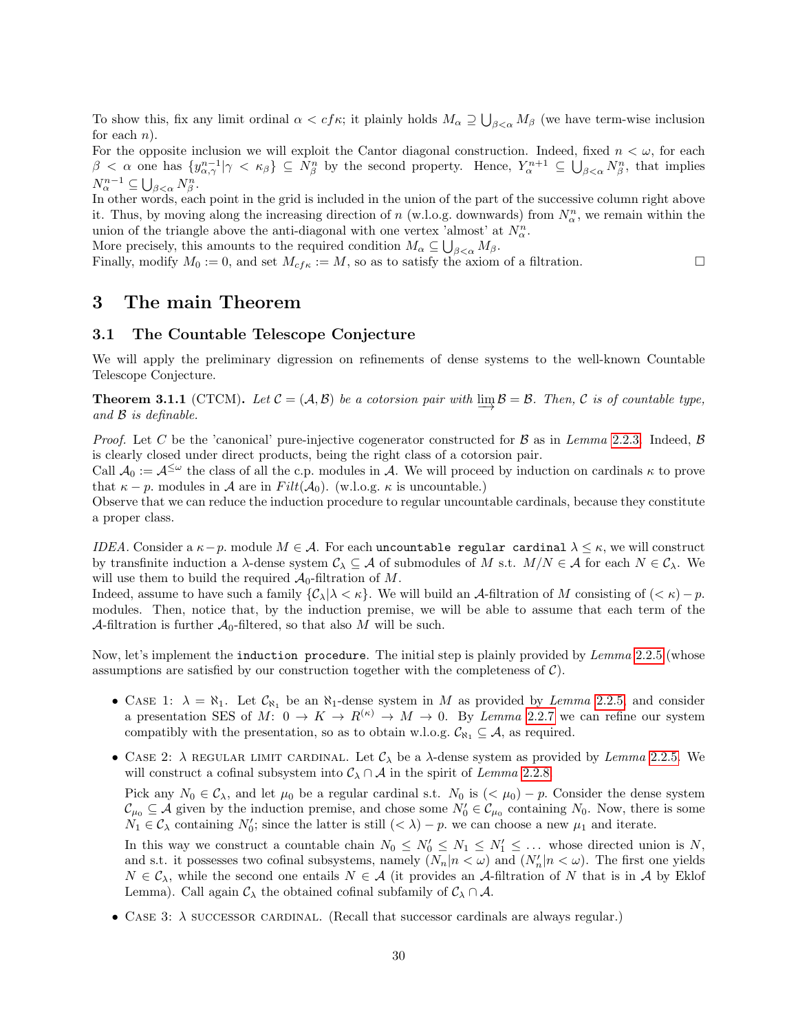To show this, fix any limit ordinal  $\alpha < cf\kappa$ ; it plainly holds  $M_\alpha \supseteq \bigcup_{\beta<\alpha} M_\beta$  (we have term-wise inclusion for each  $n$ ).

For the opposite inclusion we will exploit the Cantor diagonal construction. Indeed, fixed  $n < \omega$ , for each  $\beta < \alpha$  one has  $\{y^{n-1}_{\alpha,\gamma} | \gamma < \kappa_\beta\} \subseteq N^n_\beta$  by the second property. Hence,  $Y^{n+1}_\alpha \subseteq \bigcup_{\beta<\alpha} N^n_\beta$ , that implies  $N_{\alpha}^{n-1} \subseteq \bigcup_{\beta < \alpha} N_{\beta}^n$ .

In other words, each point in the grid is included in the union of the part of the successive column right above it. Thus, by moving along the increasing direction of n (w.l.o.g. downwards) from  $N_{\alpha}^{n}$ , we remain within the union of the triangle above the anti-diagonal with one vertex 'almost' at  $N_{\alpha}^{n}$ .

More precisely, this amounts to the required condition  $M_{\alpha} \subseteq \bigcup_{\beta < \alpha} M_{\beta}$ .

Finally, modify  $M_0 := 0$ , and set  $M_{cfrk} := M$ , so as to satisfy the axiom of a filtration.  $\square$ 

## <span id="page-29-0"></span>3 The main Theorem

#### <span id="page-29-1"></span>3.1 The Countable Telescope Conjecture

We will apply the preliminary digression on refinements of dense systems to the well-known Countable Telescope Conjecture.

**Theorem 3.1.1** (CTCM). Let  $C = (A, B)$  be a cotorsion pair with  $\lim_{x \to B} B = B$ . Then, C is of countable type, and  $B$  is definable.

*Proof.* Let C be the 'canonical' pure-injective cogenerator constructed for B as in Lemma [2.2.3.](#page-24-1) Indeed, B is clearly closed under direct products, being the right class of a cotorsion pair.

Call  $\mathcal{A}_0 := \mathcal{A}^{\leq \omega}$  the class of all the c.p. modules in A. We will proceed by induction on cardinals  $\kappa$  to prove that  $\kappa - p$ . modules in A are in  $Filt(\mathcal{A}_0)$ . (w.l.o.g.  $\kappa$  is uncountable.)

Observe that we can reduce the induction procedure to regular uncountable cardinals, because they constitute a proper class.

IDEA. Consider a  $\kappa - p$ , module  $M \in \mathcal{A}$ . For each uncountable regular cardinal  $\lambda \leq \kappa$ , we will construct by transfinite induction a  $\lambda$ -dense system  $\mathcal{C}_{\lambda} \subseteq \mathcal{A}$  of submodules of M s.t.  $M/N \in \mathcal{A}$  for each  $N \in \mathcal{C}_{\lambda}$ . We will use them to build the required  $\mathcal{A}_0$ -filtration of M.

Indeed, assume to have such a family  $\{\mathcal{C}_{\lambda} | \lambda \leq \kappa\}$ . We will build an A-filtration of M consisting of  $( $\kappa$ ) - p$ . modules. Then, notice that, by the induction premise, we will be able to assume that each term of the A-filtration is further  $\mathcal{A}_0$ -filtered, so that also M will be such.

Now, let's implement the **induction procedure**. The initial step is plainly provided by *Lemma* [2.2.5](#page-25-1) (whose assumptions are satisfied by our construction together with the completeness of  $\mathcal{C}$ ).

- CASE 1:  $\lambda = \aleph_1$ . Let  $\mathcal{C}_{\aleph_1}$  be an  $\aleph_1$ -dense system in M as provided by Lemma [2.2.5,](#page-25-1) and consider a presentation SES of M:  $0 \to K \to R^{(\kappa)} \to M \to 0$ . By Lemma [2.2.7](#page-26-1) we can refine our system compatibly with the presentation, so as to obtain w.l.o.g.  $\mathcal{C}_{\aleph_1} \subseteq \mathcal{A}$ , as required.
- CASE 2:  $\lambda$  REGULAR LIMIT CARDINAL. Let  $\mathcal{C}_{\lambda}$  be a  $\lambda$ -dense system as provided by *Lemma* [2.2.5.](#page-25-1) We will construct a cofinal subsystem into  $\mathcal{C}_{\lambda} \cap \mathcal{A}$  in the spirit of Lemma [2.2.8.](#page-27-0)

Pick any  $N_0 \in \mathcal{C}_{\lambda}$ , and let  $\mu_0$  be a regular cardinal s.t.  $N_0$  is  $( $\mu_0$ ) - p$ . Consider the dense system  $\mathcal{C}_{\mu_0} \subseteq \mathcal{A}$  given by the induction premise, and chose some  $N'_0 \in \mathcal{C}_{\mu_0}$  containing  $N_0$ . Now, there is some  $N_1 \in \mathcal{C}_{\lambda}$  containing  $N'_0$ ; since the latter is still  $( $\lambda$ ) - p$ , we can choose a new  $\mu_1$  and iterate.

In this way we construct a countable chain  $N_0 \leq N'_0 \leq N_1 \leq N'_1 \leq \ldots$  whose directed union is N, and s.t. it possesses two cofinal subsystems, namely  $(N_n|n<\omega)$  and  $(N'_n|n<\omega)$ . The first one yields  $N \in \mathcal{C}_{\lambda}$ , while the second one entails  $N \in \mathcal{A}$  (it provides an A-filtration of N that is in A by Eklof Lemma). Call again  $\mathcal{C}_{\lambda}$  the obtained cofinal subfamily of  $\mathcal{C}_{\lambda} \cap \mathcal{A}$ .

• CASE 3:  $\lambda$  successor cardinal. (Recall that successor cardinals are always regular.)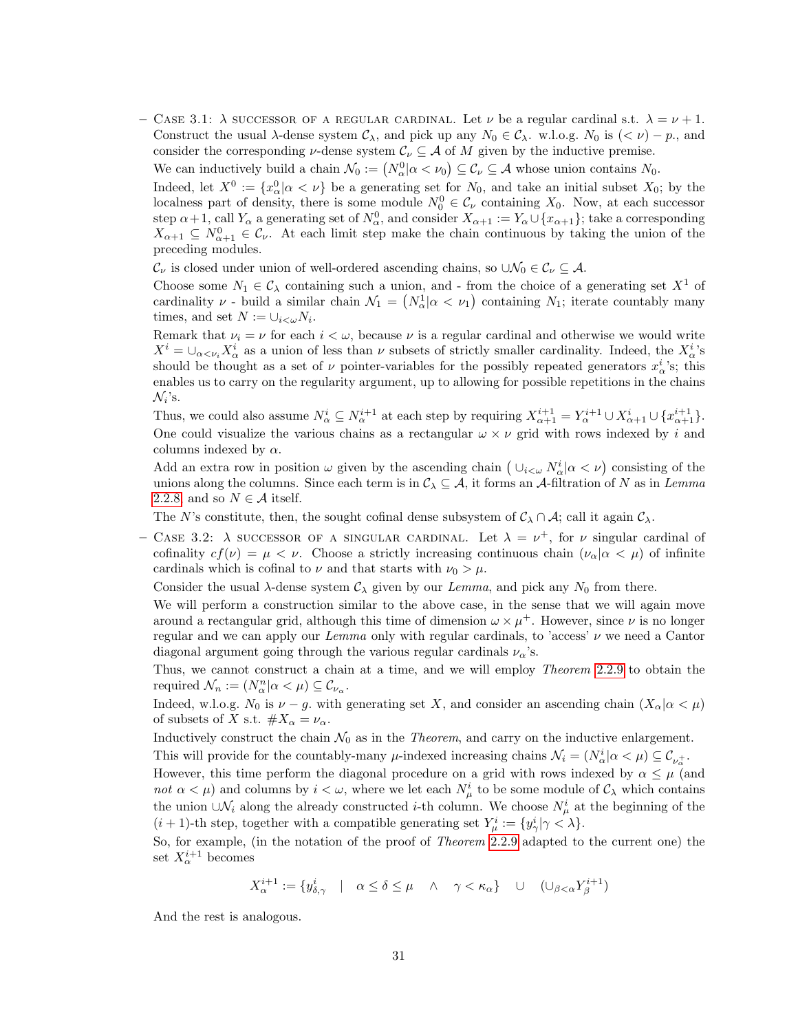– CASE 3.1:  $\lambda$  successor of a regular cardinal. Let  $\nu$  be a regular cardinal s.t.  $\lambda = \nu + 1$ . Construct the usual  $\lambda$ -dense system  $\mathcal{C}_{\lambda}$ , and pick up any  $N_0 \in \mathcal{C}_{\lambda}$ . w.l.o.g.  $N_0$  is  $( $\nu$ ) - p$ ., and consider the corresponding v-dense system  $\mathcal{C}_{\nu} \subseteq \mathcal{A}$  of M given by the inductive premise.

We can inductively build a chain  $\mathcal{N}_0 := (N_\alpha^0 | \alpha < \nu_0) \subseteq \mathcal{C}_\nu \subseteq \mathcal{A}$  whose union contains  $N_0$ . Indeed, let  $X^0 := \{x^0_\alpha | \alpha < \nu\}$  be a generating set for  $N_0$ , and take an initial subset  $X_0$ ; by the localness part of density, there is some module  $N_0^0 \in \mathcal{C}_{\nu}$  containing  $X_0$ . Now, at each successor step  $\alpha+1$ , call  $Y_{\alpha}$  a generating set of  $N_{\alpha}^0$ , and consider  $X_{\alpha+1} := Y_{\alpha} \cup \{x_{\alpha+1}\}$ ; take a corresponding  $X_{\alpha+1} \subseteq N_{\alpha+1}^0 \in \mathcal{C}_{\nu}$ . At each limit step make the chain continuous by taking the union of the preceding modules.

 $\mathcal{C}_{\nu}$  is closed under union of well-ordered ascending chains, so  $\cup \mathcal{N}_0 \in \mathcal{C}_{\nu} \subseteq \mathcal{A}$ .

Choose some  $N_1 \in \mathcal{C}_{\lambda}$  containing such a union, and - from the choice of a generating set  $X^1$  of cardinality  $\nu$  - build a similar chain  $\mathcal{N}_1 = \left(N_\alpha^1 | \alpha < \nu_1\right)$  containing  $N_1$ ; iterate countably many times, and set  $N := \cup_{i < \omega} N_i$ .

Remark that  $\nu_i = \nu$  for each  $i < \omega$ , because  $\nu$  is a regular cardinal and otherwise we would write  $X^i = \bigcup_{\alpha < \nu_i} X^i_\alpha$  as a union of less than  $\nu$  subsets of strictly smaller cardinality. Indeed, the  $X^i_\alpha$ 's should be thought as a set of  $\nu$  pointer-variables for the possibly repeated generators  $x^i_{\alpha}$ 's; this enables us to carry on the regularity argument, up to allowing for possible repetitions in the chains  $\mathcal{N}_i$ 's.

Thus, we could also assume  $N^i_\alpha \subseteq N^{i+1}_\alpha$  at each step by requiring  $X^{i+1}_{\alpha+1} = Y^{i+1}_\alpha \cup X^i_{\alpha+1} \cup \{x^{i+1}_{\alpha+1}\}.$ One could visualize the various chains as a rectangular  $\omega \times \nu$  grid with rows indexed by i and columns indexed by  $\alpha$ .

Add an extra row in position  $\omega$  given by the ascending chain  $(\cup_{i<\omega} N^i_{\alpha} | \alpha<\nu)$  consisting of the unions along the columns. Since each term is in  $C_\lambda \subseteq A$ , it forms an A-filtration of N as in Lemma [2.2.8,](#page-27-0) and so  $N \in \mathcal{A}$  itself.

The N's constitute, then, the sought cofinal dense subsystem of  $C_\lambda \cap A$ ; call it again  $C_\lambda$ .

– CASE 3.2:  $\lambda$  SUCCESSOR OF A SINGULAR CARDINAL. Let  $\lambda = \nu^{+}$ , for  $\nu$  singular cardinal of cofinality  $cf(\nu) = \mu < \nu$ . Choose a strictly increasing continuous chain  $(\nu_{\alpha} | \alpha < \mu)$  of infinite cardinals which is cofinal to  $\nu$  and that starts with  $\nu_0 > \mu$ .

Consider the usual  $\lambda$ -dense system  $\mathcal{C}_{\lambda}$  given by our Lemma, and pick any  $N_0$  from there.

We will perform a construction similar to the above case, in the sense that we will again move around a rectangular grid, although this time of dimension  $\omega \times \mu^{+}$ . However, since  $\nu$  is no longer regular and we can apply our Lemma only with regular cardinals, to 'access'  $\nu$  we need a Cantor diagonal argument going through the various regular cardinals  $\nu_{\alpha}$ 's.

Thus, we cannot construct a chain at a time, and we will employ Theorem [2.2.9](#page-28-0) to obtain the required  $\mathcal{N}_n := (N_\alpha^n | \alpha < \mu) \subseteq \mathcal{C}_{\nu_\alpha}$ .

Indeed, w.l.o.g. N<sub>0</sub> is  $\nu - g$ , with generating set X, and consider an ascending chain  $(X_{\alpha} | \alpha < \mu)$ of subsets of X s.t.  $\#X_{\alpha} = \nu_{\alpha}$ .

Inductively construct the chain  $\mathcal{N}_0$  as in the *Theorem*, and carry on the inductive enlargement.

This will provide for the countably-many  $\mu$ -indexed increasing chains  $\mathcal{N}_i = (N^i_\alpha | \alpha < \mu) \subseteq C_{\nu^+_{\alpha}}$ .

However, this time perform the diagonal procedure on a grid with rows indexed by  $\alpha \leq \mu$  (and not  $\alpha < \mu$ ) and columns by  $i < \omega$ , where we let each  $N^i_\mu$  to be some module of  $\mathcal{C}_\lambda$  which contains the union  $\cup \mathcal{N}_i$  along the already constructed *i*-th column. We choose  $N^i_\mu$  at the beginning of the  $(i+1)$ -th step, together with a compatible generating set  $Y^i_\mu := \{y^i_\gamma | \gamma < \lambda\}.$ 

So, for example, (in the notation of the proof of *Theorem* [2.2.9](#page-28-0) adapted to the current one) the set  $X_\alpha^{i+1}$  becomes

$$
X_{\alpha}^{i+1} := \{ y_{\delta,\gamma}^i \mid \alpha \le \delta \le \mu \quad \wedge \quad \gamma < \kappa_{\alpha} \} \quad \cup \quad (\cup_{\beta < \alpha} Y_{\beta}^{i+1})
$$

And the rest is analogous.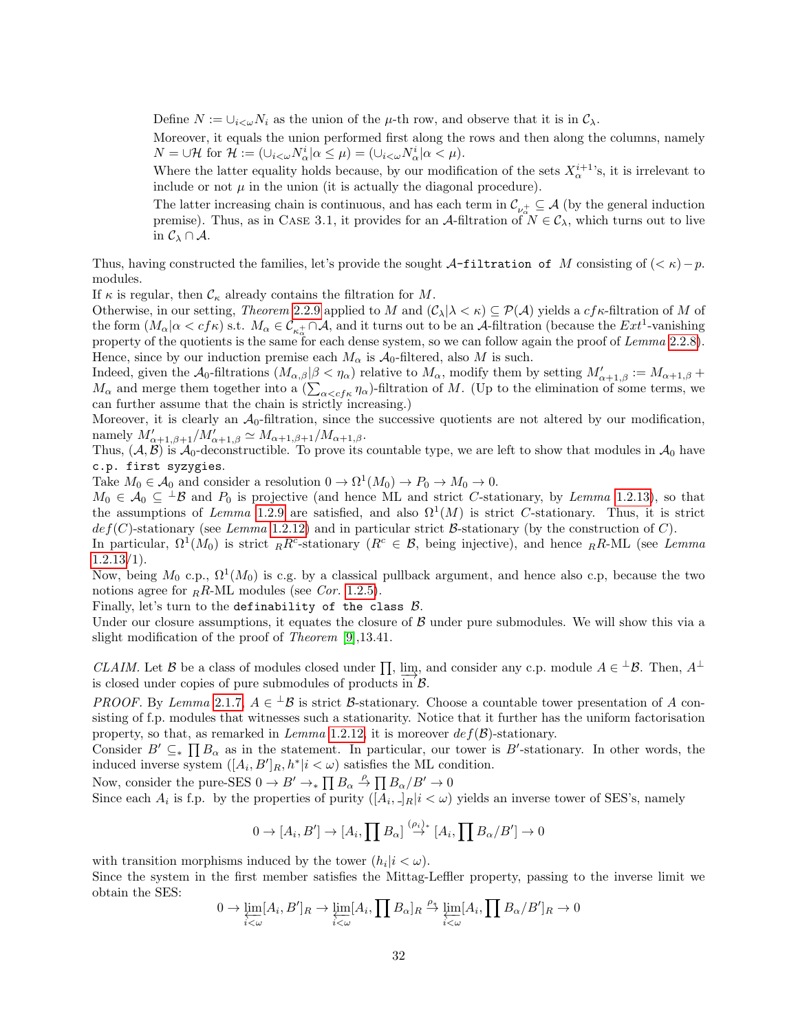Define  $N := \bigcup_{i < \omega} N_i$  as the union of the  $\mu$ -th row, and observe that it is in  $\mathcal{C}_{\lambda}$ .

Moreover, it equals the union performed first along the rows and then along the columns, namely  $N = \bigcup \mathcal{H}$  for  $\mathcal{H} := (\bigcup_{i<\omega} N_{\alpha}^i | \alpha \leq \mu) = (\bigcup_{i<\omega} N_{\alpha}^i | \alpha < \mu).$ 

Where the latter equality holds because, by our modification of the sets  $X_\alpha^{i+1}$ 's, it is irrelevant to include or not  $\mu$  in the union (it is actually the diagonal procedure).

The latter increasing chain is continuous, and has each term in  $\mathcal{C}_{\nu_{\alpha}^+} \subseteq \mathcal{A}$  (by the general induction premise). Thus, as in CASE 3.1, it provides for an A-filtration of  $N \in \mathcal{C}_{\lambda}$ , which turns out to live in  $\mathcal{C}_{\lambda} \cap \mathcal{A}$ .

Thus, having constructed the families, let's provide the sought A-filtration of M consisting of ( $\lt \kappa$ ) – p. modules.

If  $\kappa$  is regular, then  $\mathcal{C}_{\kappa}$  already contains the filtration for M.

Otherwise, in our setting, Theorem [2.2.9](#page-28-0) applied to M and  $(C_\lambda | \lambda \lt \kappa) \subseteq \mathcal{P}(\mathcal{A})$  yields a  $cf\kappa$ -filtration of M of the form  $(M_\alpha|\alpha < cf\kappa)$  s.t.  $M_\alpha \in \mathcal{C}_{\kappa_\alpha^+} \cap \mathcal{A}$ , and it turns out to be an  $\mathcal{A}\text{-filtration}$  (because the  $Ext^1$ -vanishing property of the quotients is the same for each dense system, so we can follow again the proof of Lemma [2.2.8\)](#page-27-0). Hence, since by our induction premise each  $M_{\alpha}$  is  $A_0$ -filtered, also M is such.

Indeed, given the  $\mathcal{A}_0$ -filtrations  $(M_{\alpha,\beta}|\beta < \eta_\alpha)$  relative to  $M_\alpha$ , modify them by setting  $M'_{\alpha+1,\beta} := M_{\alpha+1,\beta} +$  $M_{\alpha}$  and merge them together into a  $(\sum_{\alpha-filtration of M. (Up to the elimination of some terms, we$ can further assume that the chain is strictly increasing.)

Moreover, it is clearly an  $A_0$ -filtration, since the successive quotients are not altered by our modification, namely  $M'_{\alpha+1,\beta+1}/M'_{\alpha+1,\beta} \simeq M_{\alpha+1,\beta+1}/M_{\alpha+1,\beta}$ .

Thus,  $(A, B)$  is  $A_0$ -deconstructible. To prove its countable type, we are left to show that modules in  $A_0$  have c.p. first syzygies.

Take  $M_0 \in \mathcal{A}_0$  and consider a resolution  $0 \to \Omega^1(M_0) \to P_0 \to M_0 \to 0$ .

 $M_0 \in \mathcal{A}_0 \subseteq {}^{\perp} \mathcal{B}$  and  $P_0$  is projective (and hence ML and strict C-stationary, by Lemma [1.2.13\)](#page-12-0), so that the assumptions of Lemma [1.2.9](#page-9-0) are satisfied, and also  $\Omega^1(M)$  is strict C-stationary. Thus, it is strict  $def(C)$ -stationary (see Lemma [1.2.12\)](#page-11-0) and in particular strict B-stationary (by the construction of C).

In particular,  $\Omega^1(M_0)$  is strict  $_R R^c$ -stationary  $(R^c \in \mathcal{B}, \text{ being injective})$ , and hence  $_R R$ -ML (see Lemma  $1.2.13/1$  $1.2.13/1$ .

Now, being  $M_0$  c.p.,  $\Omega^1(M_0)$  is c.g. by a classical pullback argument, and hence also c.p, because the two notions agree for  $_RR$ -ML modules (see Cor. [1.2.5\)](#page-7-0).

Finally, let's turn to the definability of the class  $B$ .

Under our closure assumptions, it equates the closure of  $\beta$  under pure submodules. We will show this via a slight modification of the proof of Theorem [\[9\]](#page-43-2),13.41.

CLAIM. Let B be a class of modules closed under  $\prod$ ,  $\lim_{n \to \infty}$ , and consider any c.p. module  $A \in \perp \mathcal{B}$ . Then,  $A^{\perp}$ is closed under copies of pure submodules of products in  $\mathcal{B}$ .

PROOF. By Lemma [2.1.7,](#page-20-0)  $A \in {}^{\perp} \mathcal{B}$  is strict  $\mathcal{B}$ -stationary. Choose a countable tower presentation of A consisting of f.p. modules that witnesses such a stationarity. Notice that it further has the uniform factorisation property, so that, as remarked in Lemma [1.2.12,](#page-11-0) it is moreover  $def(\mathcal{B})$ -stationary.

Consider  $B' \subseteq_{*} \prod B_{\alpha}$  as in the statement. In particular, our tower is B'-stationary. In other words, the induced inverse system  $([A_i, B']_R, h^* | i < \omega)$  satisfies the ML condition.

Now, consider the pure-SES  $0 \to B' \to \prod B_\alpha \stackrel{\rho}{\to} \prod B_\alpha / B' \to 0$ 

Since each  $A_i$  is f.p. by the properties of purity  $([A_i, \cdot]_R | i < \omega)$  yields an inverse tower of SES's, namely

$$
0 \to [A_i, B'] \to [A_i, \prod B_{\alpha}] \stackrel{(\rho_i)_*}{\to} [A_i, \prod B_{\alpha}/B'] \to 0
$$

with transition morphisms induced by the tower  $(h_i|i < \omega)$ .

Since the system in the first member satisfies the Mittag-Leffler property, passing to the inverse limit we obtain the SES:

$$
0 \to \varprojlim_{i < \omega} [A_i, B']_R \to \varprojlim_{i < \omega} [A_i, \prod B_\alpha]_R \overset{\rho_*}{\to} \varprojlim_{i < \omega} [A_i, \prod B_\alpha / B']_R \to 0
$$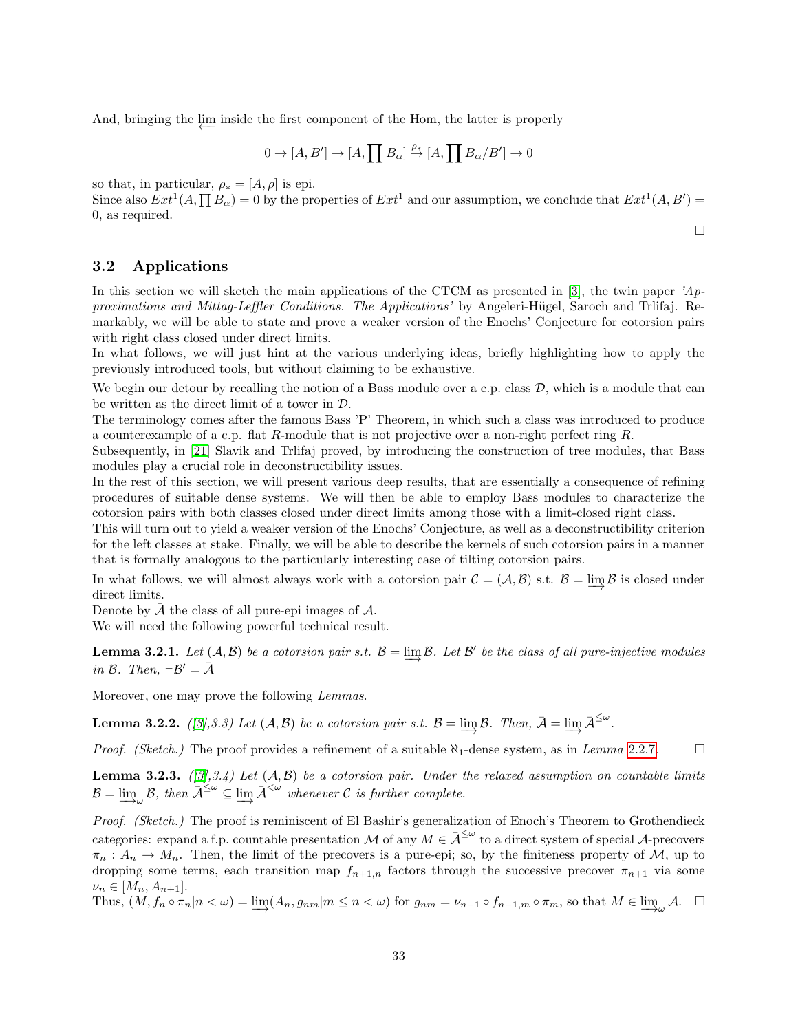And, bringing the  $\downarrow \text{im}$  inside the first component of the Hom, the latter is properly

$$
0 \to [A, B'] \to [A, \prod B_{\alpha}] \xrightarrow{\rho_{*}} [A, \prod B_{\alpha}/B'] \to 0
$$

so that, in particular,  $\rho_* = [A, \rho]$  is epi.

Since also  $Ext^1(A, \prod B_{\alpha}) = 0$  by the properties of  $Ext^1$  and our assumption, we conclude that  $Ext^1(A, B') =$ 0, as required.

□

#### <span id="page-32-0"></span>3.2 Applications

In this section we will sketch the main applications of the CTCM as presented in [\[3\]](#page-43-15), the twin paper  $A_p$ proximations and Mittag-Leffler Conditions. The Applications' by Angeleri-Hügel, Saroch and Trlifaj. Remarkably, we will be able to state and prove a weaker version of the Enochs' Conjecture for cotorsion pairs with right class closed under direct limits.

In what follows, we will just hint at the various underlying ideas, briefly highlighting how to apply the previously introduced tools, but without claiming to be exhaustive.

We begin our detour by recalling the notion of a Bass module over a c.p. class  $\mathcal{D}$ , which is a module that can be written as the direct limit of a tower in D.

The terminology comes after the famous Bass 'P' Theorem, in which such a class was introduced to produce a counterexample of a c.p. flat R-module that is not projective over a non-right perfect ring R.

Subsequently, in [\[21\]](#page-44-2) Slavik and Trlifaj proved, by introducing the construction of tree modules, that Bass modules play a crucial role in deconstructibility issues.

In the rest of this section, we will present various deep results, that are essentially a consequence of refining procedures of suitable dense systems. We will then be able to employ Bass modules to characterize the cotorsion pairs with both classes closed under direct limits among those with a limit-closed right class.

This will turn out to yield a weaker version of the Enochs' Conjecture, as well as a deconstructibility criterion for the left classes at stake. Finally, we will be able to describe the kernels of such cotorsion pairs in a manner that is formally analogous to the particularly interesting case of tilting cotorsion pairs.

In what follows, we will almost always work with a cotorsion pair  $C = (\mathcal{A}, \mathcal{B})$  s.t.  $\mathcal{B} = \varinjlim \mathcal{B}$  is closed under direct limits.

Denote by  $\overline{A}$  the class of all pure-epi images of  $A$ .

We will need the following powerful technical result.

**Lemma 3.2.1.** Let  $(A, B)$  be a cotorsion pair s.t.  $B = \varinjlim B$ . Let B' be the class of all pure-injective modules in B. Then,  $^{\perp}B' = \bar{A}$ 

Moreover, one may prove the following Lemmas.

**Lemma 3.2.2.** ([\[3\]](#page-43-15),3.3) Let  $(A, B)$  be a cotorsion pair s.t.  $B = \varinjlim \mathcal{B}$ . Then,  $\bar{\mathcal{A}} = \varinjlim \bar{\mathcal{A}}^{\leq \omega}$ .

*Proof. (Sketch.)* The proof provides a refinement of a suitable  $\aleph_1$ -dense system, as in Lemma [2.2.7.](#page-26-1)  $\Box$ 

**Lemma 3.2.3.** ([\[3\]](#page-43-15),3.4) Let  $(A, B)$  be a cotorsion pair. Under the relaxed assumption on countable limits  $\mathcal{B} = \varinjlim_{\mathcal{A}} \mathcal{B}$ , then  $\mathcal{A}^{\leq \omega} \subseteq \varinjlim \mathcal{A}^{< \omega}$  whenever C is further complete.

Proof. (Sketch.) The proof is reminiscent of El Bashir's generalization of Enoch's Theorem to Grothendieck categories: expand a f.p. countable presentation M of any  $M \in \bar{\mathcal{A}}^{\leq \omega}$  to a direct system of special A-precovers  $\pi_n : A_n \to M_n$ . Then, the limit of the precovers is a pure-epi; so, by the finiteness property of M, up to dropping some terms, each transition map  $f_{n+1,n}$  factors through the successive precover  $\pi_{n+1}$  via some  $\nu_n \in [M_n, A_{n+1}].$ 

Thus,  $(M, f_n \circ \pi_n | n < \omega) = \varinjlim (A_n, g_{nm} | m \le n < \omega)$  for  $g_{nm} = \nu_{n-1} \circ f_{n-1,m} \circ \pi_m$ , so that  $M \in \varinjlim_{\omega} A$ .  $\Box$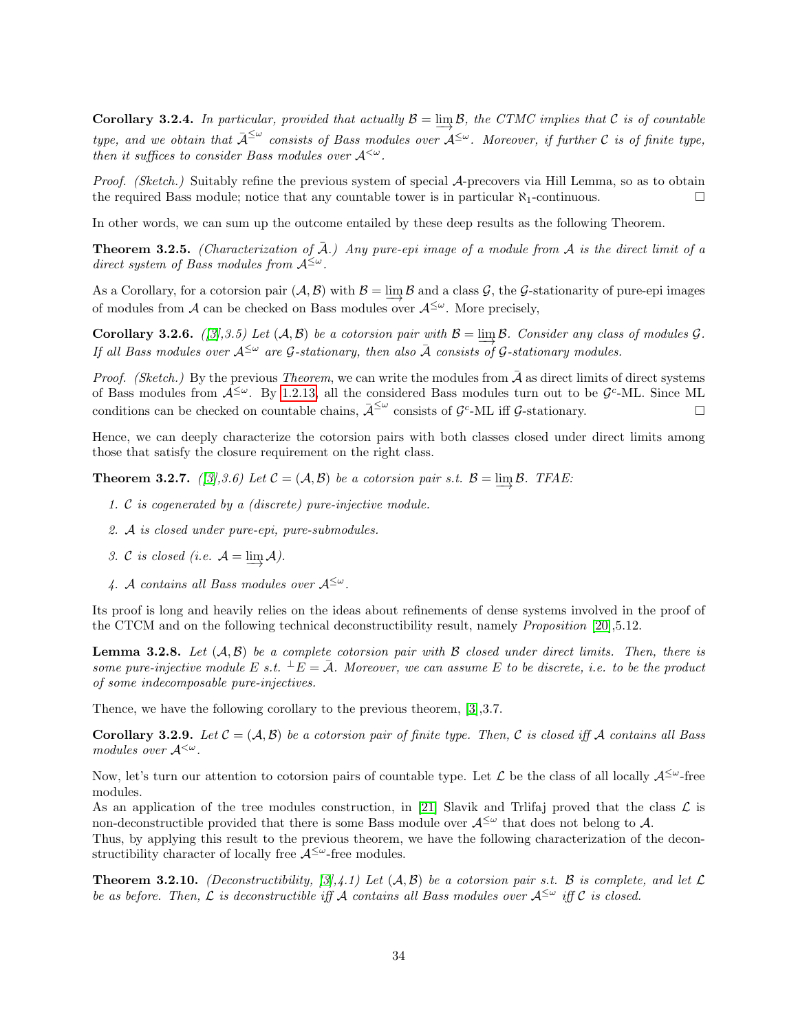**Corollary 3.2.4.** In particular, provided that actually  $B = \varinjlim B$ , the CTMC implies that C is of countable type, and we obtain that  $\bar{A}^{\leq \omega}$  consists of Bass modules over  $A^{\leq \omega}$ . Moreover, if further C is of finite type, then it suffices to consider Bass modules over  $A^{\langle \omega \rangle}$ .

Proof. (Sketch.) Suitably refine the previous system of special A-precovers via Hill Lemma, so as to obtain the required Bass module; notice that any countable tower is in particular  $\aleph_1$ -continuous.  $\Box$ 

In other words, we can sum up the outcome entailed by these deep results as the following Theorem.

**Theorem 3.2.5.** (Characterization of  $\overline{A}$ .) Any pure-epi image of a module from  $\overline{A}$  is the direct limit of a direct system of Bass modules from  $A^{\leq \omega}$ .

As a Corollary, for a cotorsion pair  $(\mathcal{A}, \mathcal{B})$  with  $\mathcal{B} = \varinjlim \mathcal{B}$  and a class  $\mathcal{G}$ , the  $\mathcal{G}$ -stationarity of pure-epi images of modules from A can be checked on Bass modules over  $A^{\leq \omega}$ . More precisely,

**Corollary 3.2.6.** ([\[3\]](#page-43-15),3.5) Let  $(A, B)$  be a cotorsion pair with  $B = \varinjlim B$ . Consider any class of modules  $G$ . If all Bass modules over  $A^{\leq \omega}$  are G-stationary, then also  $\overline{A}$  consists of G-stationary modules.

*Proof.* (Sketch.) By the previous Theorem, we can write the modules from  $\bar{\mathcal{A}}$  as direct limits of direct systems of Bass modules from  $A^{\leq \omega}$ . By [1.2.13,](#page-12-0) all the considered Bass modules turn out to be  $\mathcal{G}^c$ -ML. Since ML conditions can be checked on countable chains,  $\bar{\mathcal{A}}^{\leq \omega}$  consists of  $\mathcal{G}^c$ -ML iff  $\mathcal{G}$ -stationary.

Hence, we can deeply characterize the cotorsion pairs with both classes closed under direct limits among those that satisfy the closure requirement on the right class.

<span id="page-33-0"></span>**Theorem 3.2.7.** ([\[3\]](#page-43-15),3.6) Let  $C = (A, B)$  be a cotorsion pair s.t.  $B = \varinjlim B$ . TFAE:

- 1. C is cogenerated by a (discrete) pure-injective module.
- 2. A is closed under pure-epi, pure-submodules.
- 3. C is closed (i.e.  $\mathcal{A} = \varinjlim \mathcal{A}$ ).
- 4. A contains all Bass modules over  $A^{\leq \omega}$ .

Its proof is long and heavily relies on the ideas about refinements of dense systems involved in the proof of the CTCM and on the following technical deconstructibility result, namely Proposition [\[20\]](#page-43-4),5.12.

**Lemma 3.2.8.** Let  $(A, B)$  be a complete cotorsion pair with B closed under direct limits. Then, there is some pure-injective module E s.t.  $\pm E = \bar{\mathcal{A}}$ . Moreover, we can assume E to be discrete, i.e. to be the product of some indecomposable pure-injectives.

Thence, we have the following corollary to the previous theorem, [\[3\]](#page-43-15),3.7.

**Corollary 3.2.9.** Let  $C = (A, B)$  be a cotorsion pair of finite type. Then, C is closed iff A contains all Bass modules over  $A^{\langle \omega \rangle}$ .

Now, let's turn our attention to cotorsion pairs of countable type. Let  $\mathcal L$  be the class of all locally  $\mathcal A^{\leq \omega}$ -free modules.

As an application of the tree modules construction, in [\[21\]](#page-44-2) Slavik and Triffaj proved that the class  $\mathcal{L}$  is non-deconstructible provided that there is some Bass module over  $A^{\leq \omega}$  that does not belong to A.

Thus, by applying this result to the previous theorem, we have the following characterization of the deconstructibility character of locally free  $A^{\leq \omega}$ -free modules.

**Theorem 3.2.10.** (Deconstructibility, [\[3\]](#page-43-15),4.1) Let  $(A, B)$  be a cotorsion pair s.t. B is complete, and let  $\mathcal{L}$ be as before. Then,  $\mathcal L$  is deconstructible iff  $\mathcal A$  contains all Bass modules over  $\mathcal A^{\leq \omega}$  iff  $\mathcal C$  is closed.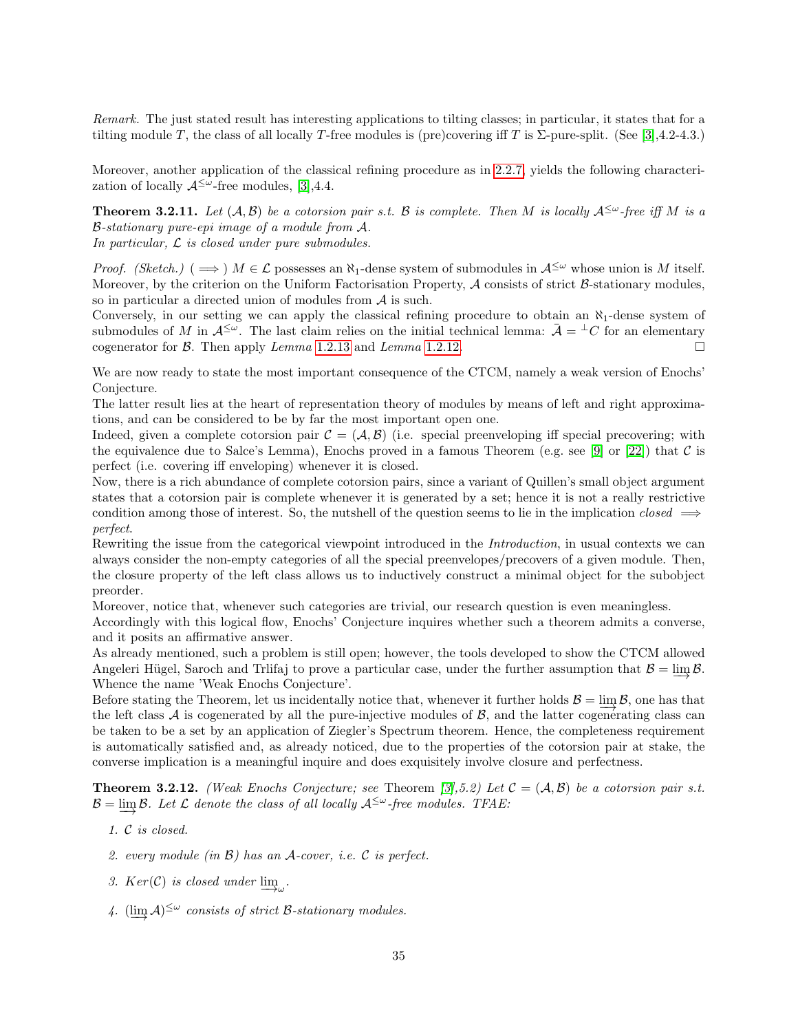Remark. The just stated result has interesting applications to tilting classes; in particular, it states that for a tilting module T, the class of all locally T-free modules is (pre)covering iff T is  $\Sigma$ -pure-split. (See [\[3\]](#page-43-15),4.2-4.3.)

Moreover, another application of the classical refining procedure as in [2.2.7,](#page-26-1) yields the following characterization of locally  $\mathcal{A}^{\leq \omega}$ -free modules, [\[3\]](#page-43-15),4.4.

**Theorem 3.2.11.** Let  $(A, B)$  be a cotorsion pair s.t. B is complete. Then M is locally  $A^{\leq \omega}$ -free iff M is a B-stationary pure-epi image of a module from A. In particular,  $\mathcal L$  is closed under pure submodules.

*Proof.* (Sketch.) (  $\implies$  )  $M \in \mathcal{L}$  possesses an  $\aleph_1$ -dense system of submodules in  $\mathcal{A}^{\leq \omega}$  whose union is M itself. Moreover, by the criterion on the Uniform Factorisation Property,  $A$  consists of strict  $B$ -stationary modules, so in particular a directed union of modules from A is such.

Conversely, in our setting we can apply the classical refining procedure to obtain an  $\aleph_1$ -dense system of submodules of M in  $\mathcal{A}^{\leq \omega}$ . The last claim relies on the initial technical lemma:  $\bar{\mathcal{A}} = \pm C$  for an elementary cogenerator for B. Then apply Lemma [1.2.13](#page-12-0) and Lemma [1.2.12.](#page-11-0)  $\Box$ 

We are now ready to state the most important consequence of the CTCM, namely a weak version of Enochs' Conjecture.

The latter result lies at the heart of representation theory of modules by means of left and right approximations, and can be considered to be by far the most important open one.

Indeed, given a complete cotorsion pair  $C = (\mathcal{A}, \mathcal{B})$  (i.e. special preenveloping iff special precovering; with the equivalence due to Salce's Lemma), Enochs proved in a famous Theorem (e.g. see [\[9\]](#page-43-2) or [\[22\]](#page-44-0)) that  $\mathcal C$  is perfect (i.e. covering iff enveloping) whenever it is closed.

Now, there is a rich abundance of complete cotorsion pairs, since a variant of Quillen's small object argument states that a cotorsion pair is complete whenever it is generated by a set; hence it is not a really restrictive condition among those of interest. So, the nutshell of the question seems to lie in the implication closed  $\implies$ perfect.

Rewriting the issue from the categorical viewpoint introduced in the *Introduction*, in usual contexts we can always consider the non-empty categories of all the special preenvelopes/precovers of a given module. Then, the closure property of the left class allows us to inductively construct a minimal object for the subobject preorder.

Moreover, notice that, whenever such categories are trivial, our research question is even meaningless.

Accordingly with this logical flow, Enochs' Conjecture inquires whether such a theorem admits a converse, and it posits an affirmative answer.

As already mentioned, such a problem is still open; however, the tools developed to show the CTCM allowed Angeleri Hügel, Saroch and Trlifaj to prove a particular case, under the further assumption that  $B = \varinjlim B$ . Whence the name 'Weak Enochs Conjecture'.

Before stating the Theorem, let us incidentally notice that, whenever it further holds  $\mathcal{B} = \varinjlim \mathcal{B}$ , one has that the left class  $A$  is cogenerated by all the pure-injective modules of  $B$ , and the latter cogenerating class can be taken to be a set by an application of Ziegler's Spectrum theorem. Hence, the completeness requirement is automatically satisfied and, as already noticed, due to the properties of the cotorsion pair at stake, the converse implication is a meaningful inquire and does exquisitely involve closure and perfectness.

**Theorem 3.2.12.** (Weak Enochs Conjecture; see Theorem [\[3\]](#page-43-15),5.2) Let  $C = (A, B)$  be a cotorsion pair s.t.  $\mathcal{B} = \varinjlim \mathcal{B}$ . Let  $\mathcal L$  denote the class of all locally  $\mathcal{A}^{\leq \omega}$ -free modules. TFAE:

- 1. C is closed.
- 2. every module (in B) has an A-cover, i.e. C is perfect.
- 3.  $Ker(C)$  is closed under  $\varinjlim_{\omega}$ .
- 4.  $(\varinjlim_{\longrightarrow} A)^{\leq \omega}$  consists of strict B-stationary modules.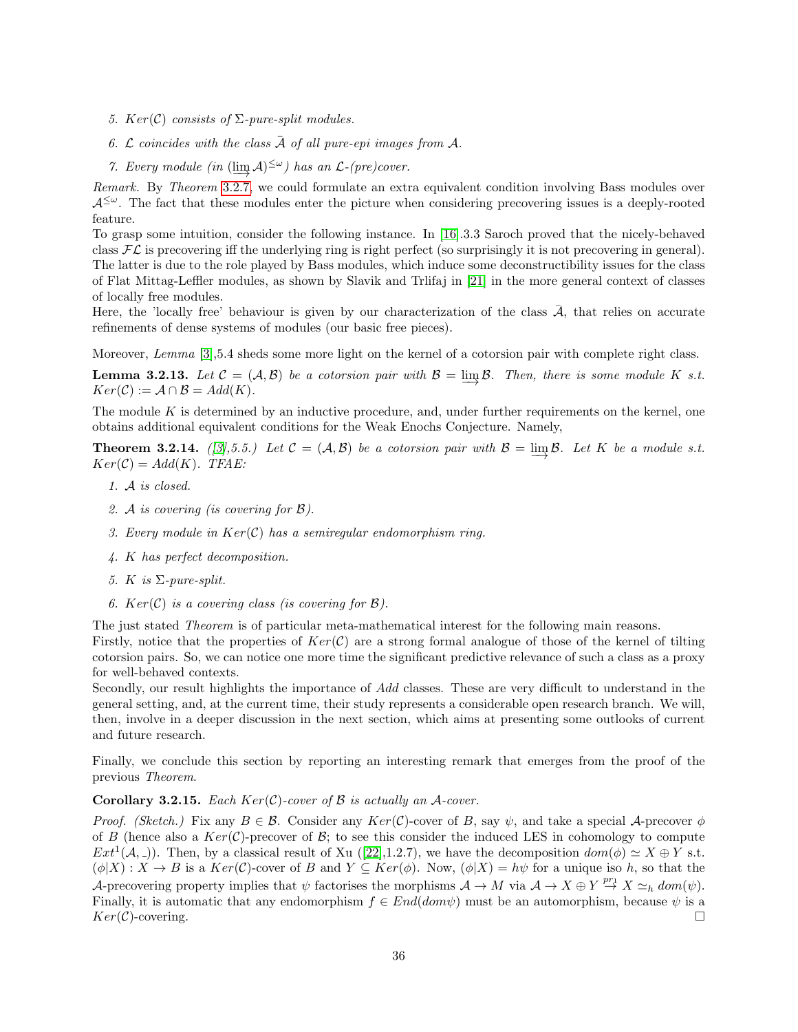- 5.  $Ker(C)$  consists of  $\Sigma$ -pure-split modules.
- 6.  $\mathcal L$  coincides with the class  $\bar{\mathcal A}$  of all pure-epi images from  $\mathcal A$ .
- 7. Every module (in  $(\lim_{n \to \infty} A)^{\leq \omega}$ ) has an  $\mathcal{L}$ -(pre)cover.

Remark. By Theorem [3.2.7,](#page-33-0) we could formulate an extra equivalent condition involving Bass modules over  $A^{\leq\omega}$ . The fact that these modules enter the picture when considering precovering issues is a deeply-rooted feature.

To grasp some intuition, consider the following instance. In [\[16\]](#page-43-0).3.3 Saroch proved that the nicely-behaved class  $FL$  is precovering iff the underlying ring is right perfect (so surprisingly it is not precovering in general). The latter is due to the role played by Bass modules, which induce some deconstructibility issues for the class of Flat Mittag-Leffler modules, as shown by Slavik and Trlifaj in [\[21\]](#page-44-2) in the more general context of classes of locally free modules.

Here, the 'locally free' behaviour is given by our characterization of the class  $\overline{A}$ , that relies on accurate refinements of dense systems of modules (our basic free pieces).

Moreover, Lemma [\[3\]](#page-43-15),5.4 sheds some more light on the kernel of a cotorsion pair with complete right class.

**Lemma 3.2.13.** Let  $C = (A, B)$  be a cotorsion pair with  $B = \varinjlim B$ . Then, there is some module K s.t.  $Ker(C) := \mathcal{A} \cap \mathcal{B} = Add(K).$ 

The module  $K$  is determined by an inductive procedure, and, under further requirements on the kernel, one obtains additional equivalent conditions for the Weak Enochs Conjecture. Namely,

**Theorem 3.2.14.** ([\[3\]](#page-43-15),5.5.) Let  $C = (A, B)$  be a cotorsion pair with  $B = \varinjlim B$ . Let K be a module s.t.  $Ker(C) = Add(K)$ . TFAE:

- 1. A is closed.
- 2. A is covering (is covering for B).
- 3. Every module in  $Ker(\mathcal{C})$  has a semiregular endomorphism ring.
- 4. K has perfect decomposition.
- 5. K is  $\Sigma$ -pure-split.
- 6.  $Ker(C)$  is a covering class (is covering for  $\mathcal{B}$ ).

The just stated Theorem is of particular meta-mathematical interest for the following main reasons.

Firstly, notice that the properties of  $Ker(\mathcal{C})$  are a strong formal analogue of those of the kernel of tilting cotorsion pairs. So, we can notice one more time the significant predictive relevance of such a class as a proxy for well-behaved contexts.

Secondly, our result highlights the importance of Add classes. These are very difficult to understand in the general setting, and, at the current time, their study represents a considerable open research branch. We will, then, involve in a deeper discussion in the next section, which aims at presenting some outlooks of current and future research.

Finally, we conclude this section by reporting an interesting remark that emerges from the proof of the previous Theorem.

#### **Corollary 3.2.15.** Each  $Ker(\mathcal{C})$ -cover of  $\mathcal B$  is actually an A-cover.

Proof. (Sketch.) Fix any  $B \in \mathcal{B}$ . Consider any  $Ker(\mathcal{C})$ -cover of B, say  $\psi$ , and take a special A-precover  $\phi$ of B (hence also a  $Ker(\mathcal{C})$ -precover of B; to see this consider the induced LES in cohomology to compute  $Ext^1(\mathcal{A},))$ . Then, by a classical result of Xu ([\[22\]](#page-44-0),1.2.7), we have the decomposition  $dom(\phi) \simeq X \oplus Y$  s.t.  $(\phi|X) : X \to B$  is a  $Ker(\mathcal{C})$ -cover of B and  $Y \subseteq Ker(\phi)$ . Now,  $(\phi|X) = h\psi$  for a unique iso h, so that the A-precovering property implies that  $\psi$  factorises the morphisms  $\mathcal{A} \to M$  via  $\mathcal{A} \to X \oplus Y \stackrel{pr_1}{\to} X \simeq_h dom(\psi)$ . Finally, it is automatic that any endomorphism  $f \in End(dom\psi)$  must be an automorphism, because  $\psi$  is a  $Ker(\mathcal{C})$ -covering.  $\square$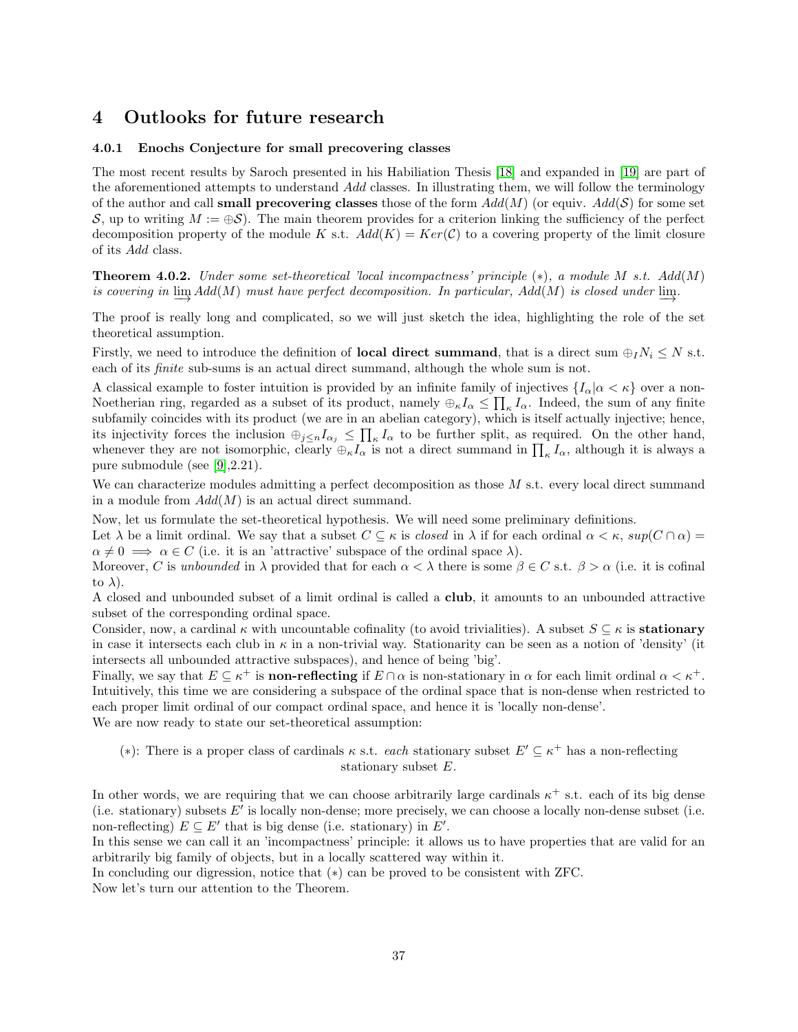## <span id="page-36-0"></span>4 Outlooks for future research

#### <span id="page-36-1"></span>4.0.1 Enochs Conjecture for small precovering classes

The most recent results by Saroch presented in his Habiliation Thesis [\[18\]](#page-43-5) and expanded in [\[19\]](#page-43-16) are part of the aforementioned attempts to understand Add classes. In illustrating them, we will follow the terminology of the author and call **small precovering classes** those of the form  $Add(M)$  (or equiv.  $Add(\mathcal{S})$  for some set S, up to writing  $M := \bigoplus \mathcal{S}$ ). The main theorem provides for a criterion linking the sufficiency of the perfect decomposition property of the module K s.t.  $Add(K) = Ker(\mathcal{C})$  to a covering property of the limit closure of its Add class.

**Theorem 4.0.2.** Under some set-theoretical 'local incompactness' principle  $(*)$ , a module M s.t.  $Add(M)$ is covering in  $\varinjlim{Add(M)}$  must have perfect decomposition. In particular,  $Add(M)$  is closed under  $\varinjlim{A}$ .

The proof is really long and complicated, so we will just sketch the idea, highlighting the role of the set theoretical assumption.

Firstly, we need to introduce the definition of **local direct summand**, that is a direct sum  $\bigoplus_i N_i \leq N$  s.t. each of its *finite* sub-sums is an actual direct summand, although the whole sum is not.

A classical example to foster intuition is provided by an infinite family of injectives  $\{I_\alpha | \alpha < \kappa \}$  over a non-Noetherian ring, regarded as a subset of its product, namely  $\bigoplus_{\kappa} I_{\alpha} \leq \prod_{\kappa} I_{\alpha}$ . Indeed, the sum of any finite subfamily coincides with its product (we are in an abelian category), which is itself actually injective; hence, its injectivity forces the inclusion  $\bigoplus_{j\leq n} I_{\alpha_j} \leq \prod_{\kappa} I_{\alpha}$  to be further split, as required. On the other hand, whenever they are not isomorphic, clearly  $\oplus_{\kappa} I_{\alpha}$  is not a direct summand in  $\prod_{\kappa} I_{\alpha}$ , although it is always a pure submodule (see [\[9\]](#page-43-2),2.21).

We can characterize modules admitting a perfect decomposition as those M s.t. every local direct summand in a module from  $Add(M)$  is an actual direct summand.

Now, let us formulate the set-theoretical hypothesis. We will need some preliminary definitions.

Let  $\lambda$  be a limit ordinal. We say that a subset  $C \subseteq \kappa$  is *closed* in  $\lambda$  if for each ordinal  $\alpha < \kappa$ ,  $sup(C \cap \alpha)$  $\alpha \neq 0 \implies \alpha \in C$  (i.e. it is an 'attractive' subspace of the ordinal space  $\lambda$ ).

Moreover, C is unbounded in  $\lambda$  provided that for each  $\alpha < \lambda$  there is some  $\beta \in C$  s.t.  $\beta > \alpha$  (i.e. it is cofinal to  $\lambda$ ).

A closed and unbounded subset of a limit ordinal is called a club, it amounts to an unbounded attractive subset of the corresponding ordinal space.

Consider, now, a cardinal  $\kappa$  with uncountable cofinality (to avoid trivialities). A subset  $S \subseteq \kappa$  is **stationary** in case it intersects each club in  $\kappa$  in a non-trivial way. Stationarity can be seen as a notion of 'density' (it intersects all unbounded attractive subspaces), and hence of being 'big'.

Finally, we say that  $E \subseteq \kappa^+$  is **non-reflecting** if  $E \cap \alpha$  is non-stationary in  $\alpha$  for each limit ordinal  $\alpha < \kappa^+$ . Intuitively, this time we are considering a subspace of the ordinal space that is non-dense when restricted to each proper limit ordinal of our compact ordinal space, and hence it is 'locally non-dense'. We are now ready to state our set-theoretical assumption:

(\*): There is a proper class of cardinals  $\kappa$  s.t. *each* stationary subset  $E' \subseteq \kappa^+$  has a non-reflecting stationary subset E.

In other words, we are requiring that we can choose arbitrarily large cardinals  $\kappa^+$  s.t. each of its big dense (i.e. stationary) subsets  $E'$  is locally non-dense; more precisely, we can choose a locally non-dense subset (i.e. non-reflecting)  $E \subseteq E'$  that is big dense (i.e. stationary) in E'.

In this sense we can call it an 'incompactness' principle: it allows us to have properties that are valid for an arbitrarily big family of objects, but in a locally scattered way within it.

In concluding our digression, notice that (∗) can be proved to be consistent with ZFC.

Now let's turn our attention to the Theorem.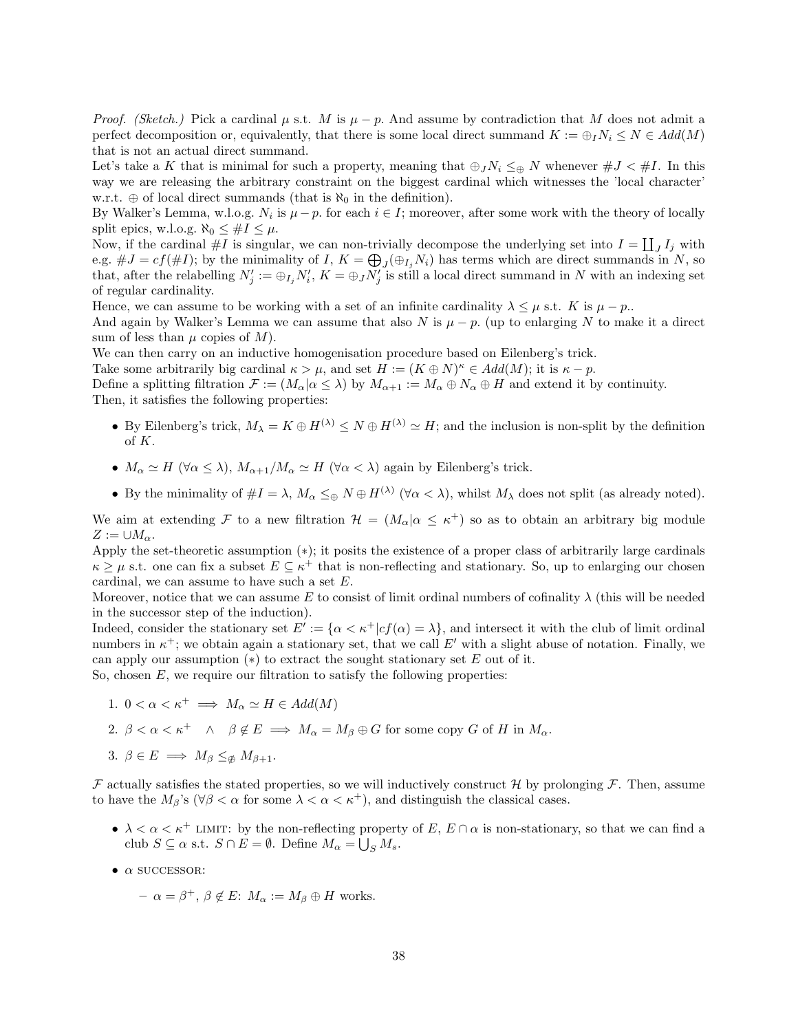*Proof.* (Sketch.) Pick a cardinal  $\mu$  s.t. M is  $\mu - p$ . And assume by contradiction that M does not admit a perfect decomposition or, equivalently, that there is some local direct summand  $K := \bigoplus_i N_i \leq N \in Add(M)$ that is not an actual direct summand.

Let's take a K that is minimal for such a property, meaning that  $\bigoplus_{J}N_i \leq_{\oplus} N$  whenever  $\#J < \#I$ . In this way we are releasing the arbitrary constraint on the biggest cardinal which witnesses the 'local character' w.r.t.  $\oplus$  of local direct summands (that is  $\aleph_0$  in the definition).

By Walker's Lemma, w.l.o.g.  $N_i$  is  $\mu - p$ . for each  $i \in I$ ; moreover, after some work with the theory of locally split epics, w.l.o.g.  $\aleph_0 \leq #I \leq \mu$ .

Now, if the cardinal  $\#I$  is singular, we can non-trivially decompose the underlying set into  $I = \coprod_J I_j$  with e.g.  $\#J = cf(\#I)$ ; by the minimality of I,  $K = \bigoplus_{J} (\bigoplus_{I_j} N_i)$  has terms which are direct summands in N, so that, after the relabelling  $N'_j := \bigoplus_j N'_i$ ,  $K = \bigoplus_j N'_j$  is still a local direct summand in N with an indexing set of regular cardinality.

Hence, we can assume to be working with a set of an infinite cardinality  $\lambda \leq \mu$  s.t. K is  $\mu - p$ .

And again by Walker's Lemma we can assume that also N is  $\mu - p$ . (up to enlarging N to make it a direct sum of less than  $\mu$  copies of  $M$ ).

We can then carry on an inductive homogenisation procedure based on Eilenberg's trick.

Take some arbitrarily big cardinal  $\kappa > \mu$ , and set  $H := (K \oplus N)^{\kappa} \in Add(M)$ ; it is  $\kappa - p$ .

Define a splitting filtration  $\mathcal{F} := (M_{\alpha} | \alpha \leq \lambda)$  by  $M_{\alpha+1} := M_{\alpha} \oplus N_{\alpha} \oplus H$  and extend it by continuity. Then, it satisfies the following properties:

- By Eilenberg's trick,  $M_{\lambda} = K \oplus H^{(\lambda)} \leq N \oplus H^{(\lambda)} \simeq H$ ; and the inclusion is non-split by the definition of K.
- $M_{\alpha} \simeq H \ (\forall \alpha \leq \lambda), M_{\alpha+1}/M_{\alpha} \simeq H \ (\forall \alpha < \lambda)$  again by Eilenberg's trick.
- By the minimality of  $\#I = \lambda$ ,  $M_{\alpha} \leq_{\oplus} N \oplus H^{(\lambda)}$  ( $\forall \alpha < \lambda$ ), whilst  $M_{\lambda}$  does not split (as already noted).

We aim at extending F to a new filtration  $\mathcal{H} = (M_{\alpha} | \alpha \leq \kappa^+)$  so as to obtain an arbitrary big module  $Z := \cup M_{\alpha}.$ 

Apply the set-theoretic assumption (∗); it posits the existence of a proper class of arbitrarily large cardinals  $\kappa \geq \mu$  s.t. one can fix a subset  $E \subseteq \kappa^+$  that is non-reflecting and stationary. So, up to enlarging our chosen cardinal, we can assume to have such a set E.

Moreover, notice that we can assume E to consist of limit ordinal numbers of cofinality  $\lambda$  (this will be needed in the successor step of the induction).

Indeed, consider the stationary set  $E' := {\alpha < \kappa^+ | cf(\alpha) = \lambda}$ , and intersect it with the club of limit ordinal numbers in  $\kappa^+$ ; we obtain again a stationary set, that we call E' with a slight abuse of notation. Finally, we can apply our assumption  $(*)$  to extract the sought stationary set E out of it.

So, chosen  $E$ , we require our filtration to satisfy the following properties:

- 1.  $0 < \alpha < \kappa^+ \implies M_\alpha \simeq H \in Add(M)$
- 2.  $\beta < \alpha < \kappa^+$   $\wedge$   $\beta \notin E \implies M_\alpha = M_\beta \oplus G$  for some copy G of H in  $M_\alpha$ .
- 3.  $\beta \in E \implies M_{\beta} \leq_{\not\infty} M_{\beta+1}$ .

 $\mathcal F$  actually satisfies the stated properties, so we will inductively construct  $\mathcal H$  by prolonging  $\mathcal F$ . Then, assume to have the  $M_\beta$ 's ( $\forall \beta < \alpha$  for some  $\lambda < \alpha < \kappa^+$ ), and distinguish the classical cases.

- $\lambda < \alpha < \kappa^+$  LIMIT: by the non-reflecting property of E,  $E \cap \alpha$  is non-stationary, so that we can find a club  $S \subseteq \alpha$  s.t.  $S \cap E = \emptyset$ . Define  $M_{\alpha} = \bigcup_{S} M_{s}$ .
- $\bullet$   $\alpha$  successor:
	- $-\alpha = \beta^+, \beta \notin E$ :  $M_\alpha := M_\beta \oplus H$  works.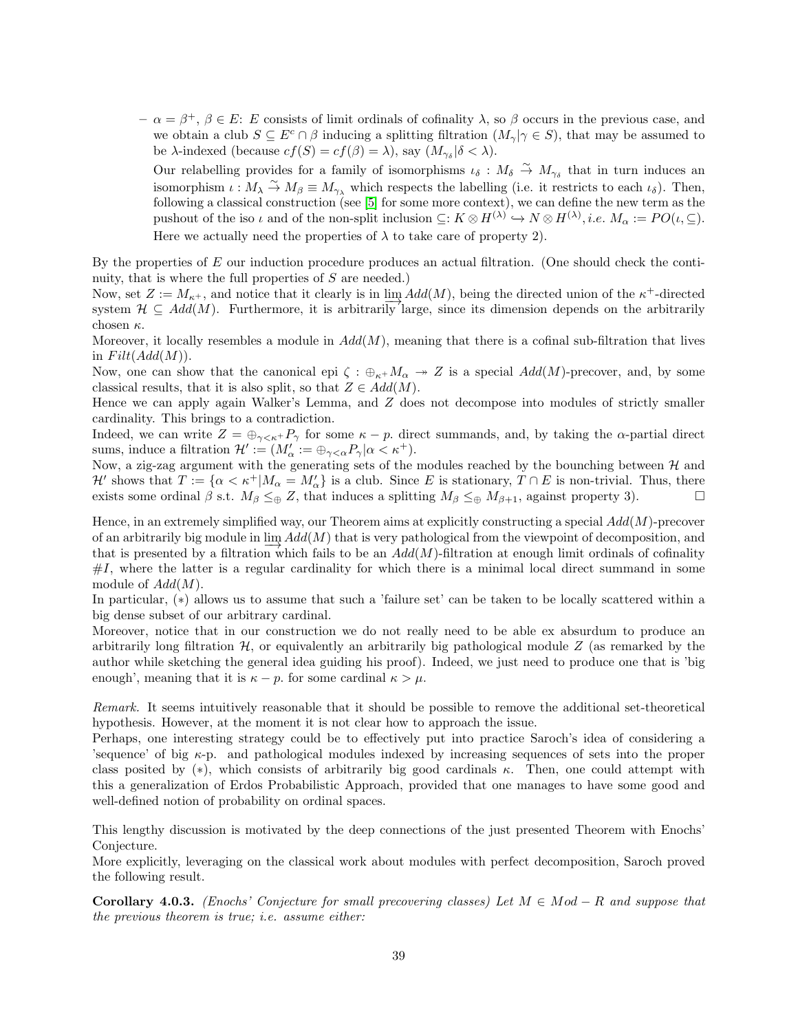$-\alpha = \beta^+, \beta \in E$ : E consists of limit ordinals of cofinality  $\lambda$ , so  $\beta$  occurs in the previous case, and we obtain a club  $S \subseteq E^c \cap \beta$  inducing a splitting filtration  $(M_{\gamma} | \gamma \in S)$ , that may be assumed to be  $\lambda$ -indexed (because  $cf(S) = cf(\beta) = \lambda$ ), say  $(M_{\gamma_{\delta}} | \delta < \lambda)$ .

Our relabelling provides for a family of isomorphisms  $\iota_{\delta}: M_{\delta} \stackrel{\sim}{\to} M_{\gamma_{\delta}}$  that in turn induces an isomorphism  $\iota : M_\lambda \stackrel{\sim}{\to} M_\beta \equiv M_{\gamma_\lambda}$  which respects the labelling (i.e. it restricts to each  $\iota_\delta$ ). Then, following a classical construction (see [\[5\]](#page-43-6) for some more context), we can define the new term as the pushout of the iso  $\iota$  and of the non-split inclusion  $\subseteq: K \otimes H^{(\lambda)} \hookrightarrow N \otimes H^{(\lambda)}, i.e.$   $M_{\alpha} := PO(\iota, \subseteq)$ . Here we actually need the properties of  $\lambda$  to take care of property 2).

By the properties of  $E$  our induction procedure produces an actual filtration. (One should check the continuity, that is where the full properties of S are needed.)

Now, set  $Z := M_{\kappa^+}$ , and notice that it clearly is in  $\lim_{\epsilon \to 0} Add(M)$ , being the directed union of the  $\kappa^+$ -directed system  $\mathcal{H} \subseteq Add(M)$ . Furthermore, it is arbitrarily large, since its dimension depends on the arbitrarily chosen  $\kappa$ .

Moreover, it locally resembles a module in  $Add(M)$ , meaning that there is a cofinal sub-filtration that lives in  $Filt(Add(M)).$ 

Now, one can show that the canonical epi  $\zeta : \bigoplus_{\kappa+} M_\alpha \to Z$  is a special  $Add(M)$ -precover, and, by some classical results, that it is also split, so that  $Z \in Add(M)$ .

Hence we can apply again Walker's Lemma, and Z does not decompose into modules of strictly smaller cardinality. This brings to a contradiction.

Indeed, we can write  $Z = \bigoplus_{\gamma < \kappa^+} P_\gamma$  for some  $\kappa - p$ . direct summands, and, by taking the  $\alpha$ -partial direct sums, induce a filtration  $\mathcal{H}' := (M'_\alpha := \bigoplus_{\gamma < \alpha} P_\gamma | \alpha < \kappa^+).$ 

Now, a zig-zag argument with the generating sets of the modules reached by the bounching between  $H$  and  $\mathcal{H}'$  shows that  $T := \{ \alpha < \kappa^+ | M_\alpha = M'_\alpha \}$  is a club. Since E is stationary,  $T \cap E$  is non-trivial. Thus, there exists some ordinal  $\beta$  s.t.  $M_{\beta} \leq_{\oplus} Z$ , that induces a splitting  $M_{\beta} \leq_{\oplus} M_{\beta+1}$ , against property 3).

Hence, in an extremely simplified way, our Theorem aims at explicitly constructing a special  $Add(M)$ -precover of an arbitrarily big module in  $\lim_{\epsilon \to 0} Add(M)$  that is very pathological from the viewpoint of decomposition, and that is presented by a filtration which fails to be an  $Add(M)$ -filtration at enough limit ordinals of cofinality  $\#I$ , where the latter is a regular cardinality for which there is a minimal local direct summand in some module of  $Add(M)$ .

In particular, (∗) allows us to assume that such a 'failure set' can be taken to be locally scattered within a big dense subset of our arbitrary cardinal.

Moreover, notice that in our construction we do not really need to be able ex absurdum to produce an arbitrarily long filtration  $H$ , or equivalently an arbitrarily big pathological module Z (as remarked by the author while sketching the general idea guiding his proof). Indeed, we just need to produce one that is 'big enough', meaning that it is  $\kappa - p$  for some cardinal  $\kappa > \mu$ .

Remark. It seems intuitively reasonable that it should be possible to remove the additional set-theoretical hypothesis. However, at the moment it is not clear how to approach the issue.

Perhaps, one interesting strategy could be to effectively put into practice Saroch's idea of considering a 's equence' of big  $\kappa$ -p. and pathological modules indexed by increasing sequences of sets into the proper class posited by (\*), which consists of arbitrarily big good cardinals  $\kappa$ . Then, one could attempt with this a generalization of Erdos Probabilistic Approach, provided that one manages to have some good and well-defined notion of probability on ordinal spaces.

This lengthy discussion is motivated by the deep connections of the just presented Theorem with Enochs' Conjecture.

More explicitly, leveraging on the classical work about modules with perfect decomposition, Saroch proved the following result.

Corollary 4.0.3. (Enochs' Conjecture for small precovering classes) Let  $M \in Mod - R$  and suppose that the previous theorem is true; i.e. assume either: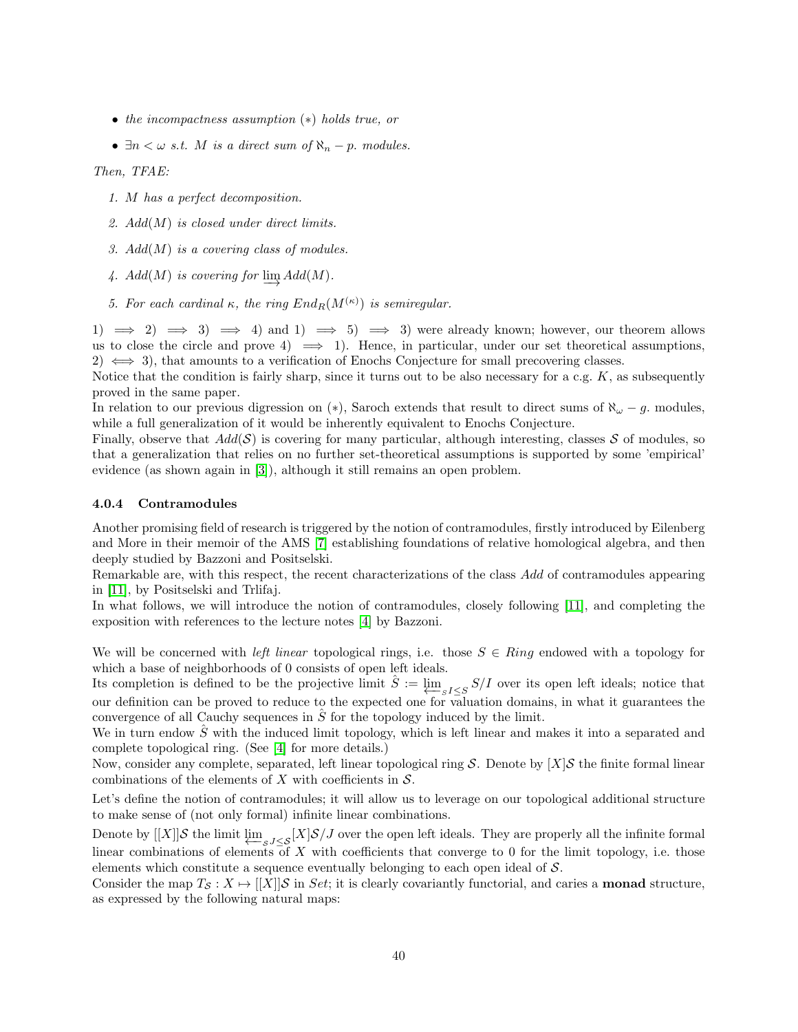- the incompactness assumption (∗) holds true, or
- $\exists n \lt \omega$  s.t. M is a direct sum of  $\aleph_n p$ . modules.

Then, TFAE:

- 1. M has a perfect decomposition.
- 2.  $Add(M)$  is closed under direct limits.
- 3.  $Add(M)$  is a covering class of modules.
- 4.  $Add(M)$  is covering for  $\varinjlim Add(M)$ .
- 5. For each cardinal  $\kappa$ , the ring  $End_R(M^{(\kappa)})$  is semiregular.

1)  $\implies$  2)  $\implies$  3)  $\implies$  4) and 1)  $\implies$  5)  $\implies$  3) were already known; however, our theorem allows us to close the circle and prove  $4) \implies 1$ . Hence, in particular, under our set theoretical assumptions, 2)  $\iff$  3), that amounts to a verification of Enochs Conjecture for small precovering classes.

Notice that the condition is fairly sharp, since it turns out to be also necessary for a c.g.  $K$ , as subsequently proved in the same paper.

In relation to our previous digression on (∗), Saroch extends that result to direct sums of  $\aleph_{\omega} - g$ . modules, while a full generalization of it would be inherently equivalent to Enochs Conjecture.

Finally, observe that  $Add(\mathcal{S})$  is covering for many particular, although interesting, classes  $\mathcal S$  of modules, so that a generalization that relies on no further set-theoretical assumptions is supported by some 'empirical' evidence (as shown again in [\[3\]](#page-43-15)), although it still remains an open problem.

#### <span id="page-39-0"></span>4.0.4 Contramodules

Another promising field of research is triggered by the notion of contramodules, firstly introduced by Eilenberg and More in their memoir of the AMS [\[7\]](#page-43-17) establishing foundations of relative homological algebra, and then deeply studied by Bazzoni and Positselski.

Remarkable are, with this respect, the recent characterizations of the class Add of contramodules appearing in [\[11\]](#page-43-18), by Positselski and Trlifaj.

In what follows, we will introduce the notion of contramodules, closely following [\[11\]](#page-43-18), and completing the exposition with references to the lecture notes [\[4\]](#page-43-19) by Bazzoni.

We will be concerned with *left linear* topological rings, i.e. those  $S \in Ring$  endowed with a topology for which a base of neighborhoods of 0 consists of open left ideals.

Its completion is defined to be the projective limit  $\hat{S} := \varprojlim_{S I \leq S} S/I$  over its open left ideals; notice that our definition can be proved to reduce to the expected one for valuation domains, in what it guarantees the convergence of all Cauchy sequences in  $\hat{S}$  for the topology induced by the limit.

We in turn endow  $\hat{S}$  with the induced limit topology, which is left linear and makes it into a separated and complete topological ring. (See [\[4\]](#page-43-19) for more details.)

Now, consider any complete, separated, left linear topological ring S. Denote by  $[X]$ S the finite formal linear combinations of the elements of X with coefficients in  $S$ .

Let's define the notion of contramodules; it will allow us to leverage on our topological additional structure to make sense of (not only formal) infinite linear combinations.

Denote by  $[[X]]S$  the limit  $\varprojlim_{S, J\leq S} [X]S/J$  over the open left ideals. They are properly all the infinite formal linear combinations of elements of X with coefficients that converge to 0 for the limit topology, i.e. those elements which constitute a sequence eventually belonging to each open ideal of S.

Consider the map  $T_S : X \mapsto [[X]]\mathcal{S}$  in Set; it is clearly covariantly functorial, and caries a **monad** structure, as expressed by the following natural maps: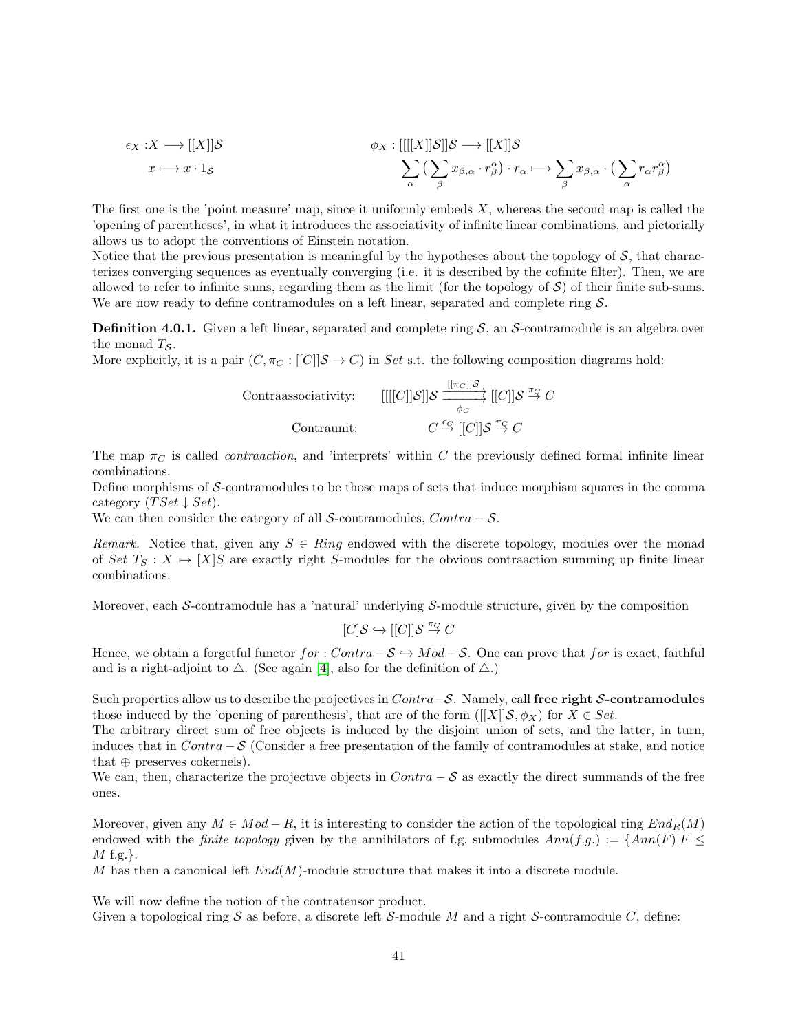$$
\epsilon_X: X \longrightarrow [[X]]\mathcal{S} \qquad \phi_X: [[[[X]]\mathcal{S}]]\mathcal{S} \longrightarrow [[X]]\mathcal{S} \qquad \qquad \phi_X: [[[[X]]\mathcal{S}]]\mathcal{S} \longrightarrow [[X]]\mathcal{S} \qquad \qquad \sum_{\alpha} \left( \sum_{\beta} x_{\beta,\alpha} \cdot r_{\beta}^{\alpha} \right) \cdot r_{\alpha} \longmapsto \sum_{\beta} x_{\beta,\alpha} \cdot \left( \sum_{\alpha} r_{\alpha} r_{\beta}^{\alpha} \right)
$$

The first one is the 'point measure' map, since it uniformly embeds  $X$ , whereas the second map is called the 'opening of parentheses', in what it introduces the associativity of infinite linear combinations, and pictorially allows us to adopt the conventions of Einstein notation.

Notice that the previous presentation is meaningful by the hypotheses about the topology of  $S$ , that characterizes converging sequences as eventually converging (i.e. it is described by the cofinite filter). Then, we are allowed to refer to infinite sums, regarding them as the limit (for the topology of  $S$ ) of their finite sub-sums. We are now ready to define contramodules on a left linear, separated and complete ring  $\mathcal{S}$ .

**Definition 4.0.1.** Given a left linear, separated and complete ring  $S$ , an  $S$ -contramodule is an algebra over the monad  $T_S$ .

More explicitly, it is a pair  $(C, \pi_C : [[C]]S \to C)$  in Set s.t. the following composition diagrams hold:

Contrasosciativity: 
$$
[[[[C]]\mathcal{S}]]\mathcal{S} \xrightarrow[\phi_C]{[[\pi_C]]\mathcal{S}} [[C]]\mathcal{S} \xrightarrow[\phi_C]{\pi_C} [C]]\mathcal{S} \xrightarrow[\phi_C]{\pi_C} C
$$
  
Contrannit: 
$$
C \xrightarrow{\epsilon_G} [[C]]\mathcal{S} \xrightarrow{\pi_C} C
$$

The map  $\pi_C$  is called *contraaction*, and 'interprets' within C the previously defined formal infinite linear combinations.

Define morphisms of S-contramodules to be those maps of sets that induce morphism squares in the comma category  $(TSet \downarrow Set)$ .

We can then consider the category of all S-contramodules,  $Contra - S$ .

Remark. Notice that, given any  $S \in Ring$  endowed with the discrete topology, modules over the monad of Set  $T_S : X \mapsto [X]$ S are exactly right S-modules for the obvious contraaction summing up finite linear combinations.

Moreover, each S-contramodule has a 'natural' underlying S-module structure, given by the composition

$$
[C] \mathcal{S} \hookrightarrow [[C]] \mathcal{S} \stackrel{\pi_{\mathcal{G}}}{\rightarrow} C
$$

Hence, we obtain a forgetful functor  $for : Contra - S \hookrightarrow Mod - S$ . One can prove that for is exact, faithful and is a right-adjoint to  $\triangle$ . (See again [\[4\]](#page-43-19), also for the definition of  $\triangle$ .)

Such properties allow us to describe the projectives in  $Contra-S$ . Namely, call free right S-contramodules those induced by the 'opening of parenthesis', that are of the form  $([[X]]S, \phi_X)$  for  $X \in Set$ .

The arbitrary direct sum of free objects is induced by the disjoint union of sets, and the latter, in turn, induces that in  $Contra - S$  (Consider a free presentation of the family of contramodules at stake, and notice that  $\oplus$  preserves cokernels).

We can, then, characterize the projective objects in  $Contra - S$  as exactly the direct summands of the free ones.

Moreover, given any  $M \in Mod - R$ , it is interesting to consider the action of the topological ring  $End_R(M)$ endowed with the *finite topology* given by the annihilators of f.g. submodules  $Ann(f.g.) := \{Ann(F)|F \leq$  $M$  f.g.}.

M has then a canonical left  $End(M)$ -module structure that makes it into a discrete module.

We will now define the notion of the contratensor product.

Given a topological ring S as before, a discrete left S-module M and a right S-contramodule C, define: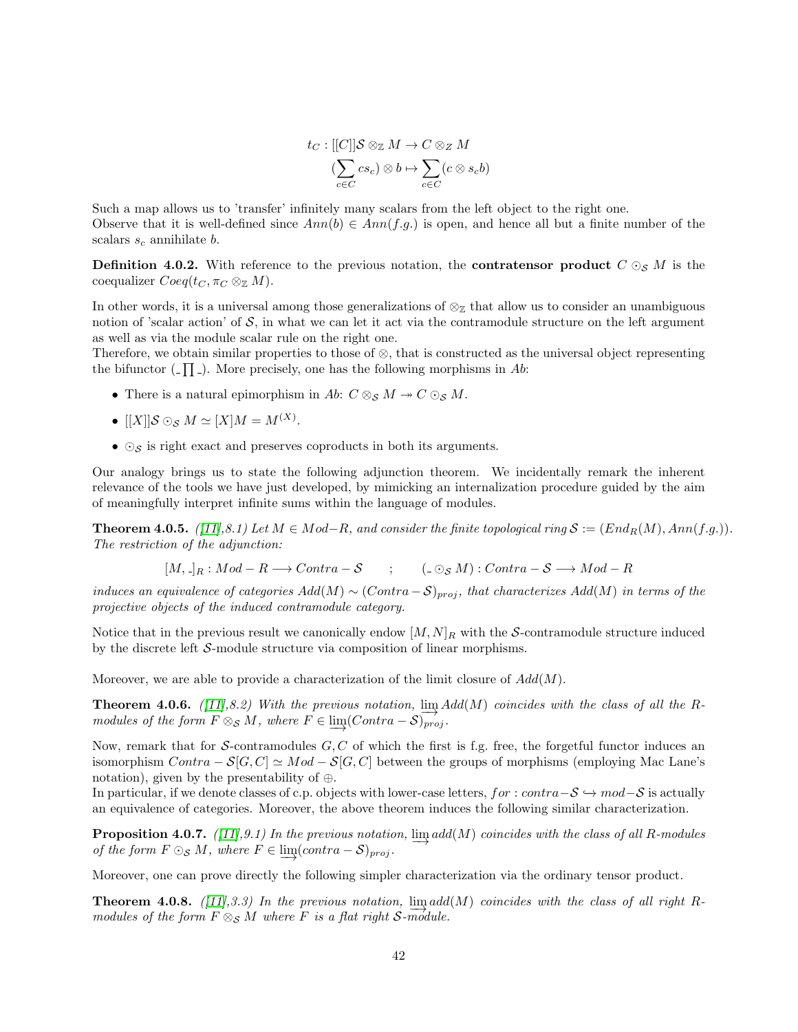$$
t_C : [[C]]\mathcal{S} \otimes_{\mathbb{Z}} M \to C \otimes_{\mathbb{Z}} M
$$

$$
(\sum_{c \in C} cs_c) \otimes b \mapsto \sum_{c \in C} (c \otimes s_c b)
$$

Such a map allows us to 'transfer' infinitely many scalars from the left object to the right one. Observe that it is well-defined since  $Ann(b) \in Ann(f.g.)$  is open, and hence all but a finite number of the scalars  $s_c$  annihilate b.

**Definition 4.0.2.** With reference to the previous notation, the **contratensor product**  $C \odot_{S} M$  is the coequalizer  $Coeq(t_C, \pi_C \otimes_{\mathbb{Z}} M)$ .

In other words, it is a universal among those generalizations of  $\otimes_{\mathbb{Z}}$  that allow us to consider an unambiguous notion of 'scalar action' of  $S$ , in what we can let it act via the contramodule structure on the left argument as well as via the module scalar rule on the right one.

Therefore, we obtain similar properties to those of  $\otimes$ , that is constructed as the universal object representing the bifunctor  $\left(\begin{matrix} -\prod \end{matrix}\right)$ . More precisely, one has the following morphisms in Ab:

- There is a natural epimorphism in Ab:  $C \otimes_S M \rightarrow C \otimes_S M$ .
- $[[X]]\mathcal{S} \odot_{\mathcal{S}} M \simeq [X]M = M^{(X)}.$
- $\odot$ <sub>S</sub> is right exact and preserves coproducts in both its arguments.

Our analogy brings us to state the following adjunction theorem. We incidentally remark the inherent relevance of the tools we have just developed, by mimicking an internalization procedure guided by the aim of meaningfully interpret infinite sums within the language of modules.

**Theorem 4.0.5.**  $([11], 8.1)$  $([11], 8.1)$  $([11], 8.1)$  Let  $M \in Mod-R$ , and consider the finite topological ring  $S := (End_R(M), Ann(f.g.))$ . The restriction of the adjunction:

 $[M, \lrcorner_R : Mod - R \longrightarrow Contra - S$  ;  $(\lrcorner \odot_S M) : Contra - S \longrightarrow Mod - R$ 

induces an equivalence of categories  $Add(M) \sim (Contra - S)_{proj}$ , that characterizes  $Add(M)$  in terms of the projective objects of the induced contramodule category.

Notice that in the previous result we canonically endow  $[M, N]_R$  with the S-contramodule structure induced by the discrete left S-module structure via composition of linear morphisms.

Moreover, we are able to provide a characterization of the limit closure of  $Add(M)$ .

**Theorem 4.0.6.** ([\[11\]](#page-43-18),8.2) With the previous notation,  $\lim_{n \to \infty} Add(M)$  coincides with the class of all the Rmodules of the form  $F \otimes_{\mathcal{S}} M$ , where  $F \in \varinjlim (Contra - \mathcal{S})_{proj}$ .

Now, remark that for S-contramodules  $G, C$  of which the first is f.g. free, the forgetful functor induces an isomorphism  $Contra - S[G, C] \simeq Mod - S[G, C]$  between the groups of morphisms (employing Mac Lane's notation), given by the presentability of ⊕.

In particular, if we denote classes of c.p. objects with lower-case letters, for : contra $-\mathcal{S} \hookrightarrow \text{mod}-\mathcal{S}$  is actually an equivalence of categories. Moreover, the above theorem induces the following similar characterization.

**Proposition 4.0.7.** ([\[11\]](#page-43-18),9.1) In the previous notation,  $\lim_{M \to \infty} add(M)$  coincides with the class of all R-modules of the form  $F \odot_S M$ , where  $F \in \lim_{\longrightarrow} (contra - S)_{proj}$ .

Moreover, one can prove directly the following simpler characterization via the ordinary tensor product.

**Theorem 4.0.8.** ([\[11\]](#page-43-18),3.3) In the previous notation,  $\lim_{n \to \infty} add(M)$  coincides with the class of all right Rmodules of the form  $F \otimes_{\mathcal{S}} M$  where F is a flat right S-module.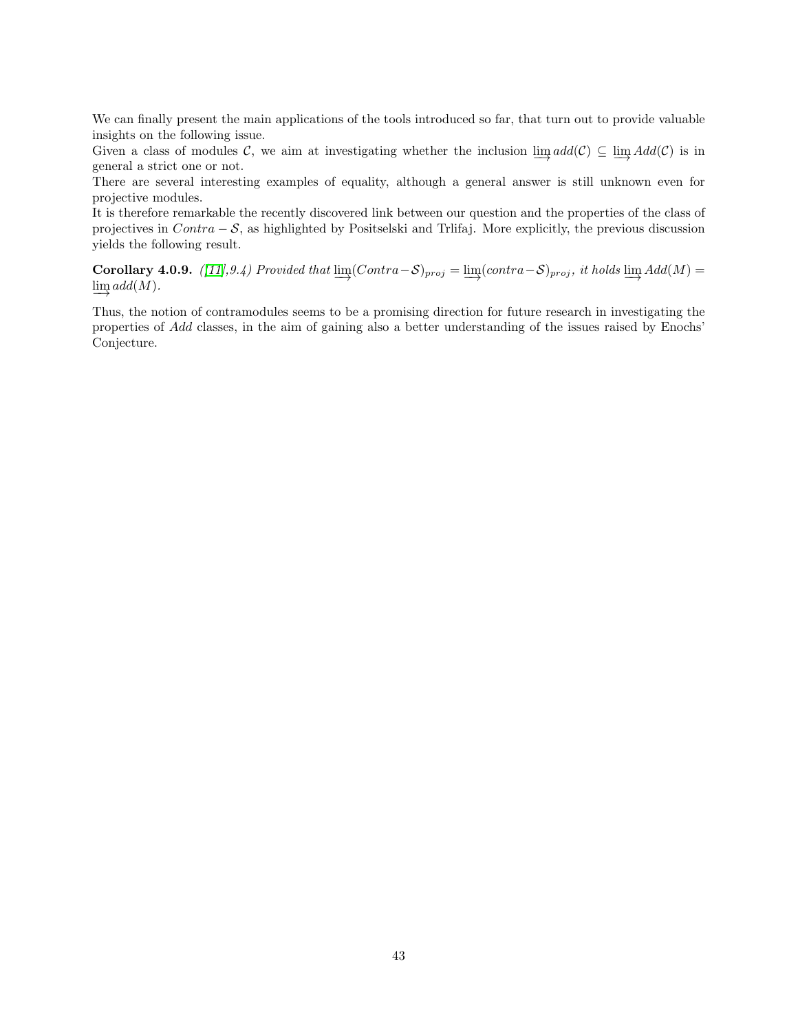We can finally present the main applications of the tools introduced so far, that turn out to provide valuable insights on the following issue.

Given a class of modules C, we aim at investigating whether the inclusion  $\underline{\lim} \text{ } add(\mathcal{C}) \subseteq \underline{\lim} \text{ } Add(\mathcal{C})$  is in general a strict one or not.

There are several interesting examples of equality, although a general answer is still unknown even for projective modules.

It is therefore remarkable the recently discovered link between our question and the properties of the class of projectives in Contra − S, as highlighted by Positselski and Trlifaj. More explicitly, the previous discussion yields the following result.

<span id="page-42-0"></span>Corollary 4.0.9. ([\[11\]](#page-43-18),9.4) Provided that  $\varinjlim (contra - S)_{proj} = \varinjlim (contra - S)_{proj}$ , it holds  $\varinjlim$   $Add(M) =$  $\varinjlim add(M).$ 

Thus, the notion of contramodules seems to be a promising direction for future research in investigating the properties of Add classes, in the aim of gaining also a better understanding of the issues raised by Enochs' Conjecture.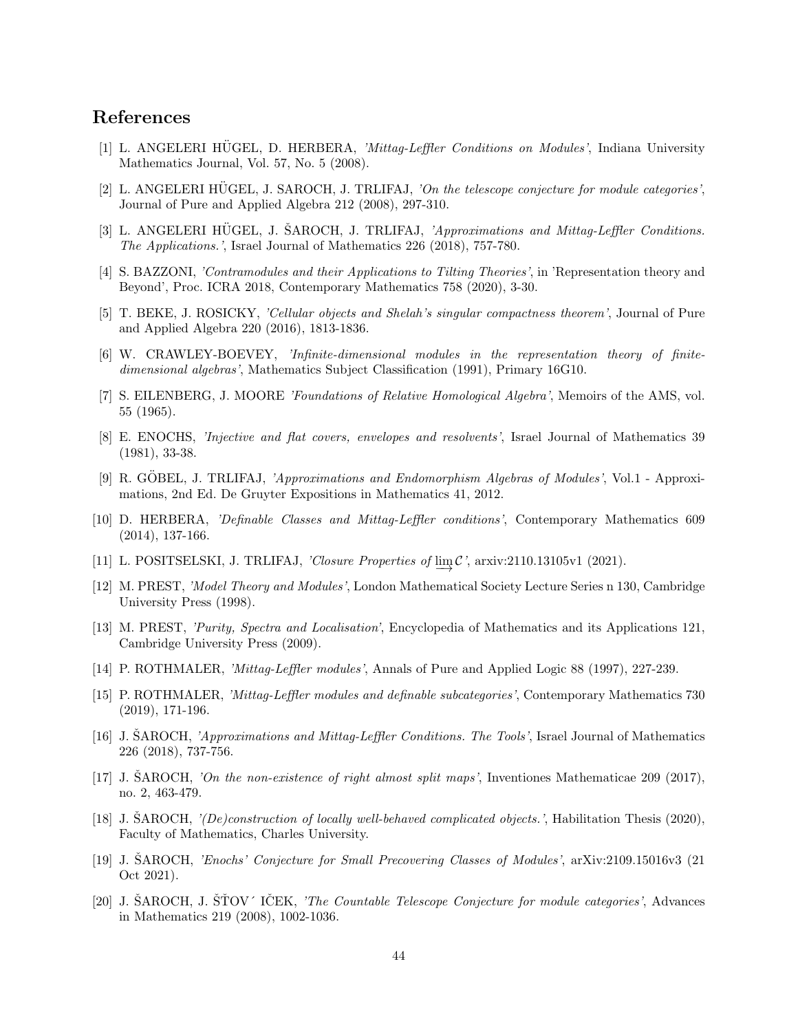# References

- <span id="page-43-8"></span>[1] L. ANGELERI HÜGEL, D. HERBERA, 'Mittag-Leffler Conditions on Modules', Indiana University Mathematics Journal, Vol. 57, No. 5 (2008).
- <span id="page-43-3"></span>[2] L. ANGELERI HÜGEL, J. SAROCH, J. TRLIFAJ, 'On the telescope conjecture for module categories', Journal of Pure and Applied Algebra 212 (2008), 297-310.
- <span id="page-43-15"></span>[3] L. ANGELERI HUGEL, J. ŠAROCH, J. TRLIFAJ, *'Approximations and Mittag-Leffler Conditions*. The Applications.', Israel Journal of Mathematics 226 (2018), 757-780.
- <span id="page-43-19"></span>[4] S. BAZZONI, 'Contramodules and their Applications to Tilting Theories', in 'Representation theory and Beyond', Proc. ICRA 2018, Contemporary Mathematics 758 (2020), 3-30.
- <span id="page-43-6"></span>[5] T. BEKE, J. ROSICKY, 'Cellular objects and Shelah's singular compactness theorem', Journal of Pure and Applied Algebra 220 (2016), 1813-1836.
- <span id="page-43-7"></span>[6] W. CRAWLEY-BOEVEY, 'Infinite-dimensional modules in the representation theory of finitedimensional algebras', Mathematics Subject Classification (1991), Primary 16G10.
- <span id="page-43-17"></span>[7] S. EILENBERG, J. MOORE 'Foundations of Relative Homological Algebra', Memoirs of the AMS, vol. 55 (1965).
- <span id="page-43-1"></span>[8] E. ENOCHS, 'Injective and flat covers, envelopes and resolvents', Israel Journal of Mathematics 39 (1981), 33-38.
- <span id="page-43-2"></span>[9] R. GÖBEL, J. TRLIFAJ, 'Approximations and Endomorphism Algebras of Modules', Vol.1 - Approximations, 2nd Ed. De Gruyter Expositions in Mathematics 41, 2012.
- <span id="page-43-9"></span>[10] D. HERBERA, 'Definable Classes and Mittag-Leffler conditions', Contemporary Mathematics 609 (2014), 137-166.
- <span id="page-43-18"></span>[11] L. POSITSELSKI, J. TRLIFAJ, 'Closure Properties of  $\varinjlim \mathcal{C}$ ', arxiv:2110.13105v1 (2021).
- <span id="page-43-11"></span>[12] M. PREST, 'Model Theory and Modules', London Mathematical Society Lecture Series n 130, Cambridge University Press (1998).
- <span id="page-43-10"></span>[13] M. PREST, 'Purity, Spectra and Localisation', Encyclopedia of Mathematics and its Applications 121, Cambridge University Press (2009).
- <span id="page-43-12"></span>[14] P. ROTHMALER, 'Mittag-Leffler modules', Annals of Pure and Applied Logic 88 (1997), 227-239.
- <span id="page-43-13"></span>[15] P. ROTHMALER, 'Mittag-Leffler modules and definable subcategories', Contemporary Mathematics 730 (2019), 171-196.
- <span id="page-43-0"></span>[16] J. SAROCH, ˇ 'Approximations and Mittag-Leffler Conditions. The Tools', Israel Journal of Mathematics 226 (2018), 737-756.
- <span id="page-43-14"></span>[17] J. SAROCH, *On the non-existence of right almost split maps'*, Inventiones Mathematicae 209 (2017), no. 2, 463-479.
- <span id="page-43-5"></span>[18] J. SAROCH,  $^{\prime}/De}$  construction of locally well-behaved complicated objects.', Habilitation Thesis (2020), Faculty of Mathematics, Charles University.
- <span id="page-43-16"></span>[19] J. SAROCH, ˇ 'Enochs' Conjecture for Small Precovering Classes of Modules', arXiv:2109.15016v3 (21 Oct 2021).
- <span id="page-43-4"></span>[20] J. ŠAROCH, J. ŠŤOV´ IČEK, *'The Countable Telescope Conjecture for module categories'*, Advances in Mathematics 219 (2008), 1002-1036.